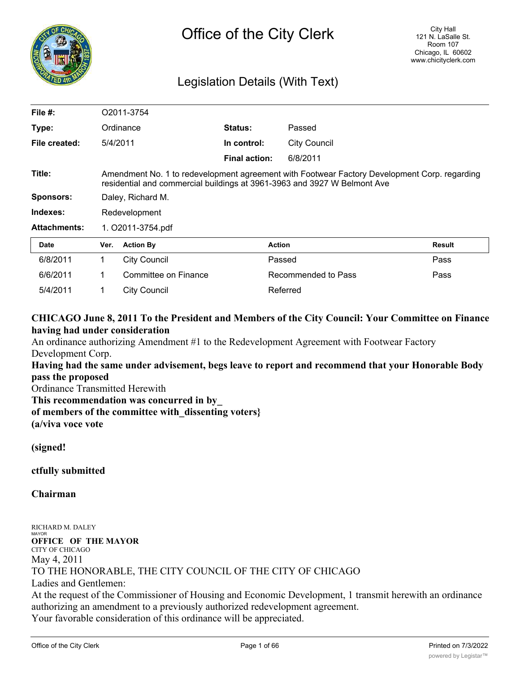

# Legislation Details (With Text)

| File $#$ :          | O2011-3754                                                                                                                                                               |                      |                      |                     |        |
|---------------------|--------------------------------------------------------------------------------------------------------------------------------------------------------------------------|----------------------|----------------------|---------------------|--------|
| Type:               |                                                                                                                                                                          | Ordinance            | Status:              | Passed              |        |
| File created:       | 5/4/2011                                                                                                                                                                 |                      | In control:          | <b>City Council</b> |        |
|                     |                                                                                                                                                                          |                      | <b>Final action:</b> | 6/8/2011            |        |
| Title:              | Amendment No. 1 to redevelopment agreement with Footwear Factory Development Corp. regarding<br>residential and commercial buildings at 3961-3963 and 3927 W Belmont Ave |                      |                      |                     |        |
| <b>Sponsors:</b>    | Daley, Richard M.                                                                                                                                                        |                      |                      |                     |        |
| Indexes:            | Redevelopment                                                                                                                                                            |                      |                      |                     |        |
| <b>Attachments:</b> | 1. O2011-3754.pdf                                                                                                                                                        |                      |                      |                     |        |
| <b>Date</b>         | Ver.                                                                                                                                                                     | <b>Action By</b>     | <b>Action</b>        |                     | Result |
| 6/8/2011            | 1                                                                                                                                                                        | <b>City Council</b>  | Passed               |                     | Pass   |
| 6/6/2011            | 1                                                                                                                                                                        | Committee on Finance |                      | Recommended to Pass | Pass   |
| 5/4/2011            | 1                                                                                                                                                                        | <b>City Council</b>  |                      | Referred            |        |

# **CHICAGO June 8, 2011 To the President and Members of the City Council: Your Committee on Finance having had under consideration**

An ordinance authorizing Amendment #1 to the Redevelopment Agreement with Footwear Factory Development Corp.

**Having had the same under advisement, begs leave to report and recommend that your Honorable Body pass the proposed**

Ordinance Transmitted Herewith

**This recommendation was concurred in by\_**

**of members of the committee with\_dissenting voters}**

**(a/viva voce vote**

**(signed!**

**ctfully submitted**

**Chairman**

RICHARD M. DALEY MAYOR **OFFICE OF THE MAYOR** CITY OF CHICAGO May 4, 2011 TO THE HONORABLE, THE CITY COUNCIL OF THE CITY OF CHICAGO Ladies and Gentlemen: At the request of the Commissioner of Housing and Economic Development, 1 transmit herewith an ordinance authorizing an amendment to a previously authorized redevelopment agreement. Your favorable consideration of this ordinance will be appreciated.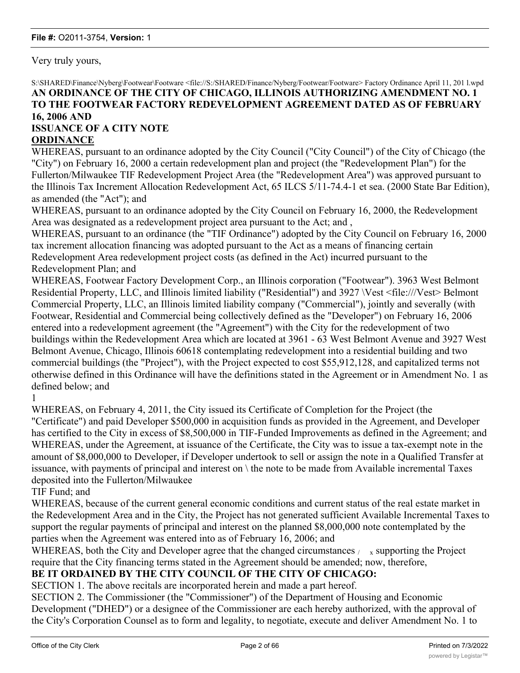Very truly yours,

### S:\SHARED\Finance\Nyberg\Footwear\Footware <file://S:/SHARED/Finance/Nyberg/Footwear/Footware> Factory Ordinance April 11, 201 l.wpd **AN ORDINANCE OF THE CITY OF CHICAGO, ILLINOIS AUTHORIZING AMENDMENT NO. 1 TO THE FOOTWEAR FACTORY REDEVELOPMENT AGREEMENT DATED AS OF FEBRUARY 16, 2006 AND ISSUANCE OF A CITY NOTE**

# **ORDINANCE**

WHEREAS, pursuant to an ordinance adopted by the City Council ("City Council") of the City of Chicago (the "City") on February 16, 2000 a certain redevelopment plan and project (the "Redevelopment Plan") for the Fullerton/Milwaukee TIF Redevelopment Project Area (the "Redevelopment Area") was approved pursuant to the Illinois Tax Increment Allocation Redevelopment Act, 65 ILCS 5/11-74.4-1 et sea. (2000 State Bar Edition), as amended (the "Act"); and

WHEREAS, pursuant to an ordinance adopted by the City Council on February 16, 2000, the Redevelopment Area was designated as a redevelopment project area pursuant to the Act; and ,

WHEREAS, pursuant to an ordinance (the "TIF Ordinance") adopted by the City Council on February 16, 2000 tax increment allocation financing was adopted pursuant to the Act as a means of financing certain Redevelopment Area redevelopment project costs (as defined in the Act) incurred pursuant to the Redevelopment Plan; and

WHEREAS, Footwear Factory Development Corp., an Illinois corporation ("Footwear"). 3963 West Belmont Residential Property, LLC, and Illinois limited liability ("Residential") and 3927 \Vest <file:///Vest> Belmont Commercial Property, LLC, an Illinois limited liability company ("Commercial"), jointly and severally (with Footwear, Residential and Commercial being collectively defined as the "Developer") on February 16, 2006 entered into a redevelopment agreement (the "Agreement") with the City for the redevelopment of two buildings within the Redevelopment Area which are located at 3961 - 63 West Belmont Avenue and 3927 West Belmont Avenue, Chicago, Illinois 60618 contemplating redevelopment into a residential building and two commercial buildings (the "Project"), with the Project expected to cost \$55,912,128, and capitalized terms not otherwise defined in this Ordinance will have the definitions stated in the Agreement or in Amendment No. 1 as defined below; and

1

WHEREAS, on February 4, 2011, the City issued its Certificate of Completion for the Project (the "Certificate") and paid Developer \$500,000 in acquisition funds as provided in the Agreement, and Developer has certified to the City in excess of \$8,500,000 in TIF-Funded Improvements as defined in the Agreement; and WHEREAS, under the Agreement, at issuance of the Certificate, the City was to issue a tax-exempt note in the amount of \$8,000,000 to Developer, if Developer undertook to sell or assign the note in a Qualified Transfer at issuance, with payments of principal and interest on \ the note to be made from Available incremental Taxes deposited into the Fullerton/Milwaukee

TIF Fund; and

WHEREAS, because of the current general economic conditions and current status of the real estate market in the Redevelopment Area and in the City, the Project has not generated sufficient Available Incremental Taxes to support the regular payments of principal and interest on the planned \$8,000,000 note contemplated by the parties when the Agreement was entered into as of February 16, 2006; and

WHEREAS, both the City and Developer agree that the changed circumstances  $\mu_{\rm x}$  supporting the Project require that the City financing terms stated in the Agreement should be amended; now, therefore,

# **BE IT ORDAINED BY THE CITY COUNCIL OF THE CITY OF CHICAGO:**

SECTION 1. The above recitals are incorporated herein and made a part hereof.

SECTION 2. The Commissioner (the "Commissioner") of the Department of Housing and Economic Development ("DHED") or a designee of the Commissioner are each hereby authorized, with the approval of the City's Corporation Counsel as to form and legality, to negotiate, execute and deliver Amendment No. 1 to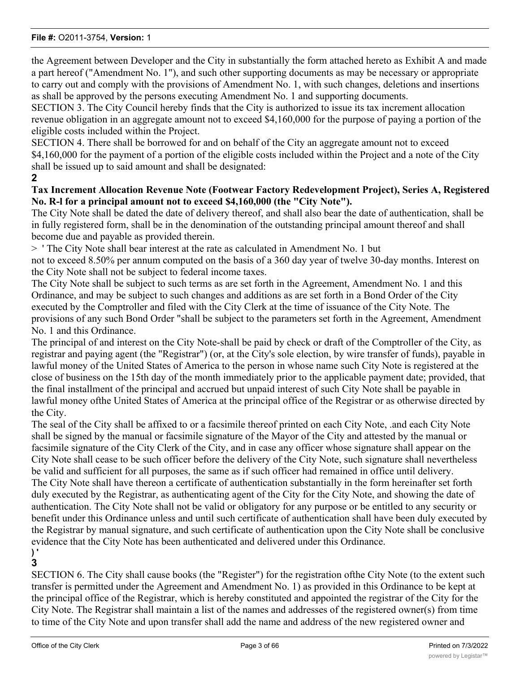the Agreement between Developer and the City in substantially the form attached hereto as Exhibit A and made a part hereof ("Amendment No. 1"), and such other supporting documents as may be necessary or appropriate to carry out and comply with the provisions of Amendment No. 1, with such changes, deletions and insertions as shall be approved by the persons executing Amendment No. 1 and supporting documents.

SECTION 3. The City Council hereby finds that the City is authorized to issue its tax increment allocation revenue obligation in an aggregate amount not to exceed \$4,160,000 for the purpose of paying a portion of the eligible costs included within the Project.

SECTION 4. There shall be borrowed for and on behalf of the City an aggregate amount not to exceed \$4,160,000 for the payment of a portion of the eligible costs included within the Project and a note of the City shall be issued up to said amount and shall be designated:

**2**

### **Tax Increment Allocation Revenue Note (Footwear Factory Redevelopment Project), Series A, Registered No. R-l for a principal amount not to exceed \$4,160,000 (the "City Note").**

The City Note shall be dated the date of delivery thereof, and shall also bear the date of authentication, shall be in fully registered form, shall be in the denomination of the outstanding principal amount thereof and shall become due and payable as provided therein.

> ' The City Note shall bear interest at the rate as calculated in Amendment No. 1 but

not to exceed 8.50% per annum computed on the basis of a 360 day year of twelve 30-day months. Interest on the City Note shall not be subject to federal income taxes.

The City Note shall be subject to such terms as are set forth in the Agreement, Amendment No. 1 and this Ordinance, and may be subject to such changes and additions as are set forth in a Bond Order of the City executed by the Comptroller and filed with the City Clerk at the time of issuance of the City Note. The provisions of any such Bond Order "shall be subject to the parameters set forth in the Agreement, Amendment No. 1 and this Ordinance.

The principal of and interest on the City Note-shall be paid by check or draft of the Comptroller of the City, as registrar and paying agent (the "Registrar") (or, at the City's sole election, by wire transfer of funds), payable in lawful money of the United States of America to the person in whose name such City Note is registered at the close of business on the 15th day of the month immediately prior to the applicable payment date; provided, that the final installment of the principal and accrued but unpaid interest of such City Note shall be payable in lawful money ofthe United States of America at the principal office of the Registrar or as otherwise directed by the City.

The seal of the City shall be affixed to or a facsimile thereof printed on each City Note, .and each City Note shall be signed by the manual or facsimile signature of the Mayor of the City and attested by the manual or facsimile signature of the City Clerk of the City, and in case any officer whose signature shall appear on the City Note shall cease to be such officer before the delivery of the City Note, such signature shall nevertheless be valid and sufficient for all purposes, the same as if such officer had remained in office until delivery. The City Note shall have thereon a certificate of authentication substantially in the form hereinafter set forth duly executed by the Registrar, as authenticating agent of the City for the City Note, and showing the date of authentication. The City Note shall not be valid or obligatory for any purpose or be entitled to any security or benefit under this Ordinance unless and until such certificate of authentication shall have been duly executed by the Registrar by manual signature, and such certificate of authentication upon the City Note shall be conclusive evidence that the City Note has been authenticated and delivered under this Ordinance.

#### **) ' 3**

SECTION 6. The City shall cause books (the "Register") for the registration ofthe City Note (to the extent such transfer is permitted under the Agreement and Amendment No. 1) as provided in this Ordinance to be kept at the principal office of the Registrar, which is hereby constituted and appointed the registrar of the City for the City Note. The Registrar shall maintain a list of the names and addresses of the registered owner(s) from time to time of the City Note and upon transfer shall add the name and address of the new registered owner and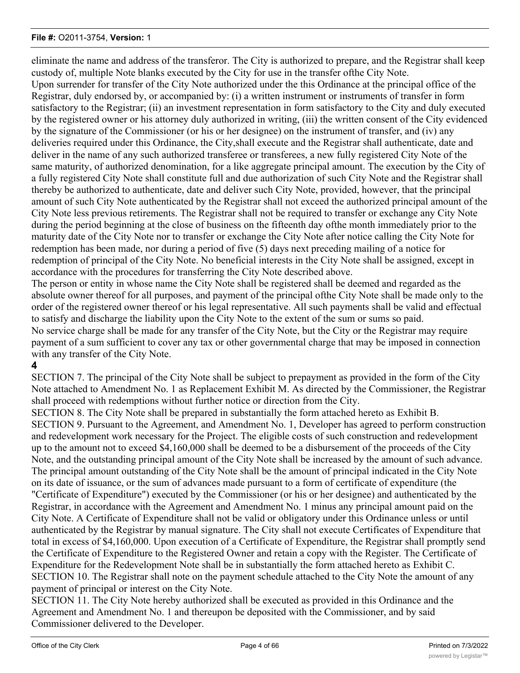eliminate the name and address of the transferor. The City is authorized to prepare, and the Registrar shall keep custody of, multiple Note blanks executed by the City for use in the transfer ofthe City Note.

Upon surrender for transfer of the City Note authorized under the this Ordinance at the principal office of the Registrar, duly endorsed by, or accompanied by: (i) a written instrument or instruments of transfer in form satisfactory to the Registrar; (ii) an investment representation in form satisfactory to the City and duly executed by the registered owner or his attorney duly authorized in writing, (iii) the written consent of the City evidenced by the signature of the Commissioner (or his or her designee) on the instrument of transfer, and (iv) any deliveries required under this Ordinance, the City,shall execute and the Registrar shall authenticate, date and deliver in the name of any such authorized transferee or transferees, a new fully registered City Note of the same maturity, of authorized denomination, for a like aggregate principal amount. The execution by the City of a fully registered City Note shall constitute full and due authorization of such City Note and the Registrar shall thereby be authorized to authenticate, date and deliver such City Note, provided, however, that the principal amount of such City Note authenticated by the Registrar shall not exceed the authorized principal amount of the City Note less previous retirements. The Registrar shall not be required to transfer or exchange any City Note during the period beginning at the close of business on the fifteenth day ofthe month immediately prior to the maturity date of the City Note nor to transfer or exchange the City Note after notice calling the City Note for redemption has been made, nor during a period of five (5) days next preceding mailing of a notice for redemption of principal of the City Note. No beneficial interests in the City Note shall be assigned, except in accordance with the procedures for transferring the City Note described above.

The person or entity in whose name the City Note shall be registered shall be deemed and regarded as the absolute owner thereof for all purposes, and payment of the principal ofthe City Note shall be made only to the order of the registered owner thereof or his legal representative. All such payments shall be valid and effectual to satisfy and discharge the liability upon the City Note to the extent of the sum or sums so paid. No service charge shall be made for any transfer of the City Note, but the City or the Registrar may require payment of a sum sufficient to cover any tax or other governmental charge that may be imposed in connection with any transfer of the City Note.

# **4**

SECTION 7. The principal of the City Note shall be subject to prepayment as provided in the form of the City Note attached to Amendment No. 1 as Replacement Exhibit M. As directed by the Commissioner, the Registrar shall proceed with redemptions without further notice or direction from the City.

SECTION 8. The City Note shall be prepared in substantially the form attached hereto as Exhibit B. SECTION 9. Pursuant to the Agreement, and Amendment No. 1, Developer has agreed to perform construction and redevelopment work necessary for the Project. The eligible costs of such construction and redevelopment up to the amount not to exceed \$4,160,000 shall be deemed to be a disbursement of the proceeds of the City Note, and the outstanding principal amount of the City Note shall be increased by the amount of such advance. The principal amount outstanding of the City Note shall be the amount of principal indicated in the City Note on its date of issuance, or the sum of advances made pursuant to a form of certificate of expenditure (the "Certificate of Expenditure") executed by the Commissioner (or his or her designee) and authenticated by the Registrar, in accordance with the Agreement and Amendment No. 1 minus any principal amount paid on the City Note. A Certificate of Expenditure shall not be valid or obligatory under this Ordinance unless or until authenticated by the Registrar by manual signature. The City shall not execute Certificates of Expenditure that total in excess of \$4,160,000. Upon execution of a Certificate of Expenditure, the Registrar shall promptly send the Certificate of Expenditure to the Registered Owner and retain a copy with the Register. The Certificate of Expenditure for the Redevelopment Note shall be in substantially the form attached hereto as Exhibit C. SECTION 10. The Registrar shall note on the payment schedule attached to the City Note the amount of any payment of principal or interest on the City Note.

SECTION 11. The City Note hereby authorized shall be executed as provided in this Ordinance and the Agreement and Amendment No. 1 and thereupon be deposited with the Commissioner, and by said Commissioner delivered to the Developer.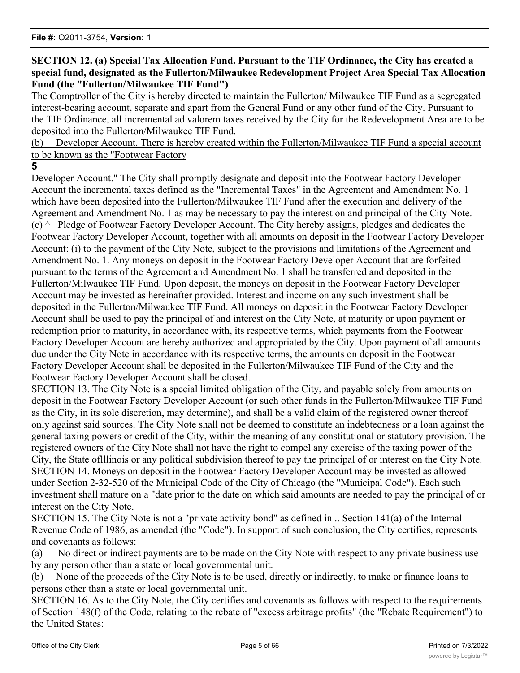## **SECTION 12. (a) Special Tax Allocation Fund. Pursuant to the TIF Ordinance, the City has created a special fund, designated as the Fullerton/Milwaukee Redevelopment Project Area Special Tax Allocation Fund (the "Fullerton/Milwaukee TIF Fund")**

The Comptroller of the City is hereby directed to maintain the Fullerton/ Milwaukee TIF Fund as a segregated interest-bearing account, separate and apart from the General Fund or any other fund of the City. Pursuant to the TIF Ordinance, all incremental ad valorem taxes received by the City for the Redevelopment Area are to be deposited into the Fullerton/Milwaukee TIF Fund.

(b) Developer Account. There is hereby created within the Fullerton/Milwaukee TIF Fund a special account to be known as the "Footwear Factory

### **5**

Developer Account." The City shall promptly designate and deposit into the Footwear Factory Developer Account the incremental taxes defined as the "Incremental Taxes" in the Agreement and Amendment No. 1 which have been deposited into the Fullerton/Milwaukee TIF Fund after the execution and delivery of the Agreement and Amendment No. 1 as may be necessary to pay the interest on and principal of the City Note.  $(c)$   $\land$  Pledge of Footwear Factory Developer Account. The City hereby assigns, pledges and dedicates the Footwear Factory Developer Account, together with all amounts on deposit in the Footwear Factory Developer Account: (i) to the payment of the City Note, subject to the provisions and limitations of the Agreement and Amendment No. 1. Any moneys on deposit in the Footwear Factory Developer Account that are forfeited pursuant to the terms of the Agreement and Amendment No. 1 shall be transferred and deposited in the Fullerton/Milwaukee TIF Fund. Upon deposit, the moneys on deposit in the Footwear Factory Developer Account may be invested as hereinafter provided. Interest and income on any such investment shall be deposited in the Fullerton/Milwaukee TIF Fund. All moneys on deposit in the Footwear Factory Developer Account shall be used to pay the principal of and interest on the City Note, at maturity or upon payment or redemption prior to maturity, in accordance with, its respective terms, which payments from the Footwear Factory Developer Account are hereby authorized and appropriated by the City. Upon payment of all amounts due under the City Note in accordance with its respective terms, the amounts on deposit in the Footwear Factory Developer Account shall be deposited in the Fullerton/Milwaukee TIF Fund of the City and the Footwear Factory Developer Account shall be closed.

SECTION 13. The City Note is a special limited obligation of the City, and payable solely from amounts on deposit in the Footwear Factory Developer Account (or such other funds in the Fullerton/Milwaukee TIF Fund as the City, in its sole discretion, may determine), and shall be a valid claim of the registered owner thereof only against said sources. The City Note shall not be deemed to constitute an indebtedness or a loan against the general taxing powers or credit of the City, within the meaning of any constitutional or statutory provision. The registered owners of the City Note shall not have the right to compel any exercise of the taxing power of the City, the State oflllinois or any political subdivision thereof to pay the principal of or interest on the City Note. SECTION 14. Moneys on deposit in the Footwear Factory Developer Account may be invested as allowed under Section 2-32-520 of the Municipal Code of the City of Chicago (the "Municipal Code"). Each such investment shall mature on a "date prior to the date on which said amounts are needed to pay the principal of or interest on the City Note.

SECTION 15. The City Note is not a "private activity bond" as defined in .. Section 141(a) of the Internal Revenue Code of 1986, as amended (the "Code"). In support of such conclusion, the City certifies, represents and covenants as follows:

(a) No direct or indirect payments are to be made on the City Note with respect to any private business use by any person other than a state or local governmental unit.

(b) None of the proceeds of the City Note is to be used, directly or indirectly, to make or finance loans to persons other than a state or local governmental unit.

SECTION 16. As to the City Note, the City certifies and covenants as follows with respect to the requirements of Section 148(f) of the Code, relating to the rebate of "excess arbitrage profits" (the "Rebate Requirement") to the United States: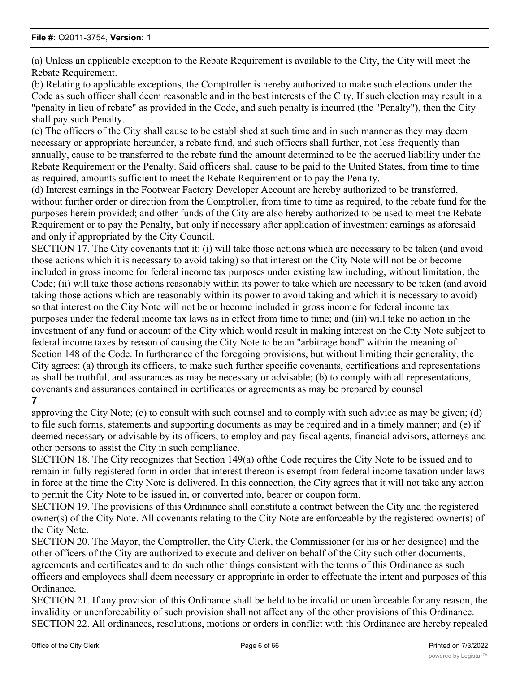(a) Unless an applicable exception to the Rebate Requirement is available to the City, the City will meet the Rebate Requirement.

(b) Relating to applicable exceptions, the Comptroller is hereby authorized to make such elections under the Code as such officer shall deem reasonable and in the best interests of the City. If such election may result in a "penalty in lieu of rebate" as provided in the Code, and such penalty is incurred (the "Penalty"), then the City shall pay such Penalty.

(c) The officers of the City shall cause to be established at such time and in such manner as they may deem necessary or appropriate hereunder, a rebate fund, and such officers shall further, not less frequently than annually, cause to be transferred to the rebate fund the amount determined to be the accrued liability under the Rebate Requirement or the Penalty. Said officers shall cause to be paid to the United States, from time to time as required, amounts sufficient to meet the Rebate Requirement or to pay the Penalty.

(d) Interest earnings in the Footwear Factory Developer Account are hereby authorized to be transferred, without further order or direction from the Comptroller, from time to time as required, to the rebate fund for the purposes herein provided; and other funds of the City are also hereby authorized to be used to meet the Rebate Requirement or to pay the Penalty, but only if necessary after application of investment earnings as aforesaid and only if appropriated by the City Council.

SECTION 17. The City covenants that it: (i) will take those actions which are necessary to be taken (and avoid those actions which it is necessary to avoid taking) so that interest on the City Note will not be or become included in gross income for federal income tax purposes under existing law including, without limitation, the Code; (ii) will take those actions reasonably within its power to take which are necessary to be taken (and avoid taking those actions which are reasonably within its power to avoid taking and which it is necessary to avoid) so that interest on the City Note will not be or become included in gross income for federal income tax purposes under the federal income tax laws as in effect from time to time; and (iii) will take no action in the investment of any fund or account of the City which would result in making interest on the City Note subject to federal income taxes by reason of causing the City Note to be an "arbitrage bond" within the meaning of Section 148 of the Code. In furtherance of the foregoing provisions, but without limiting their generality, the City agrees: (a) through its officers, to make such further specific covenants, certifications and representations as shall be truthful, and assurances as may be necessary or advisable; (b) to comply with all representations, covenants and assurances contained in certificates or agreements as may be prepared by counsel

# **7**

approving the City Note; (c) to consult with such counsel and to comply with such advice as may be given; (d) to file such forms, statements and supporting documents as may be required and in a timely manner; and (e) if deemed necessary or advisable by its officers, to employ and pay fiscal agents, financial advisors, attorneys and other persons to assist the City in such compliance.

SECTION 18. The City recognizes that Section 149(a) ofthe Code requires the City Note to be issued and to remain in fully registered form in order that interest thereon is exempt from federal income taxation under laws in force at the time the City Note is delivered. In this connection, the City agrees that it will not take any action to permit the City Note to be issued in, or converted into, bearer or coupon form.

SECTION 19. The provisions of this Ordinance shall constitute a contract between the City and the registered owner(s) of the City Note. All covenants relating to the City Note are enforceable by the registered owner(s) of the City Note.

SECTION 20. The Mayor, the Comptroller, the City Clerk, the Commissioner (or his or her designee) and the other officers of the City are authorized to execute and deliver on behalf of the City such other documents, agreements and certificates and to do such other things consistent with the terms of this Ordinance as such officers and employees shall deem necessary or appropriate in order to effectuate the intent and purposes of this Ordinance.

SECTION 21. If any provision of this Ordinance shall be held to be invalid or unenforceable for any reason, the invalidity or unenforceability of such provision shall not affect any of the other provisions of this Ordinance. SECTION 22. All ordinances, resolutions, motions or orders in conflict with this Ordinance are hereby repealed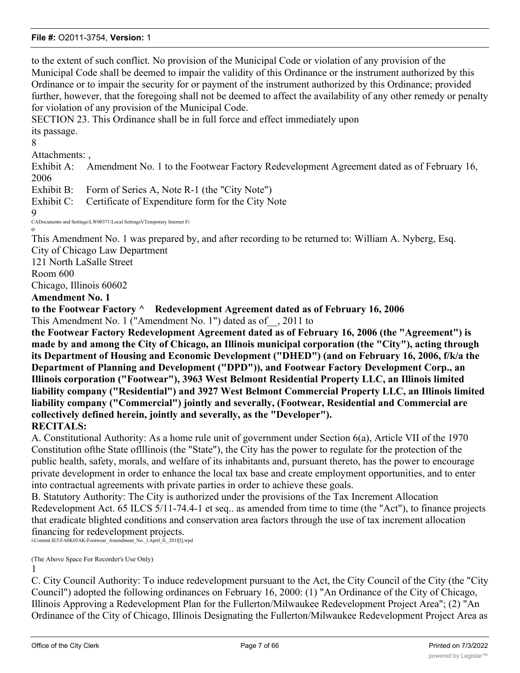to the extent of such conflict. No provision of the Municipal Code or violation of any provision of the Municipal Code shall be deemed to impair the validity of this Ordinance or the instrument authorized by this Ordinance or to impair the security for or payment of the instrument authorized by this Ordinance; provided further, however, that the foregoing shall not be deemed to affect the availability of any other remedy or penalty for violation of any provision of the Municipal Code.

SECTION 23. This Ordinance shall be in full force and effect immediately upon its passage.

8

Attachments: ,

Exhibit A: Amendment No. 1 to the Footwear Factory Redevelopment Agreement dated as of February 16, 2006

Exhibit B: Form of Series A, Note R-1 (the "City Note")

Exhibit C: Certificate of Expenditure form for the City Note

9

CADocuments and Settings\LW00371\Local SettingsVTemporary Internet Fi o

This Amendment No. 1 was prepared by, and after recording to be returned to: William A. Nyberg, Esq. City of Chicago Law Department

121 North LaSalle Street

Room 600

Chicago, Illinois 60602

## **Amendment No. 1**

**to the Footwear Factory ^ Redevelopment Agreement dated as of February 16, 2006** This Amendment No. 1 ("Amendment No. 1") dated as of\_\_, 2011 to

**the Footwear Factory Redevelopment Agreement dated as of February 16, 2006 (the "Agreement") is made by and among the City of Chicago, an Illinois municipal corporation (the "City"), acting through its Department of Housing and Economic Development ("DHED") (and on February 16, 2006, f/k/a the Department of Planning and Development ("DPD")), and Footwear Factory Development Corp., an Illinois corporation ("Footwear"), 3963 West Belmont Residential Property LLC, an Illinois limited liability company ("Residential") and 3927 West Belmont Commercial Property LLC, an Illinois limited liability company ("Commercial") jointly and severally, (Footwear, Residential and Commercial are collectively defined herein, jointly and severally, as the "Developer"). RECITALS:**

A. Constitutional Authority: As a home rule unit of government under Section 6(a), Article VII of the 1970 Constitution ofthe State oflllinois (the "State"), the City has the power to regulate for the protection of the public health, safety, morals, and welfare of its inhabitants and, pursuant thereto, has the power to encourage private development in order to enhance the local tax base and create employment opportunities, and to enter into contractual agreements with private parties in order to achieve these goals.

B. Statutory Authority: The City is authorized under the provisions of the Tax Increment Allocation Redevelopment Act. 65 ILCS 5/11-74.4-1 et seq.. as amended from time to time (the "Act"), to finance projects that eradicate blighted conditions and conservation area factors through the use of tax increment allocation financing for redevelopment projects.

i\Content.IE5\FA0K05AK\Footwear\_Amendment\_No.\_l.April\_ll,\_201l[l],wpd

(The Above Space For Recorder's Use Only) 1

C. City Council Authority: To induce redevelopment pursuant to the Act, the City Council of the City (the "City Council") adopted the following ordinances on February 16, 2000: (1) "An Ordinance of the City of Chicago, Illinois Approving a Redevelopment Plan for the Fullerton/Milwaukee Redevelopment Project Area"; (2) "An Ordinance of the City of Chicago, Illinois Designating the Fullerton/Milwaukee Redevelopment Project Area as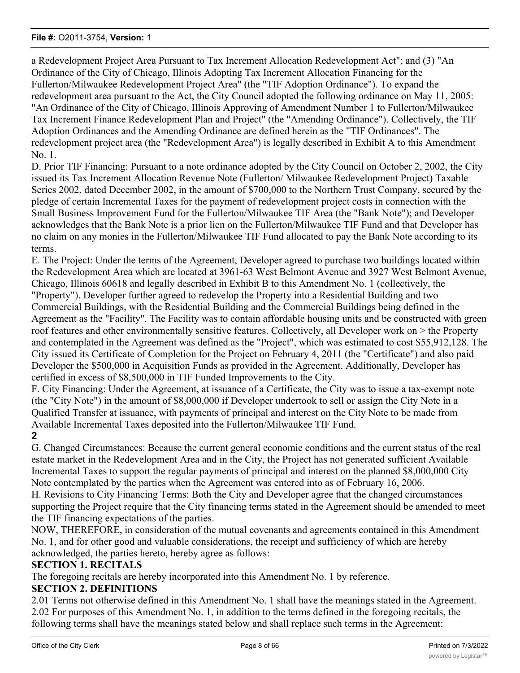a Redevelopment Project Area Pursuant to Tax Increment Allocation Redevelopment Act"; and (3) "An Ordinance of the City of Chicago, Illinois Adopting Tax Increment Allocation Financing for the Fullerton/Milwaukee Redevelopment Project Area" (the "TIF Adoption Ordinance"). To expand the redevelopment area pursuant to the Act, the City Council adopted the following ordinance on May 11, 2005: "An Ordinance of the City of Chicago, Illinois Approving of Amendment Number 1 to Fullerton/Milwaukee Tax Increment Finance Redevelopment Plan and Project" (the "Amending Ordinance"). Collectively, the TIF Adoption Ordinances and the Amending Ordinance are defined herein as the "TIF Ordinances". The redevelopment project area (the "Redevelopment Area") is legally described in Exhibit A to this Amendment No. 1.

D. Prior TIF Financing: Pursuant to a note ordinance adopted by the City Council on October 2, 2002, the City issued its Tax Increment Allocation Revenue Note (Fullerton/ Milwaukee Redevelopment Project) Taxable Series 2002, dated December 2002, in the amount of \$700,000 to the Northern Trust Company, secured by the pledge of certain Incremental Taxes for the payment of redevelopment project costs in connection with the Small Business Improvement Fund for the Fullerton/Milwaukee TIF Area (the "Bank Note"); and Developer acknowledges that the Bank Note is a prior lien on the Fullerton/Milwaukee TIF Fund and that Developer has no claim on any monies in the Fullerton/Milwaukee TIF Fund allocated to pay the Bank Note according to its terms.

E. The Project: Under the terms of the Agreement, Developer agreed to purchase two buildings located within the Redevelopment Area which are located at 3961-63 West Belmont Avenue and 3927 West Belmont Avenue, Chicago, Illinois 60618 and legally described in Exhibit B to this Amendment No. 1 (collectively, the "Property"). Developer further agreed to redevelop the Property into a Residential Building and two Commercial Buildings, with the Residential Building and the Commercial Buildings being defined in the Agreement as the "Facility". The Facility was to contain affordable housing units and be constructed with green roof features and other environmentally sensitive features. Collectively, all Developer work on > the Property and contemplated in the Agreement was defined as the "Project", which was estimated to cost \$55,912,128. The City issued its Certificate of Completion for the Project on February 4, 2011 (the "Certificate") and also paid Developer the \$500,000 in Acquisition Funds as provided in the Agreement. Additionally, Developer has certified in excess of \$8,500,000 in TIF Funded Improvements to the City.

F. City Financing: Under the Agreement, at issuance of a Certificate, the City was to issue a tax-exempt note (the "City Note") in the amount of \$8,000,000 if Developer undertook to sell or assign the City Note in a Qualified Transfer at issuance, with payments of principal and interest on the City Note to be made from Available Incremental Taxes deposited into the Fullerton/Milwaukee TIF Fund.

# **2**

G. Changed Circumstances: Because the current general economic conditions and the current status of the real estate market in the Redevelopment Area and in the City, the Project has not generated sufficient Available Incremental Taxes to support the regular payments of principal and interest on the planned \$8,000,000 City Note contemplated by the parties when the Agreement was entered into as of February 16, 2006.

H. Revisions to City Financing Terms: Both the City and Developer agree that the changed circumstances supporting the Project require that the City financing terms stated in the Agreement should be amended to meet the TIF financing expectations of the parties.

NOW, THEREFORE, in consideration of the mutual covenants and agreements contained in this Amendment No. 1, and for other good and valuable considerations, the receipt and sufficiency of which are hereby acknowledged, the parties hereto, hereby agree as follows:

# **SECTION 1. RECITALS**

The foregoing recitals are hereby incorporated into this Amendment No. 1 by reference.

# **SECTION 2. DEFINITIONS**

2.01 Terms not otherwise defined in this Amendment No. 1 shall have the meanings stated in the Agreement. 2.02 For purposes of this Amendment No. 1, in addition to the terms defined in the foregoing recitals, the following terms shall have the meanings stated below and shall replace such terms in the Agreement: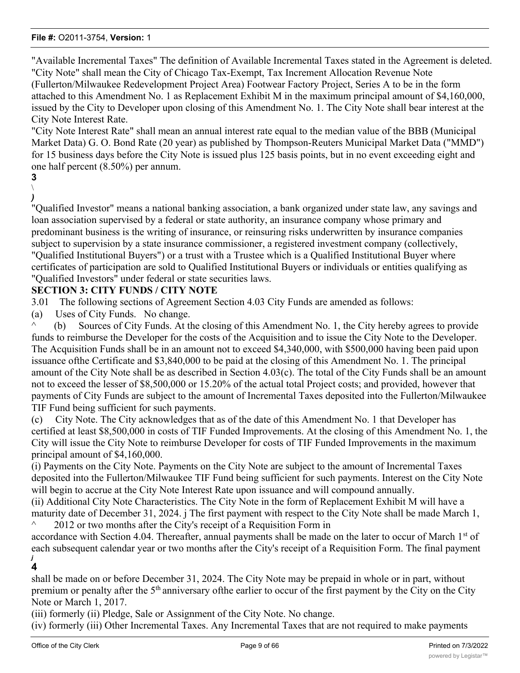"Available Incremental Taxes" The definition of Available Incremental Taxes stated in the Agreement is deleted. "City Note" shall mean the City of Chicago Tax-Exempt, Tax Increment Allocation Revenue Note (Fullerton/Milwaukee Redevelopment Project Area) Footwear Factory Project, Series A to be in the form attached to this Amendment No. 1 as Replacement Exhibit M in the maximum principal amount of \$4,160,000, issued by the City to Developer upon closing of this Amendment No. 1. The City Note shall bear interest at the City Note Interest Rate.

"City Note Interest Rate" shall mean an annual interest rate equal to the median value of the BBB (Municipal Market Data) G. O. Bond Rate (20 year) as published by Thompson-Reuters Municipal Market Data ("MMD") for 15 business days before the City Note is issued plus 125 basis points, but in no event exceeding eight and one half percent (8.50%) per annum.

# **3**

 $\setminus$ *)*

> "Qualified Investor" means a national banking association, a bank organized under state law, any savings and loan association supervised by a federal or state authority, an insurance company whose primary and predominant business is the writing of insurance, or reinsuring risks underwritten by insurance companies subject to supervision by a state insurance commissioner, a registered investment company (collectively, "Qualified Institutional Buyers") or a trust with a Trustee which is a Qualified Institutional Buyer where certificates of participation are sold to Qualified Institutional Buyers or individuals or entities qualifying as "Qualified Investors" under federal or state securities laws.

# **SECTION 3: CITY FUNDS / CITY NOTE**

3.01 The following sections of Agreement Section 4.03 City Funds are amended as follows:

(a) Uses of City Funds. No change.

^ (b) Sources of City Funds. At the closing of this Amendment No. 1, the City hereby agrees to provide funds to reimburse the Developer for the costs of the Acquisition and to issue the City Note to the Developer. The Acquisition Funds shall be in an amount not to exceed \$4,340,000, with \$500,000 having been paid upon issuance ofthe Certificate and \$3,840,000 to be paid at the closing of this Amendment No. 1. The principal amount of the City Note shall be as described in Section 4.03(c). The total of the City Funds shall be an amount not to exceed the lesser of \$8,500,000 or 15.20% of the actual total Project costs; and provided, however that payments of City Funds are subject to the amount of Incremental Taxes deposited into the Fullerton/Milwaukee TIF Fund being sufficient for such payments.

(c) City Note. The City acknowledges that as of the date of this Amendment No. 1 that Developer has certified at least \$8,500,000 in costs of TIF Funded Improvements. At the closing of this Amendment No. 1, the City will issue the City Note to reimburse Developer for costs of TIF Funded Improvements in the maximum principal amount of \$4,160,000.

(i) Payments on the City Note. Payments on the City Note are subject to the amount of Incremental Taxes deposited into the Fullerton/Milwaukee TIF Fund being sufficient for such payments. Interest on the City Note will begin to accrue at the City Note Interest Rate upon issuance and will compound annually.

(ii) Additional City Note Characteristics. The City Note in the form of Replacement Exhibit M will have a maturity date of December 31, 2024. j The first payment with respect to the City Note shall be made March 1,  $\sim$  2012 or two months after the City's receipt of a Requisition Form in

accordance with Section 4.04. Thereafter, annual payments shall be made on the later to occur of March 1<sup>st</sup> of each subsequent calendar year or two months after the City's receipt of a Requisition Form. The final payment *j*

**4**

shall be made on or before December 31, 2024. The City Note may be prepaid in whole or in part, without premium or penalty after the 5<sup>th</sup> anniversary of the earlier to occur of the first payment by the City on the City Note or March 1, 2017.

(iii) formerly (ii) Pledge, Sale or Assignment of the City Note. No change.

(iv) formerly (iii) Other Incremental Taxes. Any Incremental Taxes that are not required to make payments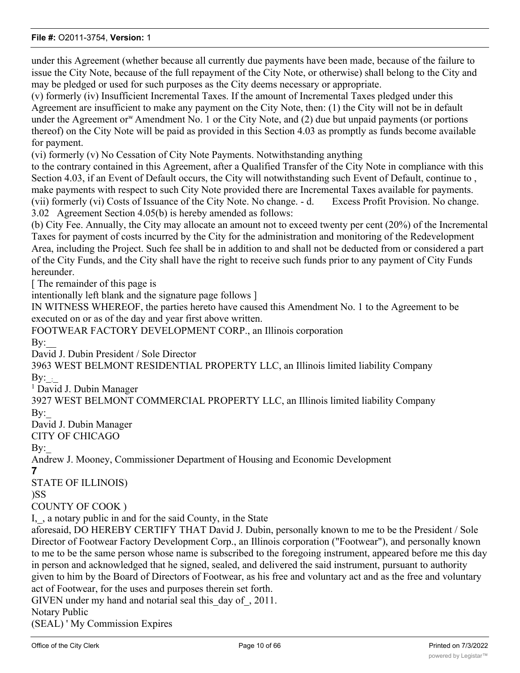under this Agreement (whether because all currently due payments have been made, because of the failure to issue the City Note, because of the full repayment of the City Note, or otherwise) shall belong to the City and may be pledged or used for such purposes as the City deems necessary or appropriate.

(v) formerly (iv) Insufficient Incremental Taxes. If the amount of Incremental Taxes pledged under this Agreement are insufficient to make any payment on the City Note, then: (1) the City will not be in default under the Agreement or<sup>w</sup> Amendment No. 1 or the City Note, and  $(2)$  due but unpaid payments (or portions thereof) on the City Note will be paid as provided in this Section 4.03 as promptly as funds become available for payment.

(vi) formerly (v) No Cessation of City Note Payments. Notwithstanding anything

to the contrary contained in this Agreement, after a Qualified Transfer of the City Note in compliance with this Section 4.03, if an Event of Default occurs, the City will notwithstanding such Event of Default, continue to , make payments with respect to such City Note provided there are Incremental Taxes available for payments. (vii) formerly (vi) Costs of Issuance of the City Note. No change. - d. Excess Profit Provision. No change. 3.02 Agreement Section 4.05(b) is hereby amended as follows:

(b) City Fee. Annually, the City may allocate an amount not to exceed twenty per cent (20%) of the Incremental Taxes for payment of costs incurred by the City for the administration and monitoring of the Redevelopment Area, including the Project. Such fee shall be in addition to and shall not be deducted from or considered a part of the City Funds, and the City shall have the right to receive such funds prior to any payment of City Funds hereunder.

[ The remainder of this page is

intentionally left blank and the signature page follows ]

IN WITNESS WHEREOF, the parties hereto have caused this Amendment No. 1 to the Agreement to be executed on or as of the day and year first above written.

FOOTWEAR FACTORY DEVELOPMENT CORP., an Illinois corporation

 $\bar{B}y$ :

David J. Dubin President / Sole Director

3963 WEST BELMONT RESIDENTIAL PROPERTY LLC, an Illinois limited liability Company By:  $\cdot$ 

<sup>1</sup> David J. Dubin Manager

3927 WEST BELMONT COMMERCIAL PROPERTY LLC, an Illinois limited liability Company By:

David J. Dubin Manager

CITY OF CHICAGO

### By:

Andrew J. Mooney, Commissioner Department of Housing and Economic Development

#### **7**

STATE OF ILLINOIS)

)SS

COUNTY OF COOK )

I, , a notary public in and for the said County, in the State

aforesaid, DO HEREBY CERTIFY THAT David J. Dubin, personally known to me to be the President / Sole Director of Footwear Factory Development Corp., an Illinois corporation ("Footwear"), and personally known to me to be the same person whose name is subscribed to the foregoing instrument, appeared before me this day in person and acknowledged that he signed, sealed, and delivered the said instrument, pursuant to authority given to him by the Board of Directors of Footwear, as his free and voluntary act and as the free and voluntary act of Footwear, for the uses and purposes therein set forth.

GIVEN under my hand and notarial seal this\_day of\_, 2011.

Notary Public

(SEAL) ' My Commission Expires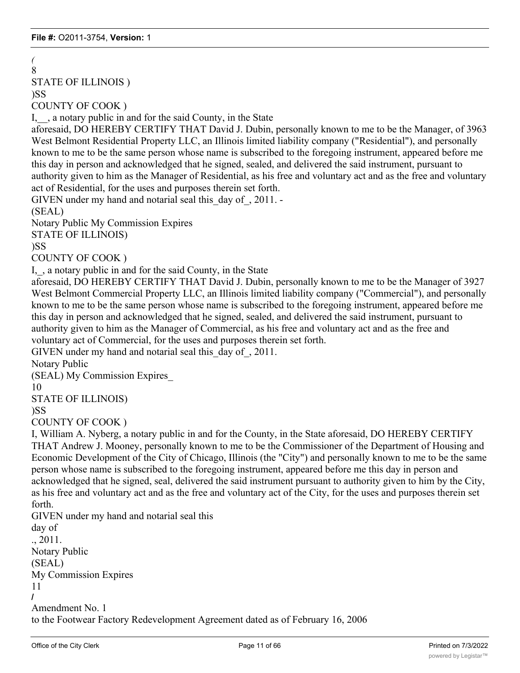#### *(* 8

STATE OF ILLINOIS )

### )SS

COUNTY OF COOK )

I, , a notary public in and for the said County, in the State

aforesaid, DO HEREBY CERTIFY THAT David J. Dubin, personally known to me to be the Manager, of 3963 West Belmont Residential Property LLC, an Illinois limited liability company ("Residential"), and personally known to me to be the same person whose name is subscribed to the foregoing instrument, appeared before me this day in person and acknowledged that he signed, sealed, and delivered the said instrument, pursuant to authority given to him as the Manager of Residential, as his free and voluntary act and as the free and voluntary act of Residential, for the uses and purposes therein set forth.

GIVEN under my hand and notarial seal this day of, 2011. -

(SEAL)

Notary Public My Commission Expires

STATE OF ILLINOIS)

)SS

COUNTY OF COOK )

I, , a notary public in and for the said County, in the State

aforesaid, DO HEREBY CERTIFY THAT David J. Dubin, personally known to me to be the Manager of 3927 West Belmont Commercial Property LLC, an Illinois limited liability company ("Commercial"), and personally known to me to be the same person whose name is subscribed to the foregoing instrument, appeared before me this day in person and acknowledged that he signed, sealed, and delivered the said instrument, pursuant to authority given to him as the Manager of Commercial, as his free and voluntary act and as the free and voluntary act of Commercial, for the uses and purposes therein set forth.

GIVEN under my hand and notarial seal this\_day of\_, 2011.

Notary Public

(SEAL) My Commission Expires\_

10

STATE OF ILLINOIS)

)SS

COUNTY OF COOK )

I, William A. Nyberg, a notary public in and for the County, in the State aforesaid, DO HEREBY CERTIFY THAT Andrew J. Mooney, personally known to me to be the Commissioner of the Department of Housing and Economic Development of the City of Chicago, Illinois (the "City") and personally known to me to be the same person whose name is subscribed to the foregoing instrument, appeared before me this day in person and acknowledged that he signed, seal, delivered the said instrument pursuant to authority given to him by the City, as his free and voluntary act and as the free and voluntary act of the City, for the uses and purposes therein set forth.

GIVEN under my hand and notarial seal this

```
day of
., 2011.
Notary Public
(SEAL)
My Commission Expires
11
/
Amendment No. 1
to the Footwear Factory Redevelopment Agreement dated as of February 16, 2006
```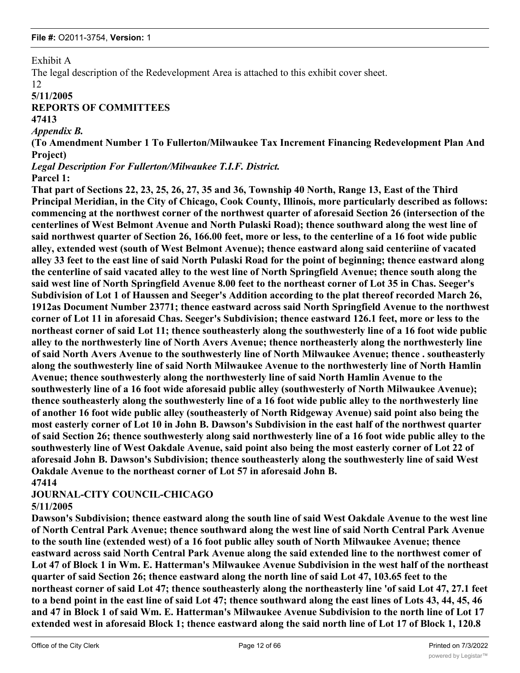Exhibit A

The legal description of the Redevelopment Area is attached to this exhibit cover sheet.

12

### **5/11/2005**

# **REPORTS OF COMMITTEES**

**47413**

### *Appendix B.*

**(To Amendment Number 1 To Fullerton/Milwaukee Tax Increment Financing Redevelopment Plan And Project)**

*Legal Description For Fullerton/Milwaukee T.I.F. District.* **Parcel 1:**

# **That part of Sections 22, 23, 25, 26, 27, 35 and 36, Township 40 North, Range 13, East of the Third Principal Meridian, in the City of Chicago, Cook County, Illinois, more particularly described as follows: commencing at the northwest corner of the northwest quarter of aforesaid Section 26 (intersection of the centerlines of West Belmont Avenue and North Pulaski Road); thence southward along the west line of said northwest quarter of Section 26, 166.00 feet, more or less, to the centerline of a 16 foot wide public alley, extended west (south of West Belmont Avenue); thence eastward along said centeriine of vacated alley 33 feet to the east line of said North Pulaski Road for the point of beginning; thence eastward along the centerline of said vacated alley to the west line of North Springfield Avenue; thence south along the said west line of North Springfield Avenue 8.00 feet to the northeast corner of Lot 35 in Chas. Seeger's Subdivision of Lot 1 of Haussen and Seeger's Addition according to the plat thereof recorded March 26, 1912as Document Number 23771; thence eastward across said North Springfield Avenue to the northwest corner of Lot 11 in aforesaid Chas. Seeger's Subdivision; thence eastward 126.1 feet, more or less to the northeast corner of said Lot 11; thence southeasterly along the southwesterly line of a 16 foot wide public alley to the northwesterly line of North Avers Avenue; thence northeasterly along the northwesterly line of said North Avers Avenue to the southwesterly line of North Milwaukee Avenue; thence . southeasterly along the southwesterly line of said North Milwaukee Avenue to the northwesterly line of North Hamlin Avenue; thence southwesterly along the northwesterly line of said North Hamlin Avenue to the southwesterly line of a 16 foot wide aforesaid public alley (southwesterly of North Milwaukee Avenue); thence southeasterly along the southwesterly line of a 16 foot wide public alley to the northwesterly line of another 16 foot wide public alley (southeasterly of North Ridgeway Avenue) said point also being the most easterly corner of Lot 10 in John B. Dawson's Subdivision in the east half of the northwest quarter of said Section 26; thence southwesterly along said northwesterly line of a 16 foot wide public alley to the southwesterly line of West Oakdale Avenue, said point also being the most easterly corner of Lot 22 of aforesaid John B. Dawson's Subdivision; thence southeasterly along the southwesterly line of said West Oakdale Avenue to the northeast corner of Lot 57 in aforesaid John B.**

# **47414**

# **JOURNAL-CITY COUNCIL-CHICAGO**

# **5/11/2005**

**Dawson's Subdivision; thence eastward along the south line of said West Oakdale Avenue to the west line of North Central Park Avenue; thence southward along the west line of said North Central Park Avenue to the south line (extended west) of a 16 foot public alley south of North Milwaukee Avenue; thence eastward across said North Central Park Avenue along the said extended line to the northwest comer of Lot 47 of Block 1 in Wm. E. Hatterman's Milwaukee Avenue Subdivision in the west half of the northeast quarter of said Section 26; thence eastward along the north line of said Lot 47, 103.65 feet to the northeast corner of said Lot 47; thence southeasterly along the northeasterly line 'of said Lot 47, 27.1 feet to a bend point in the east line of said Lot 47; thence southward along the east lines of Lots 43, 44, 45, 46 and 47 in Block 1 of said Wm. E. Hatterman's Milwaukee Avenue Subdivision to the north line of Lot 17 extended west in aforesaid Block 1; thence eastward along the said north line of Lot 17 of Block 1, 120.8**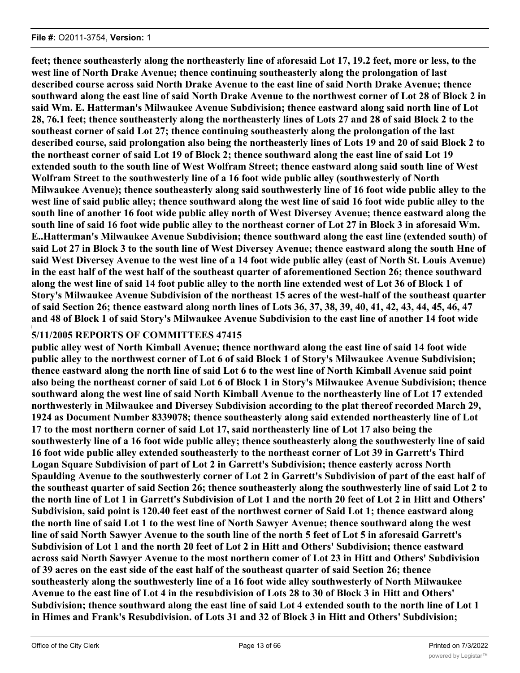**feet; thence southeasterly along the northeasterly line of aforesaid Lot 17, 19.2 feet, more or less, to the west line of North Drake Avenue; thence continuing southeasterly along the prolongation of last described course across said North Drake Avenue to the east line of said North Drake Avenue; thence southward along the east line of said North Drake Avenue to the northwest corner of Lot 28 of Block 2 in said Wm. E. Hatterman's Milwaukee Avenue Subdivision; thence eastward along said north line of Lot 28, 76.1 feet; thence southeasterly along the northeasterly lines of Lots 27 and 28 of said Block 2 to the southeast corner of said Lot 27; thence continuing southeasterly along the prolongation of the last described course, said prolongation also being the northeasterly lines of Lots 19 and 20 of said Block 2 to the northeast corner of said Lot 19 of Block 2; thence southward along the east line of said Lot 19 extended south to the south line of West Wolfram Street; thence eastward along said south line of West Wolfram Street to the southwesterly line of a 16 foot wide public alley (southwesterly of North Milwaukee Avenue); thence southeasterly along said southwesterly line of 16 foot wide public alley to the west line of said public alley; thence southward along the west line of said 16 foot wide public alley to the south line of another 16 foot wide public alley north of West Diversey Avenue; thence eastward along the south line of said 16 foot wide public alley to the northeast corner of Lot 27 in Block 3 in aforesaid Wm. E..Hatterman's Milwaukee Avenue Subdivision; thence southward along the east line (extended south) of said Lot 27 in Block 3 to the south line of West Diversey Avenue; thence eastward along the south Hne of said West Diversey Avenue to the west line of a 14 foot wide public alley (east of North St. Louis Avenue) in the east half of the west half of the southeast quarter of aforementioned Section 26; thence southward along the west line of said 14 foot public alley to the north line extended west of Lot 36 of Block 1 of Story's Milwaukee Avenue Subdivision of the northeast 15 acres of the west-half of the southeast quarter of said Section 26; thence eastward along north lines of Lots 36, 37, 38, 39, 40, 41, 42, 43, 44, 45, 46, 47 and 48 of Block 1 of said Story's Milwaukee Avenue Subdivision to the east line of another 14 foot wide**

#### **i 5/11/2005 REPORTS OF COMMITTEES 47415**

**public alley west of North Kimball Avenue; thence northward along the east line of said 14 foot wide public alley to the northwest corner of Lot 6 of said Block 1 of Story's Milwaukee Avenue Subdivision; thence eastward along the north line of said Lot 6 to the west line of North Kimball Avenue said point also being the northeast corner of said Lot 6 of Block 1 in Story's Milwaukee Avenue Subdivision; thence southward along the west line of said North Kimball Avenue to the northeasterly line of Lot 17 extended northwesterly in Milwaukee and Diversey Subdivision according to the plat thereof recorded March 29, 1924 as Document Number 8339078; thence southeasterly along said extended northeasterly line of Lot 17 to the most northern corner of said Lot 17, said northeasterly line of Lot 17 also being the southwesterly line of a 16 foot wide public alley; thence southeasterly along the southwesterly line of said 16 foot wide public alley extended southeasterly to the northeast corner of Lot 39 in Garrett's Third Logan Square Subdivision of part of Lot 2 in Garrett's Subdivision; thence easterly across North Spaulding Avenue to the southwesterly corner of Lot 2 in Garrett's Subdivision of part of the east half of the southeast quarter of said Section 26; thence southeasterly along the southwesterly line of said Lot 2 to the north line of Lot 1 in Garrett's Subdivision of Lot 1 and the north 20 feet of Lot 2 in Hitt and Others' Subdivision, said point is 120.40 feet east of the northwest corner of Said Lot 1; thence eastward along the north line of said Lot 1 to the west line of North Sawyer Avenue; thence southward along the west line of said North Sawyer Avenue to the south line of the north 5 feet of Lot 5 in aforesaid Garrett's Subdivision of Lot 1 and the north 20 feet of Lot 2 in Hitt and Others' Subdivision; thence eastward across said North Sawyer Avenue to the most northern comer of Lot 23 in Hitt and Others' Subdivision of 39 acres on the east side of the east half of the southeast quarter of said Section 26; thence southeasterly along the southwesterly line of a 16 foot wide alley southwesterly of North Milwaukee Avenue to the east line of Lot 4 in the resubdivision of Lots 28 to 30 of Block 3 in Hitt and Others' Subdivision; thence southward along the east line of said Lot 4 extended south to the north line of Lot 1 in Himes and Frank's Resubdivision. of Lots 31 and 32 of Block 3 in Hitt and Others' Subdivision;**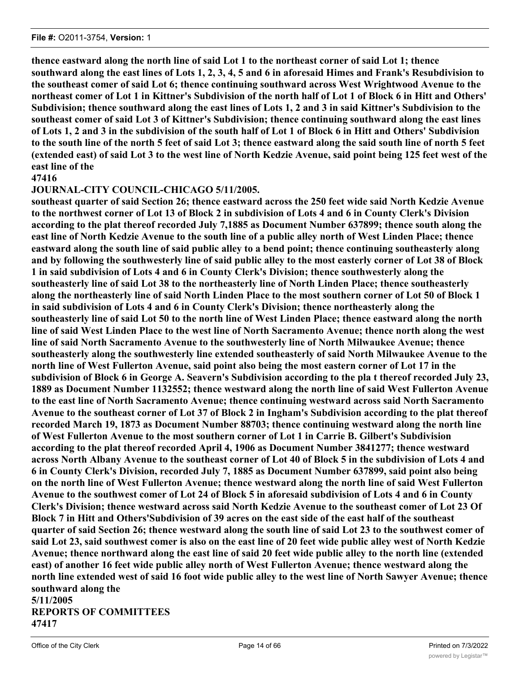**thence eastward along the north line of said Lot 1 to the northeast corner of said Lot 1; thence southward along the east lines of Lots 1, 2, 3, 4, 5 and 6 in aforesaid Himes and Frank's Resubdivision to the southeast comer of said Lot 6; thence continuing southward across West Wrightwood Avenue to the northeast comer of Lot 1 in Kittner's Subdivision of the north half of Lot 1 of Block 6 in Hitt and Others' Subdivision; thence southward along the east lines of Lots 1, 2 and 3 in said Kittner's Subdivision to the southeast comer of said Lot 3 of Kittner's Subdivision; thence continuing southward along the east lines of Lots 1, 2 and 3 in the subdivision of the south half of Lot 1 of Block 6 in Hitt and Others' Subdivision to the south line of the north 5 feet of said Lot 3; thence eastward along the said south line of north 5 feet (extended east) of said Lot 3 to the west line of North Kedzie Avenue, said point being 125 feet west of the east line of the**

### **47416**

### **JOURNAL-CITY COUNCIL-CHICAGO 5/11/2005.**

**southeast quarter of said Section 26; thence eastward across the 250 feet wide said North Kedzie Avenue to the northwest corner of Lot 13 of Block 2 in subdivision of Lots 4 and 6 in County Clerk's Division according to the plat thereof recorded July 7,1885 as Document Number 637899; thence south along the east line of North Kedzie Avenue to the south line of a public alley north of West Linden Place; thence eastward along the south line of said public alley to a bend point; thence continuing southeasterly along and by following the southwesterly line of said public alley to the most easterly corner of Lot 38 of Block 1 in said subdivision of Lots 4 and 6 in County Clerk's Division; thence southwesterly along the southeasterly line of said Lot 38 to the northeasterly line of North Linden Place; thence southeasterly along the northeasterly line of said North Linden Place to the most southern corner of Lot 50 of Block 1 in said subdivision of Lots 4 and 6 in County Clerk's Division; thence northeasterly along the southeasterly line of said Lot 50 to the north line of West Linden Place; thence eastward along the north line of said West Linden Place to the west line of North Sacramento Avenue; thence north along the west line of said North Sacramento Avenue to the southwesterly line of North Milwaukee Avenue; thence southeasterly along the southwesterly line extended southeasterly of said North Milwaukee Avenue to the north line of West Fullerton Avenue, said point also being the most eastern corner of Lot 17 in the subdivision of Block 6 in George A. Seavern's Subdivision according to the pla t thereof recorded July 23, 1889 as Document Number 1132552; thence westward along the north line of said West Fullerton Avenue to the east line of North Sacramento Avenue; thence continuing westward across said North Sacramento Avenue to the southeast corner of Lot 37 of Block 2 in Ingham's Subdivision according to the plat thereof recorded March 19, 1873 as Document Number 88703; thence continuing westward along the north line of West Fullerton Avenue to the most southern corner of Lot 1 in Carrie B. Gilbert's Subdivision according to the plat thereof recorded April 4, 1906 as Document Number 3841277; thence westward across North Albany Avenue to the southeast corner of Lot 40 of Block 5 in the subdivision of Lots 4 and 6 in County Clerk's Division, recorded July 7, 1885 as Document Number 637899, said point also being on the north line of West Fullerton Avenue; thence westward along the north line of said West Fullerton Avenue to the southwest comer of Lot 24 of Block 5 in aforesaid subdivision of Lots 4 and 6 in County Clerk's Division; thence westward across said North Kedzie Avenue to the southeast comer of Lot 23 Of Block 7 in Hitt and Others'Subdivision of 39 acres on the east side of the east half of the southeast quarter of said Section 26; thence westward along the south line of said Lot 23 to the southwest comer of said Lot 23, said southwest comer is also on the east line of 20 feet wide public alley west of North Kedzie Avenue; thence northward along the east line of said 20 feet wide public alley to the north line (extended east) of another 16 feet wide public alley north of West Fullerton Avenue; thence westward along the north line extended west of said 16 foot wide public alley to the west line of North Sawyer Avenue; thence southward along the 5/11/2005**

**REPORTS OF COMMITTEES 47417**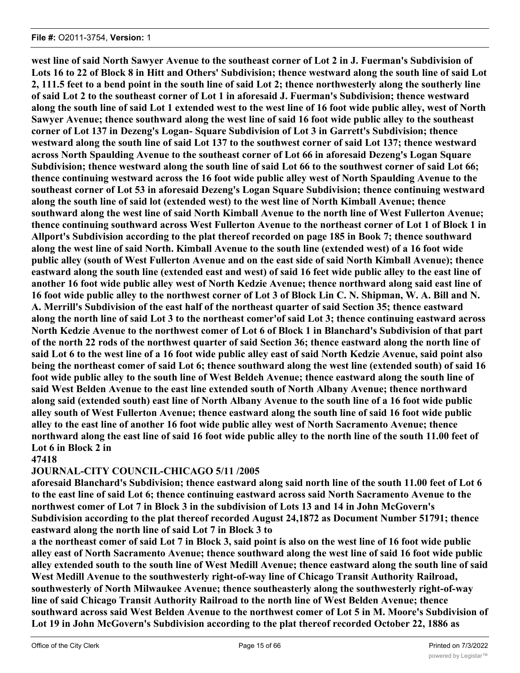**west line of said North Sawyer Avenue to the southeast corner of Lot 2 in J. Fuerman's Subdivision of Lots 16 to 22 of Block 8 in Hitt and Others' Subdivision; thence westward along the south line of said Lot 2, 111.5 feet to a bend point in the south line of said Lot 2; thence northwesterly along the southerly line of said Lot 2 to the southeast corner of Lot 1 in aforesaid J. Fuerman's Subdivision; thence westward along the south line of said Lot 1 extended west to the west line of 16 foot wide public alley, west of North Sawyer Avenue; thence southward along the west line of said 16 foot wide public alley to the southeast corner of Lot 137 in Dezeng's Logan- Square Subdivision of Lot 3 in Garrett's Subdivision; thence westward along the south line of said Lot 137 to the southwest corner of said Lot 137; thence westward across North Spaulding Avenue to the southeast corner of Lot 66 in aforesaid Dezeng's Logan Square Subdivision; thence westward along the south line of said Lot 66 to the southwest corner of said Lot 66; thence continuing westward across the 16 foot wide public alley west of North Spaulding Avenue to the southeast corner of Lot 53 in aforesaid Dezeng's Logan Square Subdivision; thence continuing westward along the south line of said lot (extended west) to the west line of North Kimball Avenue; thence southward along the west line of said North Kimball Avenue to the north line of West Fullerton Avenue; thence continuing southward across West Fullerton Avenue to the northeast corner of Lot 1 of Block 1 in Allport's Subdivision according to the plat thereof recorded on page 185 in Book 7; thence southward along the west line of said North. Kimball Avenue to the south line (extended west) of a 16 foot wide public alley (south of West Fullerton Avenue and on the east side of said North Kimball Avenue); thence eastward along the south line (extended east and west) of said 16 feet wide public alley to the east line of another 16 foot wide public alley west of North Kedzie Avenue; thence northward along said east line of 16 foot wide public alley to the northwest corner of Lot 3 of Block Lin C. N. Shipman, W. A. Bill and N. A. Merrill's Subdivision of the east half of the northeast quarter of said Section 35; thence eastward along the north line of said Lot 3 to the northeast comer'of said Lot 3; thence continuing eastward across North Kedzie Avenue to the northwest comer of Lot 6 of Block 1 in Blanchard's Subdivision of that part of the north 22 rods of the northwest quarter of said Section 36; thence eastward along the north line of said Lot 6 to the west line of a 16 foot wide public alley east of said North Kedzie Avenue, said point also being the northeast comer of said Lot 6; thence southward along the west line (extended south) of said 16 foot wide public alley to the south line of West Beldeh Avenue; thence eastward along the south line of said West Belden Avenue to the east line extended south of North Albany Avenue; thence northward along said (extended south) east line of North Albany Avenue to the south line of a 16 foot wide public alley south of West Fullerton Avenue; thence eastward along the south line of said 16 foot wide public alley to the east line of another 16 foot wide public alley west of North Sacramento Avenue; thence northward along the east line of said 16 foot wide public alley to the north line of the south 11.00 feet of Lot 6 in Block 2 in**

### **47418**

### **JOURNAL-CITY COUNCIL-CHICAGO 5/11 /2005**

**aforesaid Blanchard's Subdivision; thence eastward along said north line of the south 11.00 feet of Lot 6 to the east line of said Lot 6; thence continuing eastward across said North Sacramento Avenue to the northwest comer of Lot 7 in Block 3 in the subdivision of Lots 13 and 14 in John McGovern's Subdivision according to the plat thereof recorded August 24,1872 as Document Number 51791; thence eastward along the north line of said Lot 7 in Block 3 to**

**a the northeast comer of said Lot 7 in Block 3, said point is also on the west line of 16 foot wide public alley east of North Sacramento Avenue; thence southward along the west line of said 16 foot wide public alley extended south to the south line of West Medill Avenue; thence eastward along the south line of said West Medill Avenue to the southwesterly right-of-way line of Chicago Transit Authority Railroad, southwesterly of North Milwaukee Avenue; thence southeasterly along the southwesterly right-of-way line of said Chicago Transit Authority Railroad to the north line of West Belden Avenue; thence southward across said West Belden Avenue to the northwest comer of Lot 5 in M. Moore's Subdivision of Lot 19 in John McGovern's Subdivision according to the plat thereof recorded October 22, 1886 as**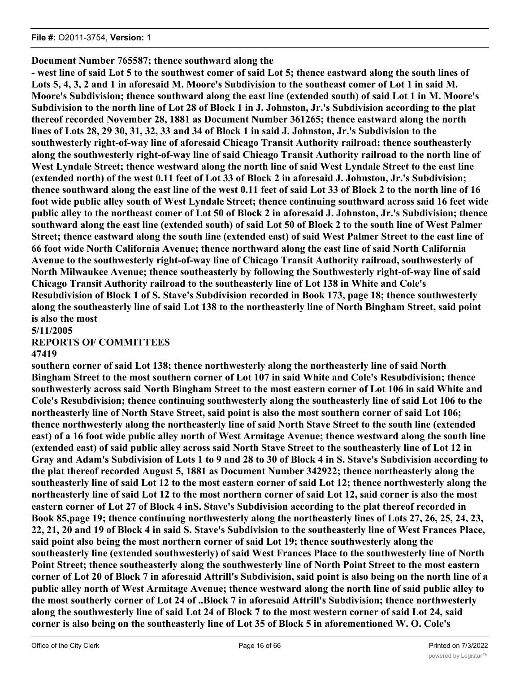## **Document Number 765587; thence southward along the**

**- west line of said Lot 5 to the southwest comer of said Lot 5; thence eastward along the south lines of Lots 5, 4, 3, 2 and 1 in aforesaid M. Moore's Subdivision to the southeast comer of Lot 1 in said M. Moore's Subdivision; thence southward along the east line (extended south) of said Lot 1 in M. Moore's Subdivision to the north line of Lot 28 of Block 1 in J. Johnston, Jr.'s Subdivision according to the plat thereof recorded November 28, 1881 as Document Number 361265; thence eastward along the north lines of Lots 28, 29 30, 31, 32, 33 and 34 of Block 1 in said J. Johnston, Jr.'s Subdivision to the southwesterly right-of-way line of aforesaid Chicago Transit Authority railroad; thence southeasterly along the southwesterly right-of-way line of said Chicago Transit Authority railroad to the north line of West Lyndale Street; thence westward along the north line of said West Lyndale Street to the east line (extended north) of the west 0.11 feet of Lot 33 of Block 2 in aforesaid J. Johnston, Jr.'s Subdivision; thence southward along the east line of the west 0.11 feet of said Lot 33 of Block 2 to the north line of 16 foot wide public alley south of West Lyndale Street; thence continuing southward across said 16 feet wide public alley to the northeast comer of Lot 50 of Block 2 in aforesaid J. Johnston, Jr.'s Subdivision; thence southward along the east line (extended south) of said Lot 50 of Block 2 to the south line of West Palmer Street; thence eastward along the south line (extended east) of said West Palmer Street to the east line of 66 foot wide North California Avenue; thence northward along the east line of said North California Avenue to the southwesterly right-of-way line of Chicago Transit Authority railroad, southwesterly of North Milwaukee Avenue; thence southeasterly by following the Southwesterly right-of-way line of said Chicago Transit Authority railroad to the southeasterly line of Lot 138 in White and Cole's Resubdivision of Block 1 of S. Stave's Subdivision recorded in Book 173, page 18; thence southwesterly along the southeasterly line of said Lot 138 to the northeasterly line of North Bingham Street, said point is also the most**

**5/11/2005**

**REPORTS OF COMMITTEES**

### **47419**

**southern corner of said Lot 138; thence northwesterly along the northeasterly line of said North Bingham Street to the most southern corner of Lot 107 in said White and Cole's Resubdivision; thence southwesterly across said North Bingham Street to the most eastern corner of Lot 106 in said White and Cole's Resubdivision; thence continuing southwesterly along the southeasterly line of said Lot 106 to the northeasterly line of North Stave Street, said point is also the most southern corner of said Lot 106; thence northwesterly along the northeasterly line of said North Stave Street to the south line (extended east) of a 16 foot wide public alley north of West Armitage Avenue; thence westward along the south line (extended east) of said public alley across said North Stave Street to the southeasterly line of Lot 12 in Gray and Adam's Subdivision of Lots 1 to 9 and 28 to 30 of Block 4 in S. Stave's Subdivision according to the plat thereof recorded August 5, 1881 as Document Number 342922; thence northeasterly along the southeasterly line of said Lot 12 to the most eastern corner of said Lot 12; thence northwesterly along the northeasterly line of said Lot 12 to the most northern corner of said Lot 12, said corner is also the most eastern corner of Lot 27 of Block 4 inS. Stave's Subdivision according to the plat thereof recorded in Book 85,page 19; thence continuing northwesterly along the northeasterly lines of Lots 27, 26, 25, 24, 23, 22, 21, 20 and 19 of Block 4 in said S. Stave's Subdivision to the southeasterly line of West Frances Place, said point also being the most northern corner of said Lot 19; thence southwesterly along the southeasterly line (extended southwesterly) of said West Frances Place to the southwesterly line of North Point Street; thence southeasterly along the southwesterly line of North Point Street to the most eastern corner of Lot 20 of Block 7 in aforesaid Attrill's Subdivision, said point is also being on the north line of a public alley north of West Armitage Avenue; thence westward along the north line of said public alley to the most southerly corner of Lot 24 of ..Block 7 in aforesaid Attrill's Subdivision; thence northwesterly along the southwesterly line of said Lot 24 of Block 7 to the most western corner of said Lot 24, said corner is also being on the southeasterly line of Lot 35 of Block 5 in aforementioned W. O. Cole's**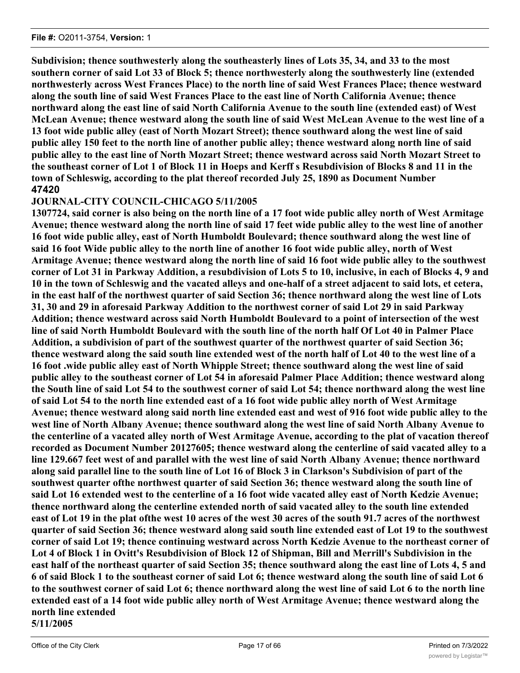**Subdivision; thence southwesterly along the southeasterly lines of Lots 35, 34, and 33 to the most southern corner of said Lot 33 of Block 5; thence northwesterly along the southwesterly line (extended northwesterly across West Frances Place) to the north line of said West Frances Place; thence westward along the south line of said West Frances Place to the east line of North California Avenue; thence northward along the east line of said North California Avenue to the south line (extended east) of West McLean Avenue; thence westward along the south line of said West McLean Avenue to the west line of a 13 foot wide public alley (east of North Mozart Street); thence southward along the west line of said public alley 150 feet to the north line of another public alley; thence westward along north line of said public alley to the east line of North Mozart Street; thence westward across said North Mozart Street to the southeast corner of Lot 1 of Block 11 in Hoeps and Kerff s Resubdivision of Blocks 8 and 11 in the town of Schleswig, according to the plat thereof recorded July 25, 1890 as Document Number 47420**

# **JOURNAL-CITY COUNCIL-CHICAGO 5/11/2005**

**1307724, said corner is also being on the north line of a 17 foot wide public alley north of West Armitage Avenue; thence westward along the north line of said 17 feet wide public alley to the west line of another 16 foot wide public alley, east of North Humboldt Boulevard; thence southward along the west line of said 16 foot Wide public alley to the north line of another 16 foot wide public alley, north of West Armitage Avenue; thence westward along the north line of said 16 foot wide public alley to the southwest corner of Lot 31 in Parkway Addition, a resubdivision of Lots 5 to 10, inclusive, in each of Blocks 4, 9 and 10 in the town of Schleswig and the vacated alleys and one-half of a street adjacent to said lots, et cetera, in the east half of the northwest quarter of said Section 36; thence northward along the west line of Lots 31, 30 and 29 in aforesaid Parkway Addition to the northwest corner of said Lot 29 in said Parkway Addition; thence westward across said North Humboldt Boulevard to a point of intersection of the west line of said North Humboldt Boulevard with the south line of the north half Of Lot 40 in Palmer Place Addition, a subdivision of part of the southwest quarter of the northwest quarter of said Section 36; thence westward along the said south line extended west of the north half of Lot 40 to the west line of a 16 foot .wide public alley east of North Whipple Street; thence southward along the west line of said public alley to the southeast corner of Lot 54 in aforesaid Palmer Place Addition; thence westward along the South line of said Lot 54 to the southwest corner of said Lot 54; thence northward along the west line of said Lot 54 to the north line extended east of a 16 foot wide public alley north of West Armitage Avenue; thence westward along said north line extended east and west of 916 foot wide public alley to the west line of North Albany Avenue; thence southward along the west line of said North Albany Avenue to the centerline of a vacated alley north of West Armitage Avenue, according to the plat of vacation thereof recorded as Document Number 20127605; thence westward along the centerline of said vacated alley to a line 129.667 feet west of and parallel with the west line of said North Albany Avenue; thence northward along said parallel line to the south line of Lot 16 of Block 3 in Clarkson's Subdivision of part of the southwest quarter ofthe northwest quarter of said Section 36; thence westward along the south line of said Lot 16 extended west to the centerline of a 16 foot wide vacated alley east of North Kedzie Avenue; thence northward along the centerline extended north of said vacated alley to the south line extended east of Lot 19 in the plat ofthe west 10 acres of the west 30 acres of the south 91.7 acres of the northwest quarter of said Section 36; thence westward along said south line extended east of Lot 19 to the southwest corner of said Lot 19; thence continuing westward across North Kedzie Avenue to the northeast corner of Lot 4 of Block 1 in Ovitt's Resubdivision of Block 12 of Shipman, Bill and Merrill's Subdivision in the east half of the northeast quarter of said Section 35; thence southward along the east line of Lots 4, 5 and 6 of said Block 1 to the southeast corner of said Lot 6; thence westward along the south line of said Lot 6 to the southwest corner of said Lot 6; thence northward along the west line of said Lot 6 to the north line extended east of a 14 foot wide public alley north of West Armitage Avenue; thence westward along the north line extended 5/11/2005**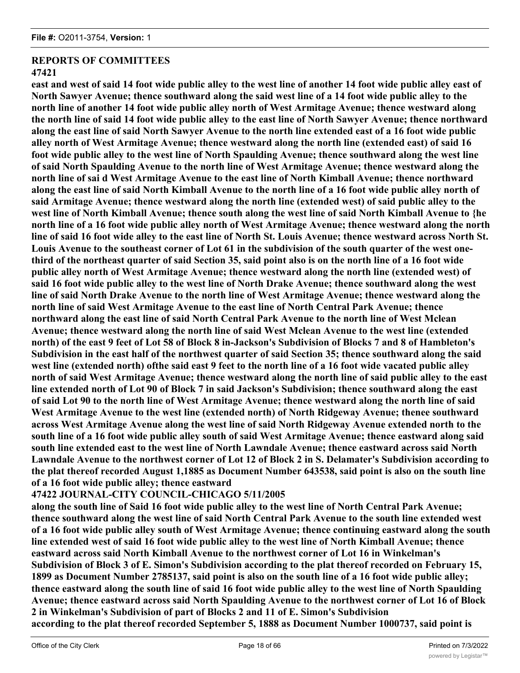# **REPORTS OF COMMITTEES**

## **47421**

**east and west of said 14 foot wide public alley to the west line of another 14 foot wide public alley east of North Sawyer Avenue; thence southward along the said west line of a 14 foot wide public alley to the north line of another 14 foot wide public alley north of West Armitage Avenue; thence westward along the north line of said 14 foot wide public alley to the east line of North Sawyer Avenue; thence northward along the east line of said North Sawyer Avenue to the north line extended east of a 16 foot wide public alley north of West Armitage Avenue; thence westward along the north line (extended east) of said 16 foot wide public alley to the west line of North Spaulding Avenue; thence southward along the west line of said North Spaulding Avenue to the north line of West Armitage Avenue; thence westward along the north line of sai d West Armitage Avenue to the east line of North Kimball Avenue; thence northward along the east line of said North Kimball Avenue to the north line of a 16 foot wide public alley north of said Armitage Avenue; thence westward along the north line (extended west) of said public alley to the west line of North Kimball Avenue; thence south along the west line of said North Kimball Avenue to {he north line of a 16 foot wide public alley north of West Armitage Avenue; thence westward along the north line of said 16 foot wide alley to the east line of North St. Louis Avenue; thence westward across North St. Louis Avenue to the southeast corner of Lot 61 in the subdivision of the south quarter of the west onethird of the northeast quarter of said Section 35, said point also is on the north line of a 16 foot wide public alley north of West Armitage Avenue; thence westward along the north line (extended west) of said 16 foot wide public alley to the west line of North Drake Avenue; thence southward along the west line of said North Drake Avenue to the north line of West Armitage Avenue; thence westward along the north line of said West Armitage Avenue to the east line of North Central Park Avenue; thence northward along the east line of said North Central Park Avenue to the north line of West Mclean Avenue; thence westward along the north line of said West Mclean Avenue to the west line (extended north) of the east 9 feet of Lot 58 of Block 8 in-Jackson's Subdivision of Blocks 7 and 8 of Hambleton's Subdivision in the east half of the northwest quarter of said Section 35; thence southward along the said west line (extended north) ofthe said east 9 feet to the north line of a 16 foot wide vacated public alley north of said West Armitage Avenue; thence westward along the north line of said public alley to the east line extended north of Lot 90 of Block 7 in said Jackson's Subdivision; thence southward along the east of said Lot 90 to the north line of West Armitage Avenue; thence westward along the north line of said West Armitage Avenue to the west line (extended north) of North Ridgeway Avenue; thenee southward across West Armitage Avenue along the west line of said North Ridgeway Avenue extended north to the south line of a 16 foot wide public alley south of said West Armitage Avenue; thence eastward along said south line extended east to the west line of North Lawndale Avenue; thence eastward across said North Lawndale Avenue to the northwest corner of Lot 12 of Block 2 in S. Delamater's Subdivision according to the plat thereof recorded August 1,1885 as Document Number 643538, said point is also on the south line of a 16 foot wide public alley; thence eastward**

# **47422 JOURNAL-CITY COUNCIL-CHICAGO 5/11/2005**

**along the south line of Said 16 foot wide public alley to the west line of North Central Park Avenue; thence southward along the west line of said North Central Park Avenue to the south line extended west of a 16 foot wide public alley south of West Armitage Avenue; thence continuing eastward along the south line extended west of said 16 foot wide public alley to the west line of North Kimball Avenue; thence eastward across said North Kimball Avenue to the northwest corner of Lot 16 in Winkelman's Subdivision of Block 3 of E. Simon's Subdivision according to the plat thereof recorded on February 15, 1899 as Document Number 2785137, said point is also on the south line of a 16 foot wide public alley; thence eastward along the south line of said 16 foot wide public alley to the west line of North Spaulding Avenue; thence eastward across said North Spaulding Avenue to the northwest corner of Lot 16 of Block 2 in Winkelman's Subdivision of part of Blocks 2 and 11 of E. Simon's Subdivision according to the plat thereof recorded September 5, 1888 as Document Number 1000737, said point is**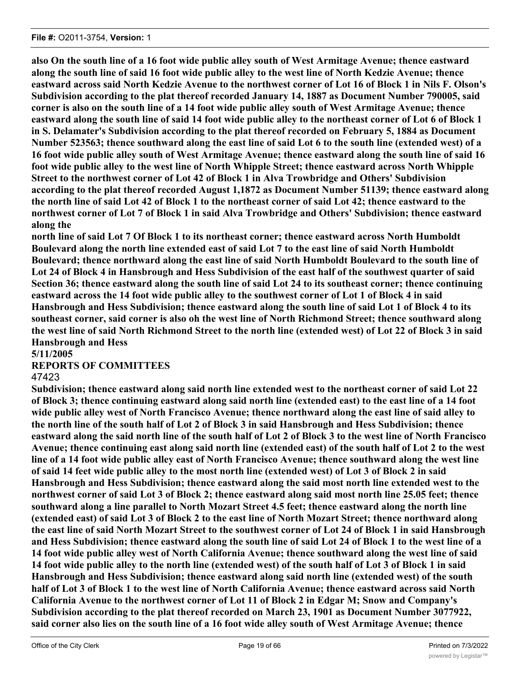**also On the south line of a 16 foot wide public alley south of West Armitage Avenue; thence eastward along the south line of said 16 foot wide public alley to the west line of North Kedzie Avenue; thence eastward across said North Kedzie Avenue to the northwest corner of Lot 16 of Block 1 in Nils F. Olson's Subdivision according to the plat thereof recorded January 14, 1887 as Document Number 790005, said corner is also on the south line of a 14 foot wide public alley south of West Armitage Avenue; thence eastward along the south line of said 14 foot wide public alley to the northeast corner of Lot 6 of Block 1 in S. Delamater's Subdivision according to the plat thereof recorded on February 5, 1884 as Document Number 523563; thence southward along the east line of said Lot 6 to the south line (extended west) of a 16 foot wide public alley south of West Armitage Avenue; thence eastward along the south line of said 16 foot wide public alley to the west line of North Whipple Street; thence eastward across North Whipple Street to the northwest corner of Lot 42 of Block 1 in Alva Trowbridge and Others' Subdivision according to the plat thereof recorded August 1,1872 as Document Number 51139; thence eastward along the north line of said Lot 42 of Block 1 to the northeast corner of said Lot 42; thence eastward to the northwest corner of Lot 7 of Block 1 in said Alva Trowbridge and Others' Subdivision; thence eastward along the**

**north line of said Lot 7 Of Block 1 to its northeast corner; thence eastward across North Humboldt Boulevard along the north line extended east of said Lot 7 to the east line of said North Humboldt Boulevard; thence northward along the east line of said North Humboldt Boulevard to the south line of Lot 24 of Block 4 in Hansbrough and Hess Subdivision of the east half of the southwest quarter of said Section 36; thence eastward along the south line of said Lot 24 to its southeast corner; thence continuing eastward across the 14 foot wide public alley to the southwest corner of Lot 1 of Block 4 in said Hansbrough and Hess Subdivision; thence eastward along the south line of said Lot 1 of Block 4 to its southeast corner, said corner is also oh the west line of North Richmond Street; thence southward along the west line of said North Richmond Street to the north line (extended west) of Lot 22 of Block 3 in said Hansbrough and Hess**

**5/11/2005**

### **REPORTS OF COMMITTEES**

### 47423

**Subdivision; thence eastward along said north line extended west to the northeast corner of said Lot 22 of Block 3; thence continuing eastward along said north line (extended east) to the east line of a 14 foot wide public alley west of North Francisco Avenue; thence northward along the east line of said alley to the north line of the south half of Lot 2 of Block 3 in said Hansbrough and Hess Subdivision; thence eastward along the said north line of the south half of Lot 2 of Block 3 to the west line of North Francisco Avenue; thence continuing east along said north line (extended east) of the south half of Lot 2 to the west line of a 14 foot wide public alley east of North Francisco Avenue; thence southward along the west line of said 14 feet wide public alley to the most north line (extended west) of Lot 3 of Block 2 in said Hansbrough and Hess Subdivision; thence eastward along the said most north line extended west to the northwest corner of said Lot 3 of Block 2; thence eastward along said most north line 25.05 feet; thence southward along a line parallel to North Mozart Street 4.5 feet; thence eastward along the north line (extended east) of said Lot 3 of Block 2 to the east line of North Mozart Street; thence northward along the east line of said North Mozart Street to the southwest corner of Lot 24 of Block 1 in said Hansbrough and Hess Subdivision; thence eastward along the south line of said Lot 24 of Block 1 to the west line of a 14 foot wide public alley west of North California Avenue; thence southward along the west line of said 14 foot wide public alley to the north line (extended west) of the south half of Lot 3 of Block 1 in said Hansbrough and Hess Subdivision; thence eastward along said north line (extended west) of the south half of Lot 3 of Block 1 to the west line of North California Avenue; thence eastward across said North California Avenue to the northwest corner of Lot 11 of Block 2 in Edgar M; Snow and Company's Subdivision according to the plat thereof recorded on March 23, 1901 as Document Number 3077922, said corner also lies on the south line of a 16 foot wide alley south of West Armitage Avenue; thence**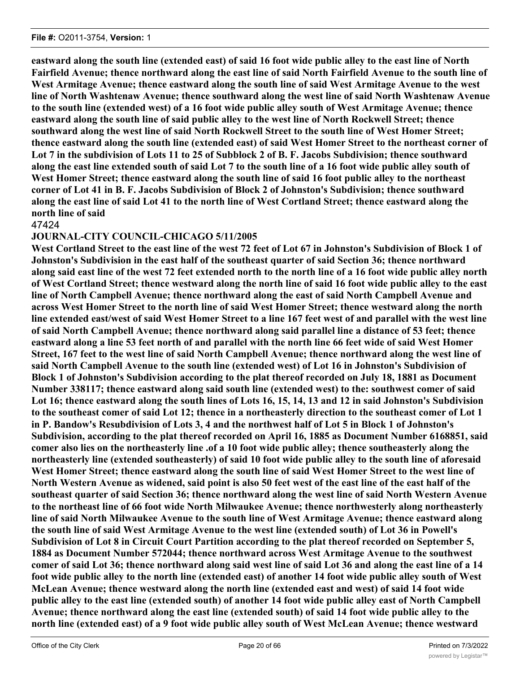**eastward along the south line (extended east) of said 16 foot wide public alley to the east line of North Fairfield Avenue; thence northward along the east line of said North Fairfield Avenue to the south line of West Armitage Avenue; thence eastward along the south line of said West Armitage Avenue to the west line of North Washtenaw Avenue; thence southward along the west line of said North Washtenaw Avenue to the south line (extended west) of a 16 foot wide public alley south of West Armitage Avenue; thence eastward along the south line of said public alley to the west line of North Rockwell Street; thence southward along the west line of said North Rockwell Street to the south line of West Homer Street; thence eastward along the south line (extended east) of said West Homer Street to the northeast corner of Lot 7 in the subdivision of Lots 11 to 25 of Subblock 2 of B. F. Jacobs Subdivision; thence southward along the east line extended south of said Lot 7 to the south line of a 16 foot wide public alley south of West Homer Street; thence eastward along the south line of said 16 foot public alley to the northeast corner of Lot 41 in B. F. Jacobs Subdivision of Block 2 of Johnston's Subdivision; thence southward along the east line of said Lot 41 to the north line of West Cortland Street; thence eastward along the north line of said**

47424

## **JOURNAL-CITY COUNCIL-CHICAGO 5/11/2005**

**West Cortland Street to the east line of the west 72 feet of Lot 67 in Johnston's Subdivision of Block 1 of Johnston's Subdivision in the east half of the southeast quarter of said Section 36; thence northward along said east line of the west 72 feet extended north to the north line of a 16 foot wide public alley north of West Cortland Street; thence westward along the north line of said 16 foot wide public alley to the east line of North Campbell Avenue; thence northward along the east of said North Campbell Avenue and across West Homer Street to the north line of said West Homer Street; thence westward along the north line extended east/west of said West Homer Street to a line 167 feet west of and parallel with the west line of said North Campbell Avenue; thence northward along said parallel line a distance of 53 feet; thence eastward along a line 53 feet north of and parallel with the north line 66 feet wide of said West Homer Street, 167 feet to the west line of said North Campbell Avenue; thence northward along the west line of said North Campbell Avenue to the south line (extended west) of Lot 16 in Johnston's Subdivision of Block 1 of Johnston's Subdivision according to the plat thereof recorded on July 18, 1881 as Document Number 338117; thence eastward along said south line (extended west) to the: southwest comer of said Lot 16; thence eastward along the south lines of Lots 16, 15, 14, 13 and 12 in said Johnston's Subdivision to the southeast comer of said Lot 12; thence in a northeasterly direction to the southeast comer of Lot 1 in P. Bandow's Resubdivision of Lots 3, 4 and the northwest half of Lot 5 in Block 1 of Johnston's Subdivision, according to the plat thereof recorded on April 16, 1885 as Document Number 6168851, said comer also lies on the northeasterly line .of a 10 foot wide public alley; thence southeasterly along the northeasterly line (extended southeasterly) of said 10 foot wide public alley to the south line of aforesaid West Homer Street; thence eastward along the south line of said West Homer Street to the west line of North Western Avenue as widened, said point is also 50 feet west of the east line of the east half of the southeast quarter of said Section 36; thence northward along the west line of said North Western Avenue to the northeast line of 66 foot wide North Milwaukee Avenue; thence northwesterly along northeasterly line of said North Milwaukee Avenue to the south line of West Armitage Avenue; thence eastward along the south line of said West Armitage Avenue to the west line (extended south) of Lot 36 in Powell's Subdivision of Lot 8 in Circuit Court Partition according to the plat thereof recorded on September 5, 1884 as Document Number 572044; thence northward across West Armitage Avenue to the southwest comer of said Lot 36; thence northward along said west line of said Lot 36 and along the east line of a 14 foot wide public alley to the north line (extended east) of another 14 foot wide public alley south of West McLean Avenue; thence westward along the north line (extended east and west) of said 14 foot wide public alley to the east line (extended south) of another 14 foot wide public alley east of North Campbell Avenue; thence northward along the east line (extended south) of said 14 foot wide public alley to the north line (extended east) of a 9 foot wide public alley south of West McLean Avenue; thence westward**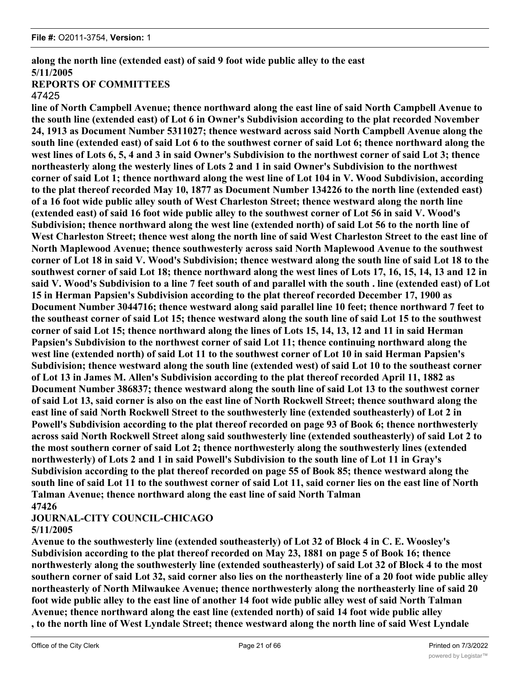# **along the north line (extended east) of said 9 foot wide public alley to the east 5/11/2005**

# **REPORTS OF COMMITTEES**

### 47425

**line of North Campbell Avenue; thence northward along the east line of said North Campbell Avenue to the south line (extended east) of Lot 6 in Owner's Subdivision according to the plat recorded November 24, 1913 as Document Number 5311027; thence westward across said North Campbell Avenue along the south line (extended east) of said Lot 6 to the southwest corner of said Lot 6; thence northward along the west lines of Lots 6, 5, 4 and 3 in said Owner's Subdivision to the northwest corner of said Lot 3; thence northeasterly along the westerly lines of Lots 2 and 1 in said Owner's Subdivision to the northwest corner of said Lot 1; thence northward along the west line of Lot 104 in V. Wood Subdivision, according to the plat thereof recorded May 10, 1877 as Document Number 134226 to the north line (extended east) of a 16 foot wide public alley south of West Charleston Street; thence westward along the north line (extended east) of said 16 foot wide public alley to the southwest corner of Lot 56 in said V. Wood's Subdivision; thence northward along the west line (extended north) of said Lot 56 to the north line of West Charleston Street; thence west along the north line of said West Charleston Street to the east line of North Maplewood Avenue; thence southwesterly across said North Maplewood Avenue to the southwest corner of Lot 18 in said V. Wood's Subdivision; thence westward along the south line of said Lot 18 to the southwest corner of said Lot 18; thence northward along the west lines of Lots 17, 16, 15, 14, 13 and 12 in said V. Wood's Subdivision to a line 7 feet south of and parallel with the south . line (extended east) of Lot 15 in Herman Papsien's Subdivision according to the plat thereof recorded December 17, 1900 as Document Number 3044716; thence westward along said parallel line 10 feet; thence northward 7 feet to the southeast corner of said Lot 15; thence westward along the south line of said Lot 15 to the southwest corner of said Lot 15; thence northward along the lines of Lots 15, 14, 13, 12 and 11 in said Herman Papsien's Subdivision to the northwest corner of said Lot 11; thence continuing northward along the west line (extended north) of said Lot 11 to the southwest corner of Lot 10 in said Herman Papsien's Subdivision; thence westward along the south line (extended west) of said Lot 10 to the southeast corner of Lot 13 in James M. Allen's Subdivision according to the plat thereof recorded April 11, 1882 as Document Number 386837; thence westward along the south line of said Lot 13 to the southwest corner of said Lot 13, said corner is also on the east line of North Rockwell Street; thence southward along the east line of said North Rockwell Street to the southwesterly line (extended southeasterly) of Lot 2 in Powell's Subdivision according to the plat thereof recorded on page 93 of Book 6; thence northwesterly across said North Rockwell Street along said southwesterly line (extended southeasterly) of said Lot 2 to the most southern corner of said Lot 2; thence northwesterly along the southwesterly lines (extended northwesterly) of Lots 2 and 1 in said Powell's Subdivision to the south line of Lot 11 in Gray's Subdivision according to the plat thereof recorded on page 55 of Book 85; thence westward along the south line of said Lot 11 to the southwest corner of said Lot 11, said corner lies on the east line of North Talman Avenue; thence northward along the east line of said North Talman 47426**

# **JOURNAL-CITY COUNCIL-CHICAGO**

### **5/11/2005**

**Avenue to the southwesterly line (extended southeasterly) of Lot 32 of Block 4 in C. E. Woosley's Subdivision according to the plat thereof recorded on May 23, 1881 on page 5 of Book 16; thence northwesterly along the southwesterly line (extended southeasterly) of said Lot 32 of Block 4 to the most southern corner of said Lot 32, said corner also lies on the northeasterly line of a 20 foot wide public alley northeasterly of North Milwaukee Avenue; thence northwesterly along the northeasterly line of said 20 foot wide public alley to the east line of another 14 foot wide public alley west of said North Talman Avenue; thence northward along the east line (extended north) of said 14 foot wide public alley , to the north line of West Lyndale Street; thence westward along the north line of said West Lyndale**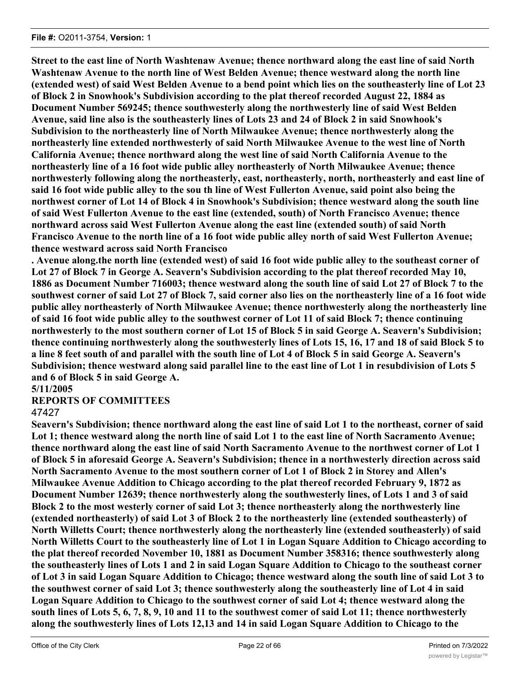**Street to the east line of North Washtenaw Avenue; thence northward along the east line of said North Washtenaw Avenue to the north line of West Belden Avenue; thence westward along the north line (extended west) of said West Belden Avenue to a bend point which lies on the southeasterly line of Lot 23 of Block 2 in Snowhook's Subdivision according to the plat thereof recorded August 22, 1884 as Document Number 569245; thence southwesterly along the northwesterly line of said West Belden Avenue, said line also is the southeasterly lines of Lots 23 and 24 of Block 2 in said Snowhook's Subdivision to the northeasterly line of North Milwaukee Avenue; thence northwesterly along the northeasterly line extended northwesterly of said North Milwaukee Avenue to the west line of North California Avenue; thence northward along the west line of said North California Avenue to the northeasterly line of a 16 foot wide public alley northeasterly of North Milwaukee Avenue; thence northwesterly following along the northeasterly, east, northeasterly, north, northeasterly and east line of said 16 foot wide public alley to the sou th line of West Fullerton Avenue, said point also being the northwest corner of Lot 14 of Block 4 in Snowhook's Subdivision; thence westward along the south line of said West Fullerton Avenue to the east line (extended, south) of North Francisco Avenue; thence northward across said West Fullerton Avenue along the east line (extended south) of said North Francisco Avenue to the north line of a 16 foot wide public alley north of said West Fullerton Avenue; thence westward across said North Francisco**

**. Avenue along.the north line (extended west) of said 16 foot wide public alley to the southeast corner of Lot 27 of Block 7 in George A. Seavern's Subdivision according to the plat thereof recorded May 10, 1886 as Document Number 716003; thence westward along the south line of said Lot 27 of Block 7 to the southwest corner of said Lot 27 of Block 7, said corner also lies on the northeasterly line of a 16 foot wide public alley northeasterly of North Milwaukee Avenue; thence northwesterly along the northeasterly line of said 16 foot wide public alley to the southwest corner of Lot 11 of said Block 7; thence continuing northwesterly to the most southern corner of Lot 15 of Block 5 in said George A. Seavern's Subdivision; thence continuing northwesterly along the southwesterly lines of Lots 15, 16, 17 and 18 of said Block 5 to a line 8 feet south of and parallel with the south line of Lot 4 of Block 5 in said George A. Seavern's Subdivision; thence westward along said parallel line to the east line of Lot 1 in resubdivision of Lots 5 and 6 of Block 5 in said George A.**

# **5/11/2005**

### **REPORTS OF COMMITTEES**

### 47427

**Seavern's Subdivision; thence northward along the east line of said Lot 1 to the northeast, corner of said Lot 1; thence westward along the north line of said Lot 1 to the east line of North Sacramento Avenue; thence northward along the east line of said North Sacramento Avenue to the northwest corner of Lot 1 of Block 5 in aforesaid George A. Seavern's Subdivision; thence in a northwesterly direction across said North Sacramento Avenue to the most southern corner of Lot 1 of Block 2 in Storey and Allen's Milwaukee Avenue Addition to Chicago according to the plat thereof recorded February 9, 1872 as Document Number 12639; thence northwesterly along the southwesterly lines, of Lots 1 and 3 of said Block 2 to the most westerly corner of said Lot 3; thence northeasterly along the northwesterly line (extended northeasterly) of said Lot 3 of Block 2 to the northeasterly line (extended southeasterly) of North Willetts Court; thence northwesterly along the northeasterly line (extended southeasterly) of said North Willetts Court to the southeasterly line of Lot 1 in Logan Square Addition to Chicago according to the plat thereof recorded November 10, 1881 as Document Number 358316; thence southwesterly along the southeasterly lines of Lots 1 and 2 in said Logan Square Addition to Chicago to the southeast corner of Lot 3 in said Logan Square Addition to Chicago; thence westward along the south line of said Lot 3 to the southwest corner of said Lot 3; thence southwesterly along the southeasterly line of Lot 4 in said Logan Square Addition to Chicago to the southwest corner of said Lot 4; thence westward along the south lines of Lots 5, 6, 7, 8, 9, 10 and 11 to the southwest comer of said Lot 11; thence northwesterly along the southwesterly lines of Lots 12,13 and 14 in said Logan Square Addition to Chicago to the**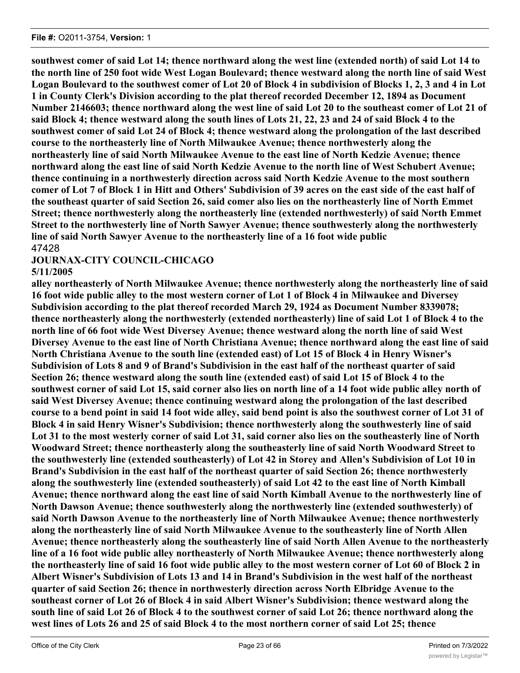**southwest comer of said Lot 14; thence northward along the west line (extended north) of said Lot 14 to the north line of 250 foot wide West Logan Boulevard; thence westward along the north line of said West Logan Boulevard to the southwest comer of Lot 20 of Block 4 in subdivision of Blocks 1, 2, 3 and 4 in Lot 1 in County Clerk's Division according to the plat thereof recorded December 12, 1894 as Document Number 2146603; thence northward along the west line of said Lot 20 to the southeast comer of Lot 21 of said Block 4; thence westward along the south lines of Lots 21, 22, 23 and 24 of said Block 4 to the southwest comer of said Lot 24 of Block 4; thence westward along the prolongation of the last described course to the northeasterly line of North Milwaukee Avenue; thence northwesterly along the northeasterly line of said North Milwaukee Avenue to the east line of North Kedzie Avenue; thence northward along the east line of said North Kedzie Avenue to the north line of West Schubert Avenue; thence continuing in a northwesterly direction across said North Kedzie Avenue to the most southern comer of Lot 7 of Block 1 in Hitt and Others' Subdivision of 39 acres on the east side of the east half of the southeast quarter of said Section 26, said comer also lies on the northeasterly line of North Emmet Street; thence northwesterly along the northeasterly line (extended northwesterly) of said North Emmet Street to the northwesterly line of North Sawyer Avenue; thence southwesterly along the northwesterly line of said North Sawyer Avenue to the northeasterly line of a 16 foot wide public** 47428

## **JOURNAX-CITY COUNCIL-CHICAGO 5/11/2005**

**alley northeasterly of North Milwaukee Avenue; thence northwesterly along the northeasterly line of said 16 foot wide public alley to the most western corner of Lot 1 of Block 4 in Milwaukee and Diversey Subdivision according to the plat thereof recorded March 29, 1924 as Document Number 8339078; thence northeasterly along the northwesterly (extended northeasterly) line of said Lot 1 of Block 4 to the north line of 66 foot wide West Diversey Avenue; thence westward along the north line of said West Diversey Avenue to the east line of North Christiana Avenue; thence northward along the east line of said North Christiana Avenue to the south line (extended east) of Lot 15 of Block 4 in Henry Wisner's Subdivision of Lots 8 and 9 of Brand's Subdivision in the east half of the northeast quarter of said Section 26; thence westward along the south line (extended east) of said Lot 15 of Block 4 to the southwest corner of said Lot 15, said corner also lies on north line of a 14 foot wide public alley north of said West Diversey Avenue; thence continuing westward along the prolongation of the last described course to a bend point in said 14 foot wide alley, said bend point is also the southwest corner of Lot 31 of Block 4 in said Henry Wisner's Subdivision; thence northwesterly along the southwesterly line of said Lot 31 to the most westerly corner of said Lot 31, said corner also lies on the southeasterly line of North Woodward Street; thence northeasterly along the southeasterly line of said North Woodward Street to the southwesterly line (extended southeasterly) of Lot 42 in Storey and Allen's Subdivision of Lot 10 in Brand's Subdivision in the east half of the northeast quarter of said Section 26; thence northwesterly along the southwesterly line (extended southeasterly) of said Lot 42 to the east line of North Kimball Avenue; thence northward along the east line of said North Kimball Avenue to the northwesterly line of North Dawson Avenue; thence southwesterly along the northwesterly line (extended southwesterly) of said North Dawson Avenue to the northeasterly line of North Milwaukee Avenue; thence northwesterly along the northeasterly line of said North Milwaukee Avenue to the southeasterly line of North Allen Avenue; thence northeasterly along the southeasterly line of said North Allen Avenue to the northeasterly line of a 16 foot wide public alley northeasterly of North Milwaukee Avenue; thence northwesterly along the northeasterly line of said 16 foot wide public alley to the most western corner of Lot 60 of Block 2 in Albert Wisner's Subdivision of Lots 13 and 14 in Brand's Subdivision in the west half of the northeast quarter of said Section 26; thence in northwesterly direction across North Elbridge Avenue to the southeast corner of Lot 26 of Block 4 in said Albert Wisner's Subdivision; thence westward along the south line of said Lot 26 of Block 4 to the southwest corner of said Lot 26; thence northward along the west lines of Lots 26 and 25 of said Block 4 to the most northern corner of said Lot 25; thence**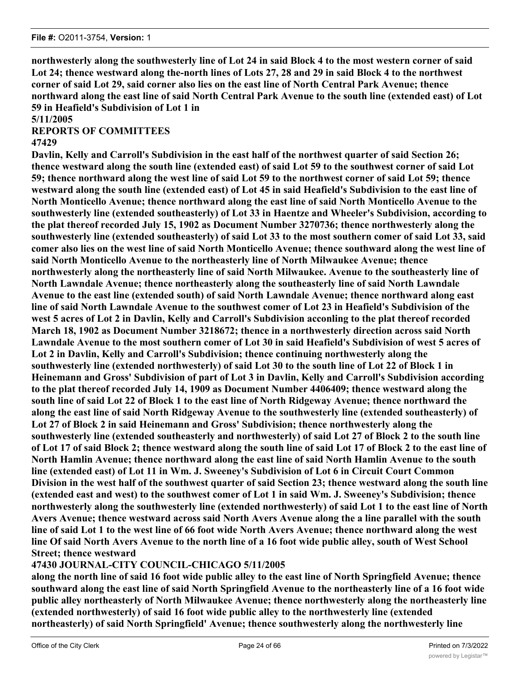**northwesterly along the southwesterly line of Lot 24 in said Block 4 to the most western corner of said Lot 24; thence westward along the-north lines of Lots 27, 28 and 29 in said Block 4 to the northwest corner of said Lot 29, said corner also lies on the east line of North Central Park Avenue; thence northward along the east line of said North Central Park Avenue to the south line (extended east) of Lot 59 in Heafield's Subdivision of Lot 1 in**

**5/11/2005**

# **REPORTS OF COMMITTEES**

### **47429**

**Davlin, Kelly and Carroll's Subdivision in the east half of the northwest quarter of said Section 26; thence westward along the south line (extended east) of said Lot 59 to the southwest corner of said Lot 59; thence northward along the west line of said Lot 59 to the northwest corner of said Lot 59; thence westward along the south line (extended east) of Lot 45 in said Heafield's Subdivision to the east line of North Monticello Avenue; thence northward along the east line of said North Monticello Avenue to the southwesterly line (extended southeasterly) of Lot 33 in Haentze and Wheeler's Subdivision, according to the plat thereof recorded July 15, 1902 as Document Number 3270736; thence northwesterly along the southwesterly line (extended southeasterly) of said Lot 33 to the most southern comer of said Lot 33, said comer also lies on the west line of said North Monticello Avenue; thence southward along the west line of said North Monticello Avenue to the northeasterly line of North Milwaukee Avenue; thence northwesterly along the northeasterly line of said North Milwaukee. Avenue to the southeasterly line of North Lawndale Avenue; thence northeasterly along the southeasterly line of said North Lawndale Avenue to the east line (extended south) of said North Lawndale Avenue; thence northward along east line of said North Lawndale Avenue to the southwest comer of Lot 23 in Heafield's Subdivision of the west 5 acres of Lot 2 in Davlin, Kelly and Carroll's Subdivision acconling to the plat thereof recorded March 18, 1902 as Document Number 3218672; thence in a northwesterly direction across said North Lawndale Avenue to the most southern comer of Lot 30 in said Heafield's Subdivision of west 5 acres of Lot 2 in Davlin, Kelly and Carroll's Subdivision; thence continuing northwesterly along the southwesterly line (extended northwesterly) of said Lot 30 to the south line of Lot 22 of Block 1 in Heinemann and Gross' Subdivision of part of Lot 3 in Davlin, Kelly and Carroll's Subdivision according to the plat thereof recorded July 14, 1909 as Document Number 4406409; thence westward along the south line of said Lot 22 of Block 1 to the east line of North Ridgeway Avenue; thence northward the along the east line of said North Ridgeway Avenue to the southwesterly line (extended southeasterly) of Lot 27 of Block 2 in said Heinemann and Gross' Subdivision; thence northwesterly along the southwesterly line (extended southeasterly and northwesterly) of said Lot 27 of Block 2 to the south line of Lot 17 of said Block 2; thence westward along the south line of said Lot 17 of Block 2 to the east line of North Hamlin Avenue; thence northward along the east line of said North Hamlin Avenue to the south line (extended east) of Lot 11 in Wm. J. Sweeney's Subdivision of Lot 6 in Circuit Court Common Division in the west half of the southwest quarter of said Section 23; thence westward along the south line (extended east and west) to the southwest comer of Lot 1 in said Wm. J. Sweeney's Subdivision; thence northwesterly along the southwesterly line (extended northwesterly) of said Lot 1 to the east line of North Avers Avenue; thence westward across said North Avers Avenue along the a line parallel with the south line of said Lot 1 to the west line of 66 foot wide North Avers Avenue; thence northward along the west line Of said North Avers Avenue to the north line of a 16 foot wide public alley, south of West School Street; thence westward**

# **47430 JOURNAL-CITY COUNCIL-CHICAGO 5/11/2005**

**along the north line of said 16 foot wide public alley to the east line of North Springfield Avenue; thence southward along the east line of said North Springfield Avenue to the northeasterly line of a 16 foot wide public alley northeasterly of North Milwaukee Avenue; thence northwesterly along the northeasterly line (extended northwesterly) of said 16 foot wide public alley to the northwesterly line (extended northeasterly) of said North Springfield' Avenue; thence southwesterly along the northwesterly line**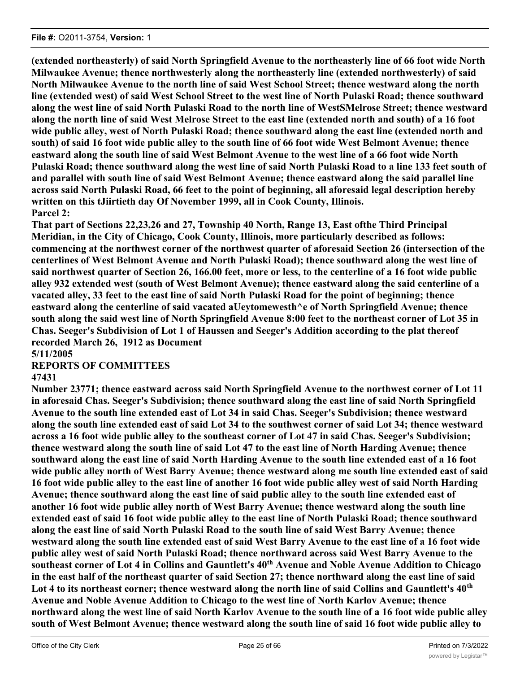**(extended northeasterly) of said North Springfield Avenue to the northeasterly line of 66 foot wide North Milwaukee Avenue; thence northwesterly along the northeasterly line (extended northwesterly) of said North Milwaukee Avenue to the north line of said West School Street; thence westward along the north line (extended west) of said West School Street to the west line of North Pulaski Road; thence southward along the west line of said North Pulaski Road to the north line of WestSMelrose Street; thence westward along the north line of said West Melrose Street to the east line (extended north and south) of a 16 foot wide public alley, west of North Pulaski Road; thence southward along the east line (extended north and south) of said 16 foot wide public alley to the south line of 66 foot wide West Belmont Avenue; thence eastward along the south line of said West Belmont Avenue to the west line of a 66 foot wide North Pulaski Road; thence southward along the west line of said North Pulaski Road to a line 133 feet south of and parallel with south line of said West Belmont Avenue; thence eastward along the said parallel line across said North Pulaski Road, 66 feet to the point of beginning, all aforesaid legal description hereby written on this tJiirtieth day Of November 1999, all in Cook County, Illinois. Parcel 2:**

**That part of Sections 22,23,26 and 27, Township 40 North, Range 13, East ofthe Third Principal Meridian, in the City of Chicago, Cook County, Illinois, more particularly described as follows: commencing at the northwest corner of the northwest quarter of aforesaid Section 26 (intersection of the centerlines of West Belmont Avenue and North Pulaski Road); thence southward along the west line of said northwest quarter of Section 26, 166.00 feet, more or less, to the centerline of a 16 foot wide public alley 932 extended west (south of West Belmont Avenue); thence eastward along the said centerline of a vacated alley, 33 feet to the east line of said North Pulaski Road for the point of beginning; thence eastward along the centerline of said vacated aUeytomewesth^e of North Springfield Avenue; thence south along the said west line of North Springfield Avenue 8:00 feet to the northeast corner of Lot 35 in Chas. Seeger's Subdivision of Lot 1 of Haussen and Seeger's Addition according to the plat thereof recorded March 26, 1912 as Document**

**5/11/2005**

**REPORTS OF COMMITTEES**

### **47431**

**Number 23771; thence eastward across said North Springfield Avenue to the northwest corner of Lot 11 in aforesaid Chas. Seeger's Subdivision; thence southward along the east line of said North Springfield Avenue to the south line extended east of Lot 34 in said Chas. Seeger's Subdivision; thence westward along the south line extended east of said Lot 34 to the southwest corner of said Lot 34; thence westward across a 16 foot wide public alley to the southeast corner of Lot 47 in said Chas. Seeger's Subdivision; thence westward along the south line of said Lot 47 to the east line of North Harding Avenue; thence southward along the east line of said North Harding Avenue to the south line extended east of a 16 foot wide public alley north of West Barry Avenue; thence westward along me south line extended east of said 16 foot wide public alley to the east line of another 16 foot wide public alley west of said North Harding Avenue; thence southward along the east line of said public alley to the south line extended east of another 16 foot wide public alley north of West Barry Avenue; thence westward along the south line extended east of said 16 foot wide public alley to the east line of North Pulaski Road; thence southward along the east line of said North Pulaski Road to the south line of said West Barry Avenue; thence westward along the south line extended east of said West Barry Avenue to the east line of a 16 foot wide public alley west of said North Pulaski Road; thence northward across said West Barry Avenue to the** southeast corner of Lot 4 in Collins and Gauntlett's 40<sup>th</sup> Avenue and Noble Avenue Addition to Chicago **in the east half of the northeast quarter of said Section 27; thence northward along the east line of said** Lot 4 to its northeast corner; thence westward along the north line of said Collins and Gauntlett's 40<sup>th</sup> **Avenue and Noble Avenue Addition to Chicago to the west line of North Karlov Avenue; thence northward along the west line of said North Karlov Avenue to the south line of a 16 foot wide public alley south of West Belmont Avenue; thence westward along the south line of said 16 foot wide public alley to**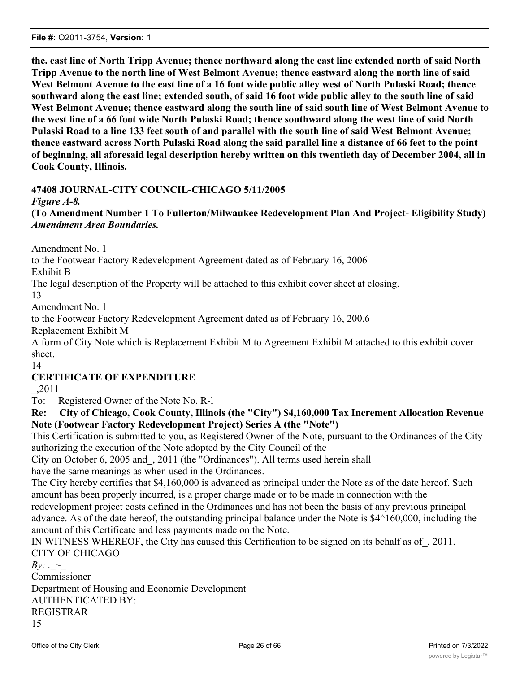**the. east line of North Tripp Avenue; thence northward along the east line extended north of said North Tripp Avenue to the north line of West Belmont Avenue; thence eastward along the north line of said West Belmont Avenue to the east line of a 16 foot wide public alley west of North Pulaski Road; thence southward along the east line; extended south, of said 16 foot wide public alley to the south line of said West Belmont Avenue; thence eastward along the south line of said south line of West Belmont Avenue to the west line of a 66 foot wide North Pulaski Road; thence southward along the west line of said North Pulaski Road to a line 133 feet south of and parallel with the south line of said West Belmont Avenue; thence eastward across North Pulaski Road along the said parallel line a distance of 66 feet to the point of beginning, all aforesaid legal description hereby written on this twentieth day of December 2004, all in Cook County, Illinois.**

# **47408 JOURNAL-CITY COUNCIL-CHICAGO 5/11/2005**

*Figure A-8.*

**(To Amendment Number 1 To Fullerton/Milwaukee Redevelopment Plan And Project- Eligibility Study)** *Amendment Area Boundaries.*

Amendment No. 1

to the Footwear Factory Redevelopment Agreement dated as of February 16, 2006

Exhibit B

The legal description of the Property will be attached to this exhibit cover sheet at closing.

13

Amendment No. 1

to the Footwear Factory Redevelopment Agreement dated as of February 16, 200,6

Replacement Exhibit M

A form of City Note which is Replacement Exhibit M to Agreement Exhibit M attached to this exhibit cover sheet.

# **CERTIFICATE OF EXPENDITURE**

\_,2011

14

To: Registered Owner of the Note No. R-l

**Re: City of Chicago, Cook County, Illinois (the "City") \$4,160,000 Tax Increment Allocation Revenue Note (Footwear Factory Redevelopment Project) Series A (the "Note")**

This Certification is submitted to you, as Registered Owner of the Note, pursuant to the Ordinances of the City authorizing the execution of the Note adopted by the City Council of the

City on October 6, 2005 and\_, 2011 (the "Ordinances"). All terms used herein shall

have the same meanings as when used in the Ordinances.

The City hereby certifies that \$4,160,000 is advanced as principal under the Note as of the date hereof. Such amount has been properly incurred, is a proper charge made or to be made in connection with the

redevelopment project costs defined in the Ordinances and has not been the basis of any previous principal advance. As of the date hereof, the outstanding principal balance under the Note is \$4^160,000, including the amount of this Certificate and less payments made on the Note.

IN WITNESS WHEREOF, the City has caused this Certification to be signed on its behalf as of\_, 2011. CITY OF CHICAGO

*By:* .  $\sim$ Commissioner Department of Housing and Economic Development AUTHENTICATED BY: REGISTRAR 15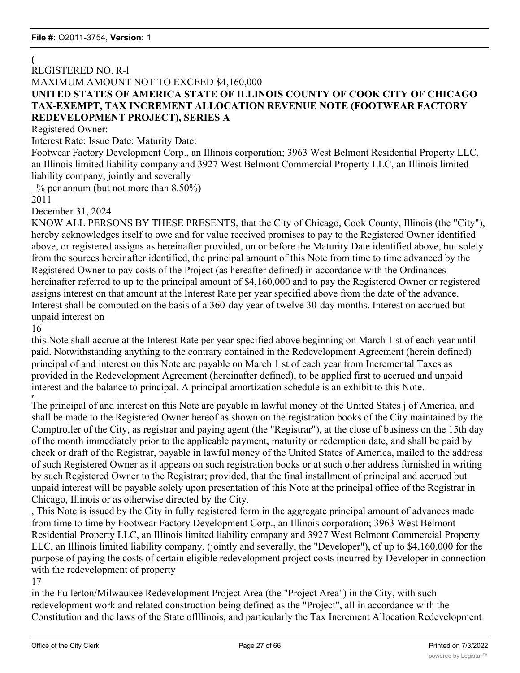### **(** REGISTERED NO. R-l MAXIMUM AMOUNT NOT TO EXCEED \$4,160,000 **UNITED STATES OF AMERICA STATE OF ILLINOIS COUNTY OF COOK CITY OF CHICAGO TAX-EXEMPT, TAX INCREMENT ALLOCATION REVENUE NOTE (FOOTWEAR FACTORY REDEVELOPMENT PROJECT), SERIES A**

Registered Owner:

Interest Rate: Issue Date: Maturity Date:

Footwear Factory Development Corp., an Illinois corporation; 3963 West Belmont Residential Property LLC, an Illinois limited liability company and 3927 West Belmont Commercial Property LLC, an Illinois limited liability company, jointly and severally

 $%$  per annum (but not more than 8.50%)

2011

December 31, 2024

KNOW ALL PERSONS BY THESE PRESENTS, that the City of Chicago, Cook County, Illinois (the "City"), hereby acknowledges itself to owe and for value received promises to pay to the Registered Owner identified above, or registered assigns as hereinafter provided, on or before the Maturity Date identified above, but solely from the sources hereinafter identified, the principal amount of this Note from time to time advanced by the Registered Owner to pay costs of the Project (as hereafter defined) in accordance with the Ordinances hereinafter referred to up to the principal amount of \$4,160,000 and to pay the Registered Owner or registered assigns interest on that amount at the Interest Rate per year specified above from the date of the advance. Interest shall be computed on the basis of a 360-day year of twelve 30-day months. Interest on accrued but unpaid interest on

16

this Note shall accrue at the Interest Rate per year specified above beginning on March 1 st of each year until paid. Notwithstanding anything to the contrary contained in the Redevelopment Agreement (herein defined) principal of and interest on this Note are payable on March 1 st of each year from Incremental Taxes as provided in the Redevelopment Agreement (hereinafter defined), to be applied first to accrued and unpaid interest and the balance to principal. A principal amortization schedule is an exhibit to this Note. **r**

The principal of and interest on this Note are payable in lawful money of the United States j of America, and shall be made to the Registered Owner hereof as shown on the registration books of the City maintained by the Comptroller of the City, as registrar and paying agent (the "Registrar"), at the close of business on the 15th day of the month immediately prior to the applicable payment, maturity or redemption date, and shall be paid by check or draft of the Registrar, payable in lawful money of the United States of America, mailed to the address of such Registered Owner as it appears on such registration books or at such other address furnished in writing by such Registered Owner to the Registrar; provided, that the final installment of principal and accrued but unpaid interest will be payable solely upon presentation of this Note at the principal office of the Registrar in Chicago, Illinois or as otherwise directed by the City.

, This Note is issued by the City in fully registered form in the aggregate principal amount of advances made from time to time by Footwear Factory Development Corp., an Illinois corporation; 3963 West Belmont Residential Property LLC, an Illinois limited liability company and 3927 West Belmont Commercial Property LLC, an Illinois limited liability company, (jointly and severally, the "Developer"), of up to \$4,160,000 for the purpose of paying the costs of certain eligible redevelopment project costs incurred by Developer in connection with the redevelopment of property

### 17

in the Fullerton/Milwaukee Redevelopment Project Area (the "Project Area") in the City, with such redevelopment work and related construction being defined as the "Project", all in accordance with the Constitution and the laws of the State oflllinois, and particularly the Tax Increment Allocation Redevelopment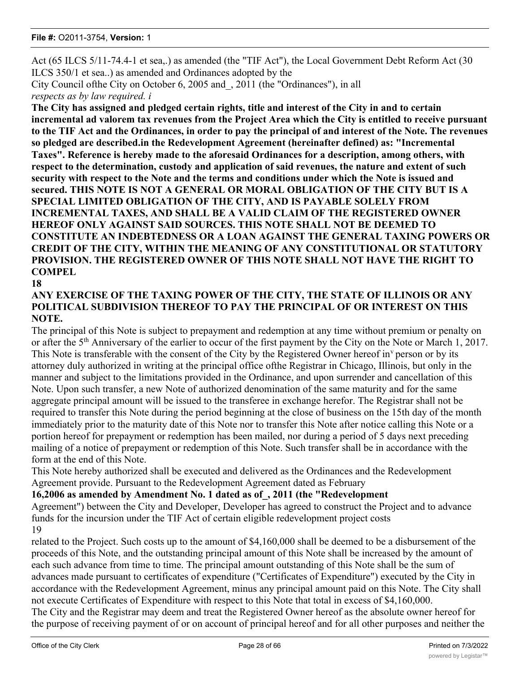Act (65 ILCS 5/11-74.4-1 et sea,.) as amended (the "TIF Act"), the Local Government Debt Reform Act (30 ILCS 350/1 et sea..) as amended and Ordinances adopted by the

City Council ofthe City on October 6, 2005 and\_, 2011 (the "Ordinances"), in all *respects as by law required. i*

**The City has assigned and pledged certain rights, title and interest of the City in and to certain incremental ad valorem tax revenues from the Project Area which the City is entitled to receive pursuant to the TIF Act and the Ordinances, in order to pay the principal of and interest of the Note. The revenues so pledged are described.in the Redevelopment Agreement (hereinafter defined) as: "Incremental Taxes". Reference is hereby made to the aforesaid Ordinances for a description, among others, with respect to the determination, custody and application of said revenues, the nature and extent of such security with respect to the Note and the terms and conditions under which the Note is issued and secured. THIS NOTE IS NOT A GENERAL OR MORAL OBLIGATION OF THE CITY BUT IS A SPECIAL LIMITED OBLIGATION OF THE CITY, AND IS PAYABLE SOLELY FROM INCREMENTAL TAXES, AND SHALL BE A VALID CLAIM OF THE REGISTERED OWNER HEREOF ONLY AGAINST SAID SOURCES. THIS NOTE SHALL NOT BE DEEMED TO CONSTITUTE AN INDEBTEDNESS OR A LOAN AGAINST THE GENERAL TAXING POWERS OR CREDIT OF THE CITY, WITHIN THE MEANING OF ANY CONSTITUTIONAL OR STATUTORY PROVISION. THE REGISTERED OWNER OF THIS NOTE SHALL NOT HAVE THE RIGHT TO COMPEL**

**18**

### **ANY EXERCISE OF THE TAXING POWER OF THE CITY, THE STATE OF ILLINOIS OR ANY POLITICAL SUBDIVISION THEREOF TO PAY THE PRINCIPAL OF OR INTEREST ON THIS NOTE.**

The principal of this Note is subject to prepayment and redemption at any time without premium or penalty on or after the 5<sup>th</sup> Anniversary of the earlier to occur of the first payment by the City on the Note or March 1, 2017. This Note is transferable with the consent of the City by the Registered Owner hereof in<sup>v</sup> person or by its attorney duly authorized in writing at the principal office ofthe Registrar in Chicago, Illinois, but only in the manner and subject to the limitations provided in the Ordinance, and upon surrender and cancellation of this Note. Upon such transfer, a new Note of authorized denomination of the same maturity and for the same aggregate principal amount will be issued to the transferee in exchange herefor. The Registrar shall not be required to transfer this Note during the period beginning at the close of business on the 15th day of the month immediately prior to the maturity date of this Note nor to transfer this Note after notice calling this Note or a portion hereof for prepayment or redemption has been mailed, nor during a period of 5 days next preceding mailing of a notice of prepayment or redemption of this Note. Such transfer shall be in accordance with the form at the end of this Note.

This Note hereby authorized shall be executed and delivered as the Ordinances and the Redevelopment Agreement provide. Pursuant to the Redevelopment Agreement dated as February

# **16,2006 as amended by Amendment No. 1 dated as of\_, 2011 (the "Redevelopment**

Agreement") between the City and Developer, Developer has agreed to construct the Project and to advance funds for the incursion under the TIF Act of certain eligible redevelopment project costs 19

related to the Project. Such costs up to the amount of \$4,160,000 shall be deemed to be a disbursement of the proceeds of this Note, and the outstanding principal amount of this Note shall be increased by the amount of each such advance from time to time. The principal amount outstanding of this Note shall be the sum of advances made pursuant to certificates of expenditure ("Certificates of Expenditure") executed by the City in accordance with the Redevelopment Agreement, minus any principal amount paid on this Note. The City shall not execute Certificates of Expenditure with respect to this Note that total in excess of \$4,160,000. The City and the Registrar may deem and treat the Registered Owner hereof as the absolute owner hereof for the purpose of receiving payment of or on account of principal hereof and for all other purposes and neither the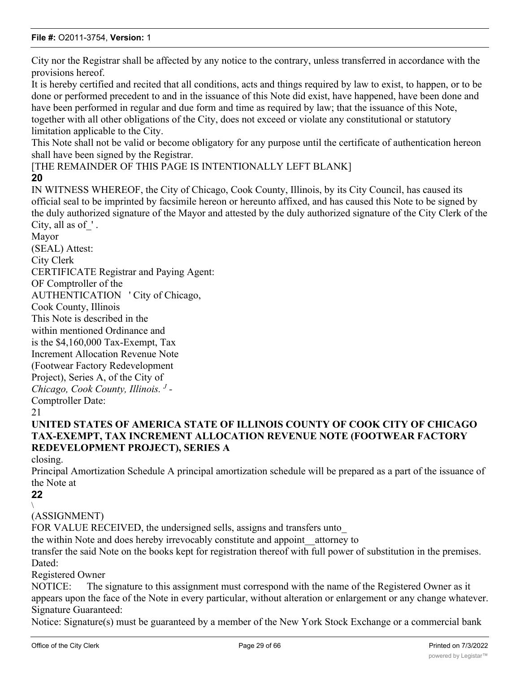City nor the Registrar shall be affected by any notice to the contrary, unless transferred in accordance with the provisions hereof.

It is hereby certified and recited that all conditions, acts and things required by law to exist, to happen, or to be done or performed precedent to and in the issuance of this Note did exist, have happened, have been done and have been performed in regular and due form and time as required by law; that the issuance of this Note, together with all other obligations of the City, does not exceed or violate any constitutional or statutory limitation applicable to the City.

This Note shall not be valid or become obligatory for any purpose until the certificate of authentication hereon shall have been signed by the Registrar.

### [THE REMAINDER OF THIS PAGE IS INTENTIONALLY LEFT BLANK] **20**

IN WITNESS WHEREOF, the City of Chicago, Cook County, Illinois, by its City Council, has caused its official seal to be imprinted by facsimile hereon or hereunto affixed, and has caused this Note to be signed by the duly authorized signature of the Mayor and attested by the duly authorized signature of the City Clerk of the City, all as of  $\cdot$ .

Mayor (SEAL) Attest: City Clerk CERTIFICATE Registrar and Paying Agent: OF Comptroller of the AUTHENTICATION ' City of Chicago, Cook County, Illinois This Note is described in the within mentioned Ordinance and is the \$4,160,000 Tax-Exempt, Tax Increment Allocation Revenue Note (Footwear Factory Redevelopment Project), Series A, of the City of *Chicago, Cook County, Illinois. <sup>J</sup> -* Comptroller Date:

# **UNITED STATES OF AMERICA STATE OF ILLINOIS COUNTY OF COOK CITY OF CHICAGO TAX-EXEMPT, TAX INCREMENT ALLOCATION REVENUE NOTE (FOOTWEAR FACTORY REDEVELOPMENT PROJECT), SERIES A**

closing.

Principal Amortization Schedule A principal amortization schedule will be prepared as a part of the issuance of the Note at

#### **22**  $\setminus$

(ASSIGNMENT)

FOR VALUE RECEIVED, the undersigned sells, assigns and transfers unto

the within Note and does hereby irrevocably constitute and appoint\_\_attorney to

transfer the said Note on the books kept for registration thereof with full power of substitution in the premises. Dated:

Registered Owner

NOTICE: The signature to this assignment must correspond with the name of the Registered Owner as it appears upon the face of the Note in every particular, without alteration or enlargement or any change whatever. Signature Guaranteed:

Notice: Signature(s) must be guaranteed by a member of the New York Stock Exchange or a commercial bank

<sup>21</sup>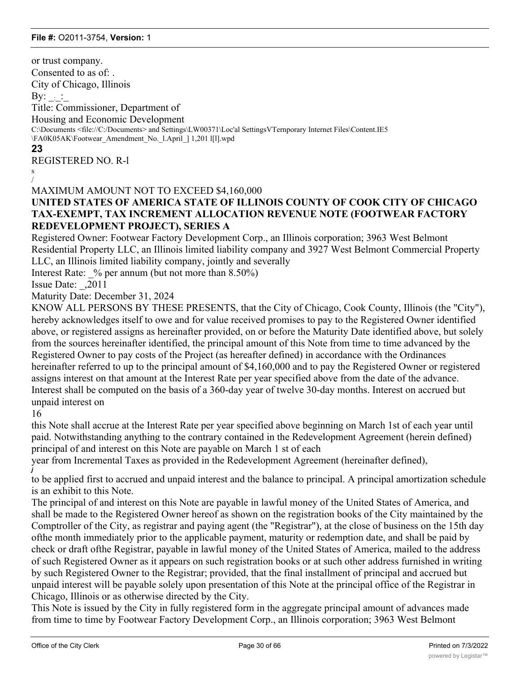or trust company. Consented to as of: . City of Chicago, Illinois By:  $\frac{1}{2}$ Title: Commissioner, Department of Housing and Economic Development C:\Documents <file://C:/Documents> and Settings\LW00371\Loc'al SettingsVTernporary Internet Files\Content.IE5 \FA0K05AK\Footwear\_Amendment\_No.\_l.April\_] 1,201 l[l].wpd **23** REGISTERED NO. R-l s / MAXIMUM AMOUNT NOT TO EXCEED \$4,160,000 **UNITED STATES OF AMERICA STATE OF ILLINOIS COUNTY OF COOK CITY OF CHICAGO TAX-EXEMPT, TAX INCREMENT ALLOCATION REVENUE NOTE (FOOTWEAR FACTORY REDEVELOPMENT PROJECT), SERIES A** Registered Owner: Footwear Factory Development Corp., an Illinois corporation; 3963 West Belmont Residential Property LLC, an Illinois limited liability company and 3927 West Belmont Commercial Property LLC, an Illinois limited liability company, jointly and severally Interest Rate:  $\%$  per annum (but not more than 8.50%) Issue Date: \_,2011 Maturity Date: December 31, 2024 KNOW ALL PERSONS BY THESE PRESENTS, that the City of Chicago, Cook County, Illinois (the "City"),

hereby acknowledges itself to owe and for value received promises to pay to the Registered Owner identified above, or registered assigns as hereinafter provided, on or before the Maturity Date identified above, but solely from the sources hereinafter identified, the principal amount of this Note from time to time advanced by the Registered Owner to pay costs of the Project (as hereafter defined) in accordance with the Ordinances hereinafter referred to up to the principal amount of \$4,160,000 and to pay the Registered Owner or registered assigns interest on that amount at the Interest Rate per year specified above from the date of the advance. Interest shall be computed on the basis of a 360-day year of twelve 30-day months. Interest on accrued but unpaid interest on

16

*j*

this Note shall accrue at the Interest Rate per year specified above beginning on March 1st of each year until paid. Notwithstanding anything to the contrary contained in the Redevelopment Agreement (herein defined) principal of and interest on this Note are payable on March 1 st of each

year from Incremental Taxes as provided in the Redevelopment Agreement (hereinafter defined),

to be applied first to accrued and unpaid interest and the balance to principal. A principal amortization schedule is an exhibit to this Note.

The principal of and interest on this Note are payable in lawful money of the United States of America, and shall be made to the Registered Owner hereof as shown on the registration books of the City maintained by the Comptroller of the City, as registrar and paying agent (the "Registrar"), at the close of business on the 15th day ofthe month immediately prior to the applicable payment, maturity or redemption date, and shall be paid by check or draft ofthe Registrar, payable in lawful money of the United States of America, mailed to the address of such Registered Owner as it appears on such registration books or at such other address furnished in writing by such Registered Owner to the Registrar; provided, that the final installment of principal and accrued but unpaid interest will be payable solely upon presentation of this Note at the principal office of the Registrar in Chicago, Illinois or as otherwise directed by the City.

This Note is issued by the City in fully registered form in the aggregate principal amount of advances made from time to time by Footwear Factory Development Corp., an Illinois corporation; 3963 West Belmont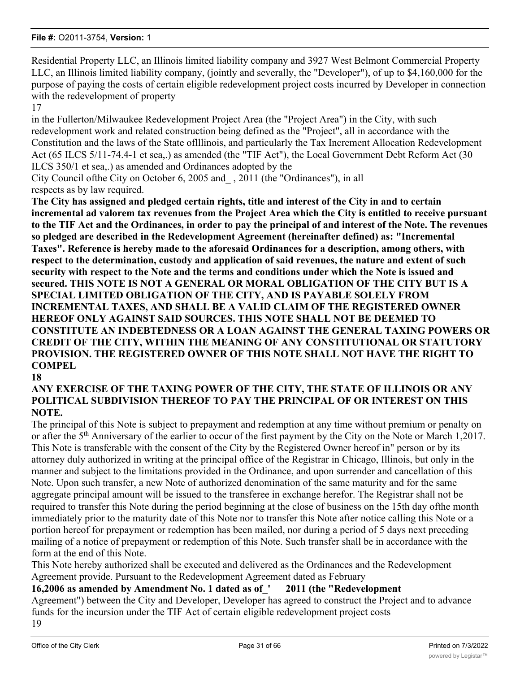Residential Property LLC, an Illinois limited liability company and 3927 West Belmont Commercial Property LLC, an Illinois limited liability company, (jointly and severally, the "Developer"), of up to \$4,160,000 for the purpose of paying the costs of certain eligible redevelopment project costs incurred by Developer in connection with the redevelopment of property

17

in the Fullerton/Milwaukee Redevelopment Project Area (the "Project Area") in the City, with such redevelopment work and related construction being defined as the "Project", all in accordance with the Constitution and the laws of the State oflllinois, and particularly the Tax Increment Allocation Redevelopment Act (65 ILCS 5/11-74.4-1 et sea,.) as amended (the "TIF Act"), the Local Government Debt Reform Act (30 ILCS 350/1 et sea,.) as amended and Ordinances adopted by the

City Council ofthe City on October 6, 2005 and\_ , 2011 (the "Ordinances"), in all respects as by law required.

**The City has assigned and pledged certain rights, title and interest of the City in and to certain incremental ad valorem tax revenues from the Project Area which the City is entitled to receive pursuant to the TIF Act and the Ordinances, in order to pay the principal of and interest of the Note. The revenues so pledged are described in the Redevelopment Agreement (hereinafter defined) as: "Incremental Taxes". Reference is hereby made to the aforesaid Ordinances for a description, among others, with respect to the determination, custody and application of said revenues, the nature and extent of such security with respect to the Note and the terms and conditions under which the Note is issued and secured. THIS NOTE IS NOT A GENERAL OR MORAL OBLIGATION OF THE CITY BUT IS A SPECIAL LIMITED OBLIGATION OF THE CITY, AND IS PAYABLE SOLELY FROM INCREMENTAL TAXES, AND SHALL BE A VALID CLAIM OF THE REGISTERED OWNER HEREOF ONLY AGAINST SAID SOURCES. THIS NOTE SHALL NOT BE DEEMED TO CONSTITUTE AN INDEBTEDNESS OR A LOAN AGAINST THE GENERAL TAXING POWERS OR CREDIT OF THE CITY, WITHIN THE MEANING OF ANY CONSTITUTIONAL OR STATUTORY PROVISION. THE REGISTERED OWNER OF THIS NOTE SHALL NOT HAVE THE RIGHT TO COMPEL**

**18**

## **ANY EXERCISE OF THE TAXING POWER OF THE CITY, THE STATE OF ILLINOIS OR ANY POLITICAL SUBDIVISION THEREOF TO PAY THE PRINCIPAL OF OR INTEREST ON THIS NOTE.**

The principal of this Note is subject to prepayment and redemption at any time without premium or penalty on or after the 5<sup>th</sup> Anniversary of the earlier to occur of the first payment by the City on the Note or March 1,2017. This Note is transferable with the consent of the City by the Registered Owner hereof in" person or by its attorney duly authorized in writing at the principal office of the Registrar in Chicago, Illinois, but only in the manner and subject to the limitations provided in the Ordinance, and upon surrender and cancellation of this Note. Upon such transfer, a new Note of authorized denomination of the same maturity and for the same aggregate principal amount will be issued to the transferee in exchange herefor. The Registrar shall not be required to transfer this Note during the period beginning at the close of business on the 15th day ofthe month immediately prior to the maturity date of this Note nor to transfer this Note after notice calling this Note or a portion hereof for prepayment or redemption has been mailed, nor during a period of 5 days next preceding mailing of a notice of prepayment or redemption of this Note. Such transfer shall be in accordance with the form at the end of this Note.

This Note hereby authorized shall be executed and delivered as the Ordinances and the Redevelopment Agreement provide. Pursuant to the Redevelopment Agreement dated as February

# **16,2006 as amended by Amendment No. 1 dated as of\_' 2011 (the "Redevelopment**

Agreement") between the City and Developer, Developer has agreed to construct the Project and to advance funds for the incursion under the TIF Act of certain eligible redevelopment project costs

19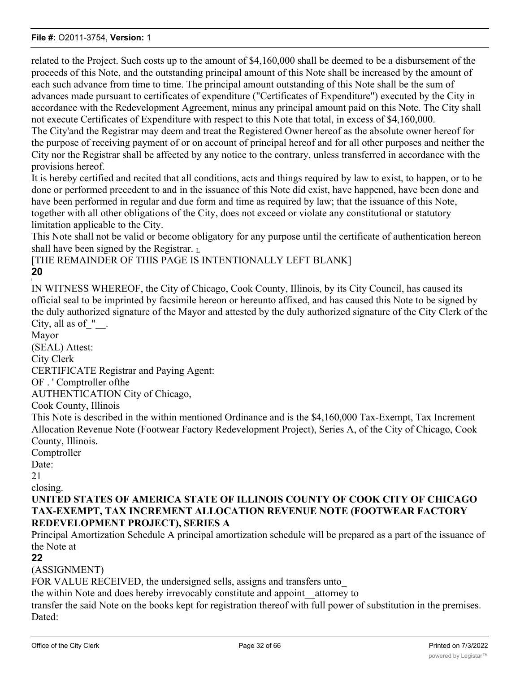related to the Project. Such costs up to the amount of \$4,160,000 shall be deemed to be a disbursement of the proceeds of this Note, and the outstanding principal amount of this Note shall be increased by the amount of each such advance from time to time. The principal amount outstanding of this Note shall be the sum of advances made pursuant to certificates of expenditure ("Certificates of Expenditure") executed by the City in accordance with the Redevelopment Agreement, minus any principal amount paid on this Note. The City shall not execute Certificates of Expenditure with respect to this Note that total, in excess of \$4,160,000. The City'and the Registrar may deem and treat the Registered Owner hereof as the absolute owner hereof for

the purpose of receiving payment of or on account of principal hereof and for all other purposes and neither the City nor the Registrar shall be affected by any notice to the contrary, unless transferred in accordance with the provisions hereof.

It is hereby certified and recited that all conditions, acts and things required by law to exist, to happen, or to be done or performed precedent to and in the issuance of this Note did exist, have happened, have been done and have been performed in regular and due form and time as required by law; that the issuance of this Note, together with all other obligations of the City, does not exceed or violate any constitutional or statutory limitation applicable to the City.

This Note shall not be valid or become obligatory for any purpose until the certificate of authentication hereon shall have been signed by the Registrar. L

[THE REMAINDER OF THIS PAGE IS INTENTIONALLY LEFT BLANK] **20**

IN WITNESS WHEREOF, the City of Chicago, Cook County, Illinois, by its City Council, has caused its official seal to be imprinted by facsimile hereon or hereunto affixed, and has caused this Note to be signed by the duly authorized signature of the Mayor and attested by the duly authorized signature of the City Clerk of the City, all as of  $"$ .

Mayor (SEAL) Attest: City Clerk CERTIFICATE Registrar and Paying Agent: OF . ' Comptroller ofthe AUTHENTICATION City of Chicago,

Cook County, Illinois

This Note is described in the within mentioned Ordinance and is the \$4,160,000 Tax-Exempt, Tax Increment Allocation Revenue Note (Footwear Factory Redevelopment Project), Series A, of the City of Chicago, Cook County, Illinois.

Comptroller

Date:

**I**

21

closing.

## **UNITED STATES OF AMERICA STATE OF ILLINOIS COUNTY OF COOK CITY OF CHICAGO TAX-EXEMPT, TAX INCREMENT ALLOCATION REVENUE NOTE (FOOTWEAR FACTORY REDEVELOPMENT PROJECT), SERIES A**

Principal Amortization Schedule A principal amortization schedule will be prepared as a part of the issuance of the Note at

### **22**

# (ASSIGNMENT)

FOR VALUE RECEIVED, the undersigned sells, assigns and transfers unto

the within Note and does hereby irrevocably constitute and appoint\_\_attorney to

transfer the said Note on the books kept for registration thereof with full power of substitution in the premises. Dated: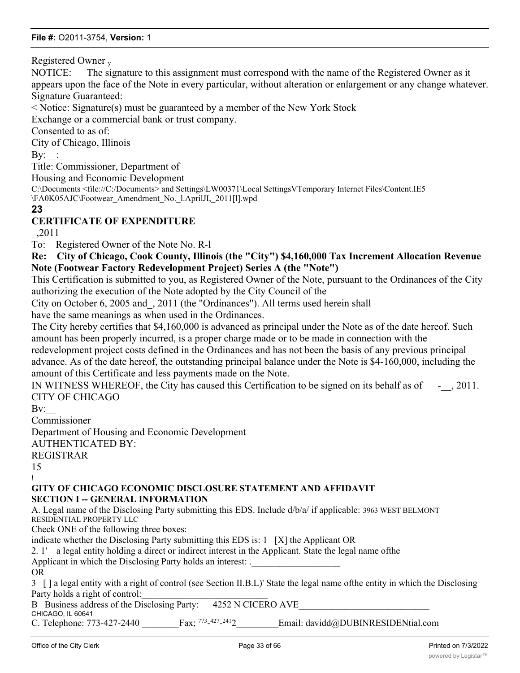Registered Owner <sup>y</sup>

NOTICE: The signature to this assignment must correspond with the name of the Registered Owner as it appears upon the face of the Note in every particular, without alteration or enlargement or any change whatever. Signature Guaranteed:

< Notice: Signature(s) must be guaranteed by a member of the New York Stock

Exchange or a commercial bank or trust company.

Consented to as of:

City of Chicago, Illinois

 $\mathrm{By:}\quad$ :

Title: Commissioner, Department of

Housing and Economic Development

C:\Documents <file://C:/Documents> and Settings\LW00371\Local SettingsVTemporary Internet Files\Content.IE5 \FA0K05AJC\Footwear\_Amendrnent\_No.\_l.AprilJI,\_2011[l].wpd

### **23**

# **CERTIFICATE OF EXPENDITURE**

\_,2011

To: Registered Owner of the Note No. R-l

**Re: City of Chicago, Cook County, Illinois (the "City") \$4,160,000 Tax Increment Allocation Revenue Note (Footwear Factory Redevelopment Project) Series A (the "Note")**

This Certification is submitted to you, as Registered Owner of the Note, pursuant to the Ordinances of the City authorizing the execution of the Note adopted by the City Council of the

City on October 6, 2005 and\_, 2011 (the "Ordinances"). All terms used herein shall

have the same meanings as when used in the Ordinances.

The City hereby certifies that \$4,160,000 is advanced as principal under the Note as of the date hereof. Such amount has been properly incurred, is a proper charge made or to be made in connection with the

redevelopment project costs defined in the Ordinances and has not been the basis of any previous principal advance. As of the date hereof, the outstanding principal balance under the Note is \$4-160,000, including the amount of this Certificate and less payments made on the Note.

IN WITNESS WHEREOF, the City has caused this Certification to be signed on its behalf as of  $\sim$ , 2011. CITY OF CHICAGO

 $Bv:$ 

Commissioner

Department of Housing and Economic Development AUTHENTICATED BY: REGISTRAR

15

*\*

### **GITY OF CHICAGO ECONOMIC DISCLOSURE STATEMENT AND AFFIDAVIT SECTION I -- GENERAL INFORMATION**

A. Legal name of the Disclosing Party submitting this EDS. Include d/b/a/ if applicable: 3963 WEST BELMONT RESIDENTIAL PROPERTY LLC

Check ONE of the following three boxes:

indicate whether the Disclosing Party submitting this EDS is: 1 [X] the Applicant OR

2. 1' a legal entity holding a direct or indirect interest in the Applicant. State the legal name ofthe

Applicant in which the Disclosing Party holds an interest: .

OR

3 [ ] a legal entity with a right of control (see Section II.B.L)' State the legal name ofthe entity in which the Disclosing Party holds a right of control:

B Business address of the Disclosing Party: 4252 N CICERO AVE CHICAGO, IL 60641

C. Telephone: 773-427-2440 Fax;  $^{773-427}$ Email: davidd@DUBINRESIDENtial.com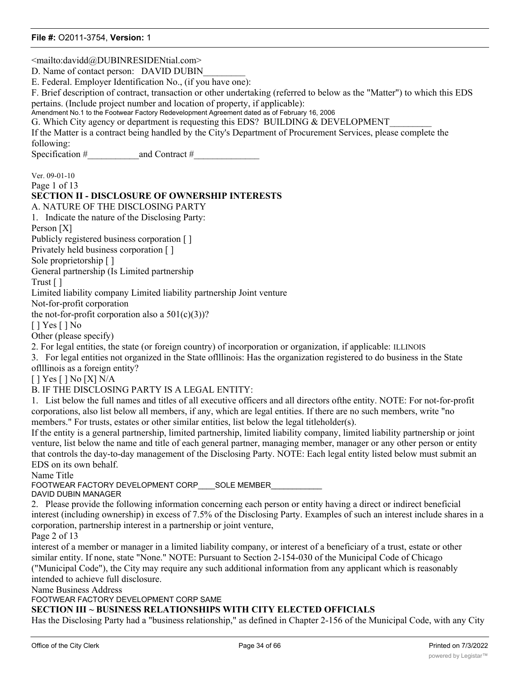<mailto:davidd@DUBINRESIDENtial.com> D. Name of contact person: DAVID DUBIN E. Federal. Employer Identification No., (if you have one): F. Brief description of contract, transaction or other undertaking (referred to below as the "Matter") to which this EDS pertains. (Include project number and location of property, if applicable): Amendment No.1 to the Footwear Factory Redevelopment Agreement dated as of February 16, 2006 G. Which City agency or department is requesting this EDS? BUILDING & DEVELOPMENT If the Matter is a contract being handled by the City's Department of Procurement Services, please complete the following: Specification #\_\_\_\_\_\_\_\_\_\_\_and Contract #\_\_\_\_\_\_\_\_\_\_\_\_\_\_ Ver. 09-01-10 Page 1 of 13 **SECTION II - DISCLOSURE OF OWNERSHIP INTERESTS** A. NATURE OF THE DISCLOSING PARTY 1. Indicate the nature of the Disclosing Party: Person [X] Publicly registered business corporation [ ] Privately held business corporation [ ] Sole proprietorship [ ] General partnership (Is Limited partnership Trust [ ] Limited liability company Limited liability partnership Joint venture Not-for-profit corporation the not-for-profit corporation also a  $501(c)(3)$ ? [ ] Yes [ ] No Other (please specify) 2. For legal entities, the state (or foreign country) of incorporation or organization, if applicable: ILLINOIS 3. For legal entities not organized in the State oflllinois: Has the organization registered to do business in the State oflllinois as a foreign entity? [ ] Yes [ ] No [X] N/A B. IF THE DISCLOSING PARTY IS A LEGAL ENTITY: 1. List below the full names and titles of all executive officers and all directors ofthe entity. NOTE: For not-for-profit corporations, also list below all members, if any, which are legal entities. If there are no such members, write "no members." For trusts, estates or other similar entities, list below the legal titleholder(s). If the entity is a general partnership, limited partnership, limited liability company, limited liability partnership or joint venture, list below the name and title of each general partner, managing member, manager or any other person or entity that controls the day-to-day management of the Disclosing Party. NOTE: Each legal entity listed below must submit an EDS on its own behalf. Name Title FOOTWEAR FACTORY DEVELOPMENT CORP\_\_\_\_SOLE MEMBER\_\_\_\_\_\_\_\_\_\_\_\_ DAVID DUBIN MANAGER 2. Please provide the following information concerning each person or entity having a direct or indirect beneficial interest (including ownership) in excess of 7.5% of the Disclosing Party. Examples of such an interest include shares in a corporation, partnership interest in a partnership or joint venture, Page 2 of 13 interest of a member or manager in a limited liability company, or interest of a beneficiary of a trust, estate or other similar entity. If none, state "None." NOTE: Pursuant to Section 2-154-030 of the Municipal Code of Chicago ("Municipal Code"), the City may require any such additional information from any applicant which is reasonably intended to achieve full disclosure. Name Business Address FOOTWEAR FACTORY DEVELOPMENT CORP SAME **SECTION III ~ BUSINESS RELATIONSHIPS WITH CITY ELECTED OFFICIALS** Has the Disclosing Party had a "business relationship," as defined in Chapter 2-156 of the Municipal Code, with any City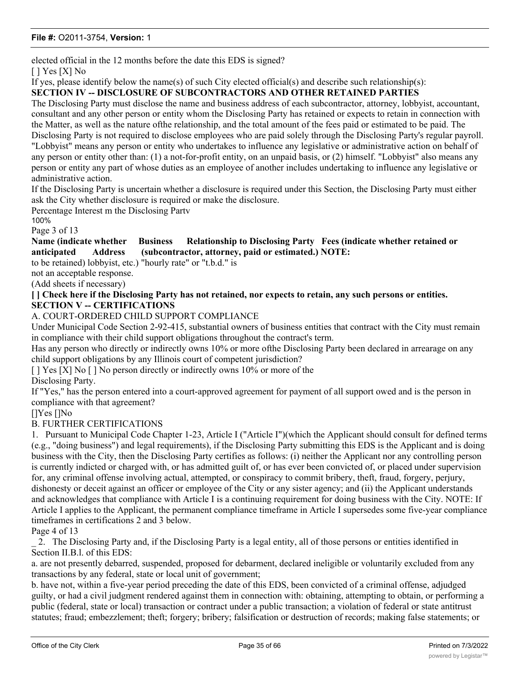elected official in the 12 months before the date this EDS is signed?

[ ] Yes [X] No

If yes, please identify below the name(s) of such City elected official(s) and describe such relationship(s):

### **SECTION IV -- DISCLOSURE OF SUBCONTRACTORS AND OTHER RETAINED PARTIES**

The Disclosing Party must disclose the name and business address of each subcontractor, attorney, lobbyist, accountant, consultant and any other person or entity whom the Disclosing Party has retained or expects to retain in connection with the Matter, as well as the nature ofthe relationship, and the total amount of the fees paid or estimated to be paid. The Disclosing Party is not required to disclose employees who are paid solely through the Disclosing Party's regular payroll. "Lobbyist" means any person or entity who undertakes to influence any legislative or administrative action on behalf of any person or entity other than: (1) a not-for-profit entity, on an unpaid basis, or (2) himself. "Lobbyist" also means any person or entity any part of whose duties as an employee of another includes undertaking to influence any legislative or administrative action.

If the Disclosing Party is uncertain whether a disclosure is required under this Section, the Disclosing Party must either ask the City whether disclosure is required or make the disclosure.

Percentage Interest m the Disclosing Partv

100%

Page 3 of 13

**Name (indicate whether Business Relationship to Disclosing Party Fees (indicate whether retained or anticipated Address (subcontractor, attorney, paid or estimated.) NOTE:**

to be retained) lobbyist, etc.) "hourly rate" or "t.b.d." is

not an acceptable response.

(Add sheets if necessary)

**[ ] Check here if the Disclosing Party has not retained, nor expects to retain, any such persons or entities. SECTION V -- CERTIFICATIONS**

#### A. COURT-ORDERED CHILD SUPPORT COMPLIANCE

Under Municipal Code Section 2-92-415, substantial owners of business entities that contract with the City must remain in compliance with their child support obligations throughout the contract's term.

Has any person who directly or indirectly owns 10% or more ofthe Disclosing Party been declared in arrearage on any child support obligations by any Illinois court of competent jurisdiction?

[ ] Yes [X] No [ ] No person directly or indirectly owns 10% or more of the Disclosing Party.

If "Yes," has the person entered into a court-approved agreement for payment of all support owed and is the person in compliance with that agreement?

#### []Yes []No

### B. FURTHER CERTIFICATIONS

1. Pursuant to Municipal Code Chapter 1-23, Article I ("Article I")(which the Applicant should consult for defined terms (e.g., "doing business") and legal requirements), if the Disclosing Party submitting this EDS is the Applicant and is doing business with the City, then the Disclosing Party certifies as follows: (i) neither the Applicant nor any controlling person is currently indicted or charged with, or has admitted guilt of, or has ever been convicted of, or placed under supervision for, any criminal offense involving actual, attempted, or conspiracy to commit bribery, theft, fraud, forgery, perjury, dishonesty or deceit against an officer or employee of the City or any sister agency; and (ii) the Applicant understands and acknowledges that compliance with Article I is a continuing requirement for doing business with the City. NOTE: If Article I applies to the Applicant, the permanent compliance timeframe in Article I supersedes some five-year compliance timeframes in certifications 2 and 3 below.

Page 4 of 13

\_ 2. The Disclosing Party and, if the Disclosing Party is a legal entity, all of those persons or entities identified in Section II.B.l. of this EDS:

a. are not presently debarred, suspended, proposed for debarment, declared ineligible or voluntarily excluded from any transactions by any federal, state or local unit of government;

b. have not, within a five-year period preceding the date of this EDS, been convicted of a criminal offense, adjudged guilty, or had a civil judgment rendered against them in connection with: obtaining, attempting to obtain, or performing a public (federal, state or local) transaction or contract under a public transaction; a violation of federal or state antitrust statutes; fraud; embezzlement; theft; forgery; bribery; falsification or destruction of records; making false statements; or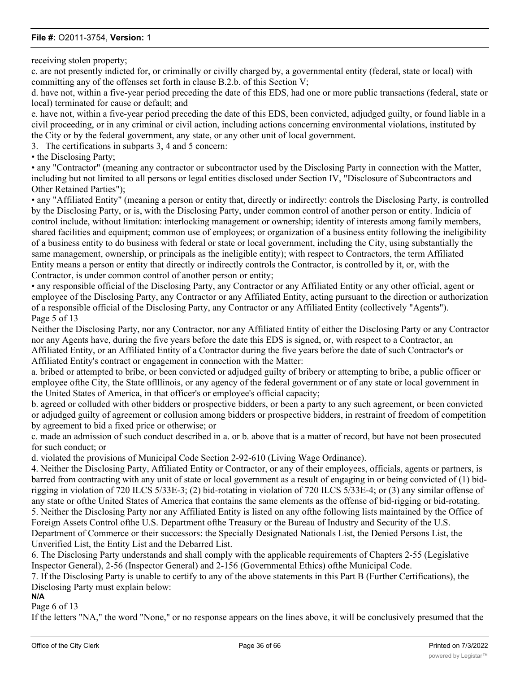receiving stolen property;

c. are not presently indicted for, or criminally or civilly charged by, a governmental entity (federal, state or local) with committing any of the offenses set forth in clause B.2.b. of this Section V;

d. have not, within a five-year period preceding the date of this EDS, had one or more public transactions (federal, state or local) terminated for cause or default; and

e. have not, within a five-year period preceding the date of this EDS, been convicted, adjudged guilty, or found liable in a civil proceeding, or in any criminal or civil action, including actions concerning environmental violations, instituted by the City or by the federal government, any state, or any other unit of local government.

3. The certifications in subparts 3, 4 and 5 concern:

• the Disclosing Party:

• any "Contractor" (meaning any contractor or subcontractor used by the Disclosing Party in connection with the Matter, including but not limited to all persons or legal entities disclosed under Section IV, "Disclosure of Subcontractors and Other Retained Parties");

• any "Affiliated Entity" (meaning a person or entity that, directly or indirectly: controls the Disclosing Party, is controlled by the Disclosing Party, or is, with the Disclosing Party, under common control of another person or entity. Indicia of control include, without limitation: interlocking management or ownership; identity of interests among family members, shared facilities and equipment; common use of employees; or organization of a business entity following the ineligibility of a business entity to do business with federal or state or local government, including the City, using substantially the same management, ownership, or principals as the ineligible entity); with respect to Contractors, the term Affiliated Entity means a person or entity that directly or indirectly controls the Contractor, is controlled by it, or, with the Contractor, is under common control of another person or entity;

• any responsible official of the Disclosing Party, any Contractor or any Affiliated Entity or any other official, agent or employee of the Disclosing Party, any Contractor or any Affiliated Entity, acting pursuant to the direction or authorization of a responsible official of the Disclosing Party, any Contractor or any Affiliated Entity (collectively "Agents"). Page 5 of 13

Neither the Disclosing Party, nor any Contractor, nor any Affiliated Entity of either the Disclosing Party or any Contractor nor any Agents have, during the five years before the date this EDS is signed, or, with respect to a Contractor, an Affiliated Entity, or an Affiliated Entity of a Contractor during the five years before the date of such Contractor's or Affiliated Entity's contract or engagement in connection with the Matter:

a. bribed or attempted to bribe, or been convicted or adjudged guilty of bribery or attempting to bribe, a public officer or employee ofthe City, the State oflllinois, or any agency of the federal government or of any state or local government in the United States of America, in that officer's or employee's official capacity;

b. agreed or colluded with other bidders or prospective bidders, or been a party to any such agreement, or been convicted or adjudged guilty of agreement or collusion among bidders or prospective bidders, in restraint of freedom of competition by agreement to bid a fixed price or otherwise; or

c. made an admission of such conduct described in a. or b. above that is a matter of record, but have not been prosecuted for such conduct; or

d. violated the provisions of Municipal Code Section 2-92-610 (Living Wage Ordinance).

4. Neither the Disclosing Party, Affiliated Entity or Contractor, or any of their employees, officials, agents or partners, is barred from contracting with any unit of state or local government as a result of engaging in or being convicted of (1) bidrigging in violation of 720 ILCS 5/33E-3; (2) bid-rotating in violation of 720 ILCS 5/33E-4; or (3) any similar offense of any state or ofthe United States of America that contains the same elements as the offense of bid-rigging or bid-rotating. 5. Neither the Disclosing Party nor any Affiliated Entity is listed on any ofthe following lists maintained by the Office of Foreign Assets Control ofthe U.S. Department ofthe Treasury or the Bureau of Industry and Security of the U.S. Department of Commerce or their successors: the Specially Designated Nationals List, the Denied Persons List, the Unverified List, the Entity List and the Debarred List.

6. The Disclosing Party understands and shall comply with the applicable requirements of Chapters 2-55 (Legislative Inspector General), 2-56 (Inspector General) and 2-156 (Governmental Ethics) ofthe Municipal Code.

7. If the Disclosing Party is unable to certify to any of the above statements in this Part B (Further Certifications), the Disclosing Party must explain below:

**N/A**

Page 6 of 13

If the letters "NA," the word "None," or no response appears on the lines above, it will be conclusively presumed that the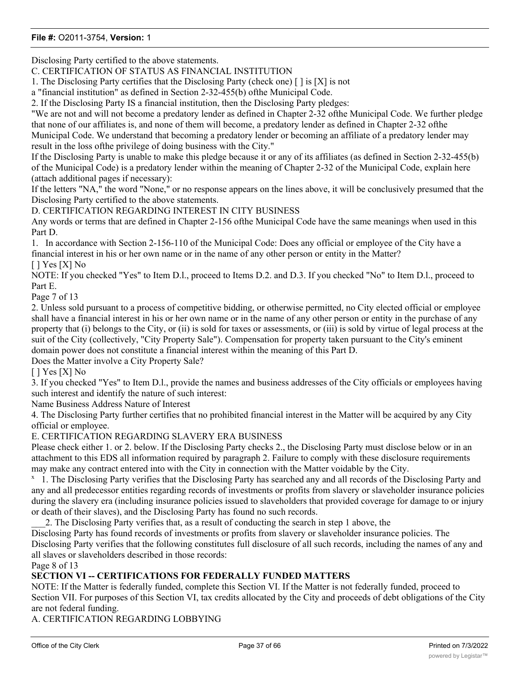Disclosing Party certified to the above statements.

C. CERTIFICATION OF STATUS AS FINANCIAL INSTITUTION

1. The Disclosing Party certifies that the Disclosing Party (check one)  $\lceil \cdot \rceil$  is  $[X]$  is not

a "financial institution" as defined in Section 2-32-455(b) ofthe Municipal Code.

2. If the Disclosing Party IS a financial institution, then the Disclosing Party pledges:

"We are not and will not become a predatory lender as defined in Chapter 2-32 ofthe Municipal Code. We further pledge that none of our affiliates is, and none of them will become, a predatory lender as defined in Chapter 2-32 ofthe Municipal Code. We understand that becoming a predatory lender or becoming an affiliate of a predatory lender may result in the loss ofthe privilege of doing business with the City."

If the Disclosing Party is unable to make this pledge because it or any of its affiliates (as defined in Section 2-32-455(b) of the Municipal Code) is a predatory lender within the meaning of Chapter 2-32 of the Municipal Code, explain here (attach additional pages if necessary):

If the letters "NA," the word "None," or no response appears on the lines above, it will be conclusively presumed that the Disclosing Party certified to the above statements.

D. CERTIFICATION REGARDING INTEREST IN CITY BUSINESS

Any words or terms that are defined in Chapter 2-156 ofthe Municipal Code have the same meanings when used in this Part D.

1. In accordance with Section 2-156-110 of the Municipal Code: Does any official or employee of the City have a financial interest in his or her own name or in the name of any other person or entity in the Matter? [ ] Yes [X] No

NOTE: If you checked "Yes" to Item D.l., proceed to Items D.2. and D.3. If you checked "No" to Item D.l., proceed to Part E.

Page 7 of 13

2. Unless sold pursuant to a process of competitive bidding, or otherwise permitted, no City elected official or employee shall have a financial interest in his or her own name or in the name of any other person or entity in the purchase of any property that (i) belongs to the City, or (ii) is sold for taxes or assessments, or (iii) is sold by virtue of legal process at the suit of the City (collectively, "City Property Sale"). Compensation for property taken pursuant to the City's eminent domain power does not constitute a financial interest within the meaning of this Part D.

Does the Matter involve a City Property Sale?

 $[$   $]$  Yes  $[X]$  No

3. If you checked "Yes" to Item D.l., provide the names and business addresses of the City officials or employees having such interest and identify the nature of such interest:

Name Business Address Nature of Interest

4. The Disclosing Party further certifies that no prohibited financial interest in the Matter will be acquired by any City official or employee.

E. CERTIFICATION REGARDING SLAVERY ERA BUSINESS

Please check either 1. or 2. below. If the Disclosing Party checks 2., the Disclosing Party must disclose below or in an attachment to this EDS all information required by paragraph 2. Failure to comply with these disclosure requirements may make any contract entered into with the City in connection with the Matter voidable by the City.

<sup>x</sup> 1. The Disclosing Party verifies that the Disclosing Party has searched any and all records of the Disclosing Party and any and all predecessor entities regarding records of investments or profits from slavery or slaveholder insurance policies during the slavery era (including insurance policies issued to slaveholders that provided coverage for damage to or injury or death of their slaves), and the Disclosing Party has found no such records.

\_\_\_2. The Disclosing Party verifies that, as a result of conducting the search in step 1 above, the

Disclosing Party has found records of investments or profits from slavery or slaveholder insurance policies. The Disclosing Party verifies that the following constitutes full disclosure of all such records, including the names of any and all slaves or slaveholders described in those records:

Page 8 of 13

### **SECTION VI -- CERTIFICATIONS FOR FEDERALLY FUNDED MATTERS**

NOTE: If the Matter is federally funded, complete this Section VI. If the Matter is not federally funded, proceed to Section VII. For purposes of this Section VI, tax credits allocated by the City and proceeds of debt obligations of the City are not federal funding.

A. CERTIFICATION REGARDING LOBBYING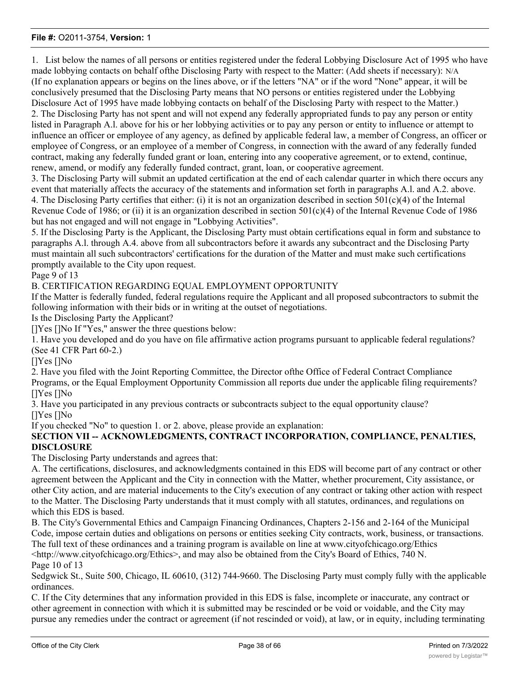1. List below the names of all persons or entities registered under the federal Lobbying Disclosure Act of 1995 who have made lobbying contacts on behalf ofthe Disclosing Party with respect to the Matter: (Add sheets if necessary): N/A (If no explanation appears or begins on the lines above, or if the letters "NA" or if the word "None" appear, it will be conclusively presumed that the Disclosing Party means that NO persons or entities registered under the Lobbying Disclosure Act of 1995 have made lobbying contacts on behalf of the Disclosing Party with respect to the Matter.) 2. The Disclosing Party has not spent and will not expend any federally appropriated funds to pay any person or entity listed in Paragraph A.l. above for his or her lobbying activities or to pay any person or entity to influence or attempt to influence an officer or employee of any agency, as defined by applicable federal law, a member of Congress, an officer or employee of Congress, or an employee of a member of Congress, in connection with the award of any federally funded contract, making any federally funded grant or loan, entering into any cooperative agreement, or to extend, continue, renew, amend, or modify any federally funded contract, grant, loan, or cooperative agreement.

3. The Disclosing Party will submit an updated certification at the end of each calendar quarter in which there occurs any event that materially affects the accuracy of the statements and information set forth in paragraphs A.l. and A.2. above. 4. The Disclosing Party certifies that either: (i) it is not an organization described in section  $501(c)(4)$  of the Internal Revenue Code of 1986; or (ii) it is an organization described in section 501(c)(4) of the Internal Revenue Code of 1986 but has not engaged and will not engage in "Lobbying Activities".

5. If the Disclosing Party is the Applicant, the Disclosing Party must obtain certifications equal in form and substance to paragraphs A.l. through A.4. above from all subcontractors before it awards any subcontract and the Disclosing Party must maintain all such subcontractors' certifications for the duration of the Matter and must make such certifications promptly available to the City upon request.

Page 9 of 13

B. CERTIFICATION REGARDING EQUAL EMPLOYMENT OPPORTUNITY

If the Matter is federally funded, federal regulations require the Applicant and all proposed subcontractors to submit the following information with their bids or in writing at the outset of negotiations.

Is the Disclosing Party the Applicant?

[]Yes []No If "Yes," answer the three questions below:

1. Have you developed and do you have on file affirmative action programs pursuant to applicable federal regulations? (See 41 CFR Part 60-2.)

[]Yes []No

2. Have you filed with the Joint Reporting Committee, the Director ofthe Office of Federal Contract Compliance Programs, or the Equal Employment Opportunity Commission all reports due under the applicable filing requirements? []Yes []No

3. Have you participated in any previous contracts or subcontracts subject to the equal opportunity clause? []Yes []No

If you checked "No" to question 1. or 2. above, please provide an explanation:

### **SECTION VII -- ACKNOWLEDGMENTS, CONTRACT INCORPORATION, COMPLIANCE, PENALTIES, DISCLOSURE**

The Disclosing Party understands and agrees that:

A. The certifications, disclosures, and acknowledgments contained in this EDS will become part of any contract or other agreement between the Applicant and the City in connection with the Matter, whether procurement, City assistance, or other City action, and are material inducements to the City's execution of any contract or taking other action with respect to the Matter. The Disclosing Party understands that it must comply with all statutes, ordinances, and regulations on which this EDS is based.

B. The City's Governmental Ethics and Campaign Financing Ordinances, Chapters 2-156 and 2-164 of the Municipal Code, impose certain duties and obligations on persons or entities seeking City contracts, work, business, or transactions. The full text of these ordinances and a training program is available on line at www.cityofchicago.org/Ethics  $\lt$ http://www.cityofchicago.org/Ethics>, and may also be obtained from the City's Board of Ethics, 740 N. Page 10 of 13

Sedgwick St., Suite 500, Chicago, IL 60610, (312) 744-9660. The Disclosing Party must comply fully with the applicable ordinances.

C. If the City determines that any information provided in this EDS is false, incomplete or inaccurate, any contract or other agreement in connection with which it is submitted may be rescinded or be void or voidable, and the City may pursue any remedies under the contract or agreement (if not rescinded or void), at law, or in equity, including terminating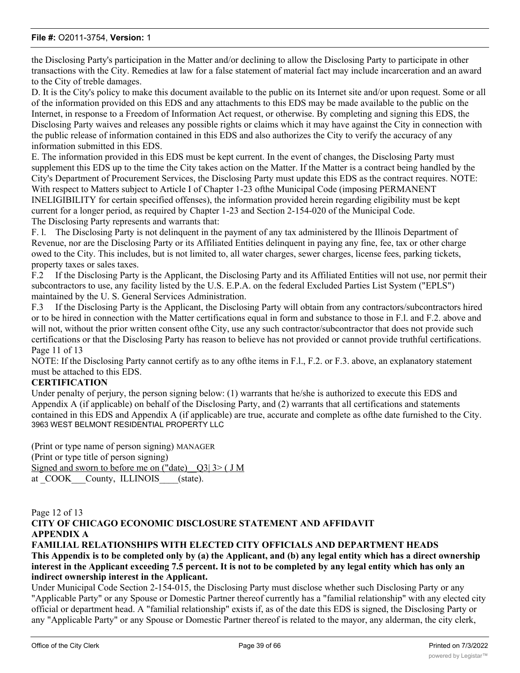the Disclosing Party's participation in the Matter and/or declining to allow the Disclosing Party to participate in other transactions with the City. Remedies at law for a false statement of material fact may include incarceration and an award to the City of treble damages.

D. It is the City's policy to make this document available to the public on its Internet site and/or upon request. Some or all of the information provided on this EDS and any attachments to this EDS may be made available to the public on the Internet, in response to a Freedom of Information Act request, or otherwise. By completing and signing this EDS, the Disclosing Party waives and releases any possible rights or claims which it may have against the City in connection with the public release of information contained in this EDS and also authorizes the City to verify the accuracy of any information submitted in this EDS.

E. The information provided in this EDS must be kept current. In the event of changes, the Disclosing Party must supplement this EDS up to the time the City takes action on the Matter. If the Matter is a contract being handled by the City's Department of Procurement Services, the Disclosing Party must update this EDS as the contract requires. NOTE: With respect to Matters subject to Article I of Chapter 1-23 ofthe Municipal Code (imposing PERMANENT INELIGIBILITY for certain specified offenses), the information provided herein regarding eligibility must be kept current for a longer period, as required by Chapter 1-23 and Section 2-154-020 of the Municipal Code. The Disclosing Party represents and warrants that:

F. l. The Disclosing Party is not delinquent in the payment of any tax administered by the Illinois Department of Revenue, nor are the Disclosing Party or its Affiliated Entities delinquent in paying any fine, fee, tax or other charge owed to the City. This includes, but is not limited to, all water charges, sewer charges, license fees, parking tickets, property taxes or sales taxes.

F.2 If the Disclosing Party is the Applicant, the Disclosing Party and its Affiliated Entities will not use, nor permit their subcontractors to use, any facility listed by the U.S. E.P.A. on the federal Excluded Parties List System ("EPLS") maintained by the U. S. General Services Administration.

F.3 If the Disclosing Party is the Applicant, the Disclosing Party will obtain from any contractors/subcontractors hired or to be hired in connection with the Matter certifications equal in form and substance to those in F.l. and F.2. above and will not, without the prior written consent of the City, use any such contractor/subcontractor that does not provide such certifications or that the Disclosing Party has reason to believe has not provided or cannot provide truthful certifications. Page 11 of 13

NOTE: If the Disclosing Party cannot certify as to any of the items in F.l., F.2. or F.3. above, an explanatory statement must be attached to this EDS.

### **CERTIFICATION**

Under penalty of perjury, the person signing below: (1) warrants that he/she is authorized to execute this EDS and Appendix A (if applicable) on behalf of the Disclosing Party, and (2) warrants that all certifications and statements contained in this EDS and Appendix A (if applicable) are true, accurate and complete as ofthe date furnished to the City. 3963 WEST BELMONT RESIDENTIAL PROPERTY LLC

(Print or type name of person signing) MANAGER (Print or type title of person signing) Signed and sworn to before me on ("date)  $Q3$ | 3> ( J M) at COOK County, ILLINOIS (state).

#### Page 12 of 13 **CITY OF CHICAGO ECONOMIC DISCLOSURE STATEMENT AND AFFIDAVIT APPENDIX A FAMILIAL RELATIONSHIPS WITH ELECTED CITY OFFICIALS AND DEPARTMENT HEADS**

**This Appendix is to be completed only by (a) the Applicant, and (b) any legal entity which has a direct ownership interest in the Applicant exceeding 7.5 percent. It is not to be completed by any legal entity which has only an indirect ownership interest in the Applicant.**

Under Municipal Code Section 2-154-015, the Disclosing Party must disclose whether such Disclosing Party or any "Applicable Party" or any Spouse or Domestic Partner thereof currently has a "familial relationship" with any elected city official or department head. A "familial relationship" exists if, as of the date this EDS is signed, the Disclosing Party or any "Applicable Party" or any Spouse or Domestic Partner thereof is related to the mayor, any alderman, the city clerk,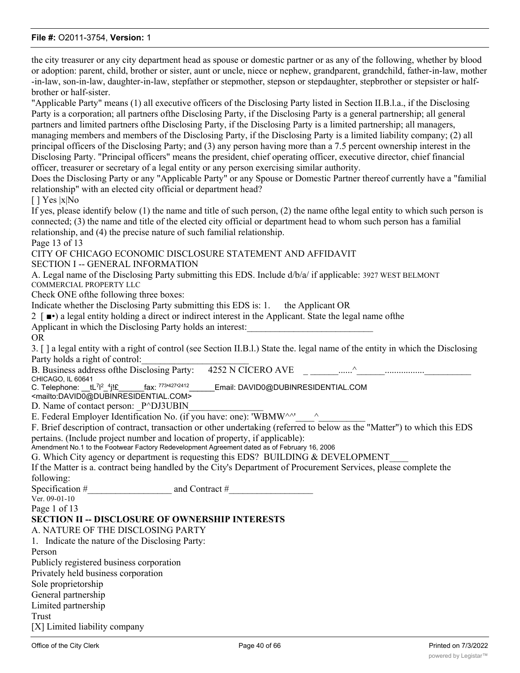the city treasurer or any city department head as spouse or domestic partner or as any of the following, whether by blood or adoption: parent, child, brother or sister, aunt or uncle, niece or nephew, grandparent, grandchild, father-in-law, mother -in-law, son-in-law, daughter-in-law, stepfather or stepmother, stepson or stepdaughter, stepbrother or stepsister or halfbrother or half-sister.

"Applicable Party" means (1) all executive officers of the Disclosing Party listed in Section II.B.l.a., if the Disclosing Party is a corporation; all partners ofthe Disclosing Party, if the Disclosing Party is a general partnership; all general partners and limited partners ofthe Disclosing Party, if the Disclosing Party is a limited partnership; all managers, managing members and members of the Disclosing Party, if the Disclosing Party is a limited liability company; (2) all principal officers of the Disclosing Party; and (3) any person having more than a 7.5 percent ownership interest in the Disclosing Party. "Principal officers" means the president, chief operating officer, executive director, chief financial officer, treasurer or secretary of a legal entity or any person exercising similar authority.

Does the Disclosing Party or any "Applicable Party" or any Spouse or Domestic Partner thereof currently have a "familial relationship" with an elected city official or department head?

 $[$  ] Yes  $|x|$ No

If yes, please identify below (1) the name and title of such person, (2) the name ofthe legal entity to which such person is connected; (3) the name and title of the elected city official or department head to whom such person has a familial relationship, and (4) the precise nature of such familial relationship.

Page 13 of 13

CITY OF CHICAGO ECONOMIC DISCLOSURE STATEMENT AND AFFIDAVIT

SECTION I -- GENERAL INFORMATION

A. Legal name of the Disclosing Party submitting this EDS. Include d/b/a/ if applicable: 3927 WEST BELMONT COMMERCIAL PROPERTY LLC

Check ONE ofthe following three boxes:

Indicate whether the Disclosing Party submitting this EDS is: 1. the Applicant OR

- 2 [ ■•) a legal entity holding a direct or indirect interest in the Applicant. State the legal name ofthe Applicant in which the Disclosing Party holds an interest:
- OR

3. [ ] a legal entity with a right of control (see Section II.B.l.) State the. legal name of the entity in which the Disclosing Party holds a right of control:

B. Business address ofthe Disclosing Party: 4252 N CICERO AVE \_ \_\_\_\_\_\_......^\_\_\_\_\_\_.................\_\_\_\_\_\_\_\_\_\_ CHICAGO, IL 60641

C. Telephone:  $tL^{7/2}$  <sup>4</sup> $i$ !£  $2^{2}$ -4j!£ fax:  $773^{1427}$ Email: DAVID0@DUBINRESIDENTIAL.COM

<mailto:DAVID0@DUBINRESIDENTIAL.COM>

D. Name of contact person: P^DJ3UBIN

E. Federal Employer Identification No. (if you have: one): 'WBMW^^'

F. Brief description of contract, transaction or other undertaking (referred to below as the "Matter") to which this EDS pertains. (Include project number and location of property, if applicable):

Amendment No.1 to the Footwear Factory Redevelopment Agreement dated as of February 16, 2006

G. Which City agency or department is requesting this EDS? BUILDING & DEVELOPMENT

If the Matter is a. contract being handled by the City's Department of Procurement Services, please complete the following:

Specification #  $\qquad \qquad \qquad$  and Contract #

Ver. 09-01-10

Page 1 of 13

### **SECTION II -- DISCLOSURE OF OWNERSHIP INTERESTS**

A. NATURE OF THE DISCLOSING PARTY

1. Indicate the nature of the Disclosing Party:

Person

Publicly registered business corporation Privately held business corporation Sole proprietorship General partnership

Limited partnership Trust

[X] Limited liability company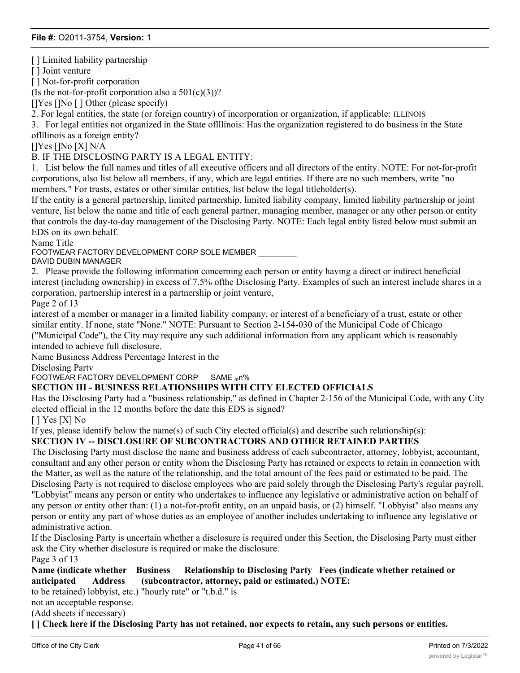[] Limited liability partnership

[] Joint venture

[ ] Not-for-profit corporation

(Is the not-for-profit corporation also a  $501(c)(3)$ )?

[]Yes []No [] Other (please specify)

2. For legal entities, the state (or foreign country) of incorporation or organization, if applicable: ILLINOIS

3. For legal entities not organized in the State oflllinois: Has the organization registered to do business in the State oflllinois as a foreign entity?

[]Yes []No [X] N/A

B. IF THE DISCLOSING PARTY IS A LEGAL ENTITY:

1. List below the full names and titles of all executive officers and all directors of the entity. NOTE: For not-for-profit corporations, also list below all members, if any, which are legal entities. If there are no such members, write "no members." For trusts, estates or other similar entities, list below the legal titleholder(s).

If the entity is a general partnership, limited partnership, limited liability company, limited liability partnership or joint venture, list below the name and title of each general partner, managing member, manager or any other person or entity that controls the day-to-day management of the Disclosing Party. NOTE: Each legal entity listed below must submit an EDS on its own behalf.

Name Title

FOOTWEAR FACTORY DEVELOPMENT CORP SOLE MEMBER \_\_\_\_\_\_\_\_\_

DAVID DUBIN MANAGER

2. Please provide the following information concerning each person or entity having a direct or indirect beneficial interest (including ownership) in excess of 7.5% ofthe Disclosing Party. Examples of such an interest include shares in a corporation, partnership interest in a partnership or joint venture,

Page 2 of 13

interest of a member or manager in a limited liability company, or interest of a beneficiary of a trust, estate or other similar entity. If none, state "None." NOTE: Pursuant to Section 2-154-030 of the Municipal Code of Chicago ("Municipal Code"), the City may require any such additional information from any applicant which is reasonably intended to achieve full disclosure.

Name Business Address Percentage Interest in the

Disclosing Partv

FOOTWEAR FACTORY DEVELOPMENT CORP SAME inn%

### **SECTION III - BUSINESS RELATIONSHIPS WITH CITY ELECTED OFFICIALS**

Has the Disclosing Party had a "business relationship," as defined in Chapter 2-156 of the Municipal Code, with any City elected official in the 12 months before the date this EDS is signed?

[ ] Yes [X] No

If yes, please identify below the name(s) of such City elected official(s) and describe such relationship(s):

### **SECTION IV -- DISCLOSURE OF SUBCONTRACTORS AND OTHER RETAINED PARTIES**

The Disclosing Party must disclose the name and business address of each subcontractor, attorney, lobbyist, accountant, consultant and any other person or entity whom the Disclosing Party has retained or expects to retain in connection with the Matter, as well as the nature of the relationship, and the total amount of the fees paid or estimated to be paid. The Disclosing Party is not required to disclose employees who are paid solely through the Disclosing Party's regular payroll. "Lobbyist" means any person or entity who undertakes to influence any legislative or administrative action on behalf of any person or entity other than: (1) a not-for-profit entity, on an unpaid basis, or (2) himself. "Lobbyist" also means any person or entity any part of whose duties as an employee of another includes undertaking to influence any legislative or administrative action.

If the Disclosing Party is uncertain whether a disclosure is required under this Section, the Disclosing Party must either ask the City whether disclosure is required or make the disclosure.

Page 3 of 13

**Name (indicate whether Business Relationship to Disclosing Party Fees (indicate whether retained or anticipated Address (subcontractor, attorney, paid or estimated.) NOTE:**

to be retained) lobbyist, etc.) "hourly rate" or "t.b.d." is

not an acceptable response.

**SECTION V - CERTIFICATION** 

(Add sheets if necessary)

**[ ] Check here if the Disclosing Party has not retained, nor expects to retain, any such persons or entities.**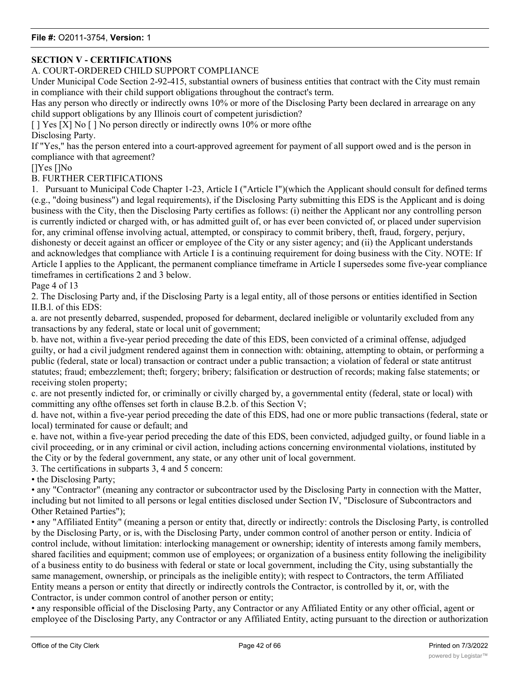## **SECTION V - CERTIFICATIONS**

### A. COURT-ORDERED CHILD SUPPORT COMPLIANCE

Under Municipal Code Section 2-92-415, substantial owners of business entities that contract with the City must remain in compliance with their child support obligations throughout the contract's term.

Has any person who directly or indirectly owns 10% or more of the Disclosing Party been declared in arrearage on any child support obligations by any Illinois court of competent jurisdiction?

[ ] Yes [X] No [ ] No person directly or indirectly owns 10% or more of the

Disclosing Party.

If "Yes," has the person entered into a court-approved agreement for payment of all support owed and is the person in compliance with that agreement?

[]Yes []No

### B. FURTHER CERTIFICATIONS

1. Pursuant to Municipal Code Chapter 1-23, Article I ("Article I")(which the Applicant should consult for defined terms (e.g., "doing business") and legal requirements), if the Disclosing Party submitting this EDS is the Applicant and is doing business with the City, then the Disclosing Party certifies as follows: (i) neither the Applicant nor any controlling person is currently indicted or charged with, or has admitted guilt of, or has ever been convicted of, or placed under supervision for, any criminal offense involving actual, attempted, or conspiracy to commit bribery, theft, fraud, forgery, perjury, dishonesty or deceit against an officer or employee of the City or any sister agency; and (ii) the Applicant understands and acknowledges that compliance with Article I is a continuing requirement for doing business with the City. NOTE: If Article I applies to the Applicant, the permanent compliance timeframe in Article I supersedes some five-year compliance timeframes in certifications 2 and 3 below.

Page 4 of 13

2. The Disclosing Party and, if the Disclosing Party is a legal entity, all of those persons or entities identified in Section II.B.l. of this EDS:

a. are not presently debarred, suspended, proposed for debarment, declared ineligible or voluntarily excluded from any transactions by any federal, state or local unit of government;

b. have not, within a five-year period preceding the date of this EDS, been convicted of a criminal offense, adjudged guilty, or had a civil judgment rendered against them in connection with: obtaining, attempting to obtain, or performing a public (federal, state or local) transaction or contract under a public transaction; a violation of federal or state antitrust statutes; fraud; embezzlement; theft; forgery; bribery; falsification or destruction of records; making false statements; or receiving stolen property;

c. are not presently indicted for, or criminally or civilly charged by, a governmental entity (federal, state or local) with committing any ofthe offenses set forth in clause B.2.b. of this Section V;

d. have not, within a five-year period preceding the date of this EDS, had one or more public transactions (federal, state or local) terminated for cause or default; and

e. have not, within a five-year period preceding the date of this EDS, been convicted, adjudged guilty, or found liable in a civil proceeding, or in any criminal or civil action, including actions concerning environmental violations, instituted by the City or by the federal government, any state, or any other unit of local government.

3. The certifications in subparts 3, 4 and 5 concern:

• the Disclosing Party:

• any "Contractor" (meaning any contractor or subcontractor used by the Disclosing Party in connection with the Matter, including but not limited to all persons or legal entities disclosed under Section IV, "Disclosure of Subcontractors and Other Retained Parties");

• any "Affiliated Entity" (meaning a person or entity that, directly or indirectly: controls the Disclosing Party, is controlled by the Disclosing Party, or is, with the Disclosing Party, under common control of another person or entity. Indicia of control include, without limitation: interlocking management or ownership; identity of interests among family members, shared facilities and equipment; common use of employees; or organization of a business entity following the ineligibility of a business entity to do business with federal or state or local government, including the City, using substantially the same management, ownership, or principals as the ineligible entity); with respect to Contractors, the term Affiliated Entity means a person or entity that directly or indirectly controls the Contractor, is controlled by it, or, with the Contractor, is under common control of another person or entity;

• any responsible official of the Disclosing Party, any Contractor or any Affiliated Entity or any other official, agent or employee of the Disclosing Party, any Contractor or any Affiliated Entity, acting pursuant to the direction or authorization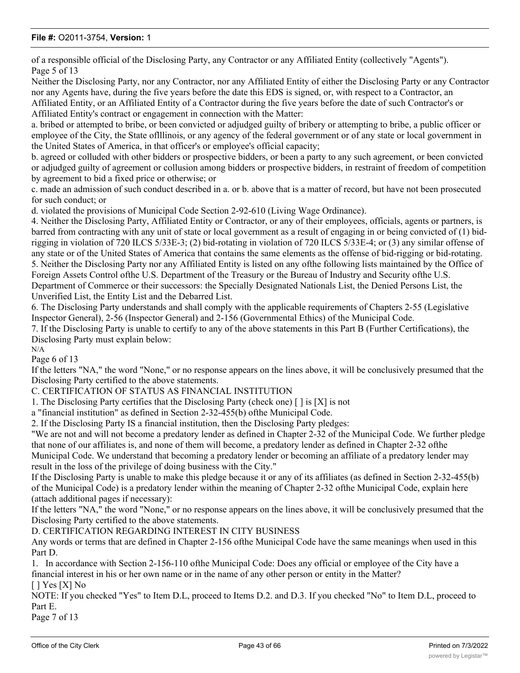of a responsible official of the Disclosing Party, any Contractor or any Affiliated Entity (collectively "Agents"). Page 5 of 13

Neither the Disclosing Party, nor any Contractor, nor any Affiliated Entity of either the Disclosing Party or any Contractor nor any Agents have, during the five years before the date this EDS is signed, or, with respect to a Contractor, an Affiliated Entity, or an Affiliated Entity of a Contractor during the five years before the date of such Contractor's or Affiliated Entity's contract or engagement in connection with the Matter:

a. bribed or attempted to bribe, or been convicted or adjudged guilty of bribery or attempting to bribe, a public officer or employee of the City, the State oflllinois, or any agency of the federal government or of any state or local government in the United States of America, in that officer's or employee's official capacity;

b. agreed or colluded with other bidders or prospective bidders, or been a party to any such agreement, or been convicted or adjudged guilty of agreement or collusion among bidders or prospective bidders, in restraint of freedom of competition by agreement to bid a fixed price or otherwise; or

c. made an admission of such conduct described in a. or b. above that is a matter of record, but have not been prosecuted for such conduct; or

d. violated the provisions of Municipal Code Section 2-92-610 (Living Wage Ordinance).

4. Neither the Disclosing Party, Affiliated Entity or Contractor, or any of their employees, officials, agents or partners, is barred from contracting with any unit of state or local government as a result of engaging in or being convicted of (1) bidrigging in violation of 720 ILCS 5/33E-3; (2) bid-rotating in violation of 720 ILCS 5/33E-4; or (3) any similar offense of any state or of the United States of America that contains the same elements as the offense of bid-rigging or bid-rotating. 5. Neither the Disclosing Party nor any Affiliated Entity is listed on any ofthe following lists maintained by the Office of Foreign Assets Control ofthe U.S. Department of the Treasury or the Bureau of Industry and Security ofthe U.S.

Department of Commerce or their successors: the Specially Designated Nationals List, the Denied Persons List, the Unverified List, the Entity List and the Debarred List.

6. The Disclosing Party understands and shall comply with the applicable requirements of Chapters 2-55 (Legislative Inspector General), 2-56 (Inspector General) and 2-156 (Governmental Ethics) of the Municipal Code.

7. If the Disclosing Party is unable to certify to any of the above statements in this Part B (Further Certifications), the Disclosing Party must explain below: N/A

Page 6 of 13

If the letters "NA," the word "None," or no response appears on the lines above, it will be conclusively presumed that the Disclosing Party certified to the above statements.

C. CERTIFICATION OF STATUS AS FINANCIAL INSTITUTION

1. The Disclosing Party certifies that the Disclosing Party (check one) [ ] is [X] is not

a "financial institution" as defined in Section 2-32-455(b) ofthe Municipal Code.

2. If the Disclosing Party IS a financial institution, then the Disclosing Party pledges:

"We are not and will not become a predatory lender as defined in Chapter 2-32 of the Municipal Code. We further pledge that none of our affiliates is, and none of them will become, a predatory lender as defined in Chapter 2-32 ofthe Municipal Code. We understand that becoming a predatory lender or becoming an affiliate of a predatory lender may

result in the loss of the privilege of doing business with the City."

If the Disclosing Party is unable to make this pledge because it or any of its affiliates (as defined in Section 2-32-455(b) of the Municipal Code) is a predatory lender within the meaning of Chapter 2-32 ofthe Municipal Code, explain here (attach additional pages if necessary):

If the letters "NA," the word "None," or no response appears on the lines above, it will be conclusively presumed that the Disclosing Party certified to the above statements.

D. CERTIFICATION REGARDING INTEREST IN CITY BUSINESS

Any words or terms that are defined in Chapter 2-156 ofthe Municipal Code have the same meanings when used in this Part D.

1. In accordance with Section 2-156-110 ofthe Municipal Code: Does any official or employee of the City have a financial interest in his or her own name or in the name of any other person or entity in the Matter? [ ] Yes [X] No

NOTE: If you checked "Yes" to Item D.L, proceed to Items D.2. and D.3. If you checked "No" to Item D.L, proceed to Part E.

Page 7 of 13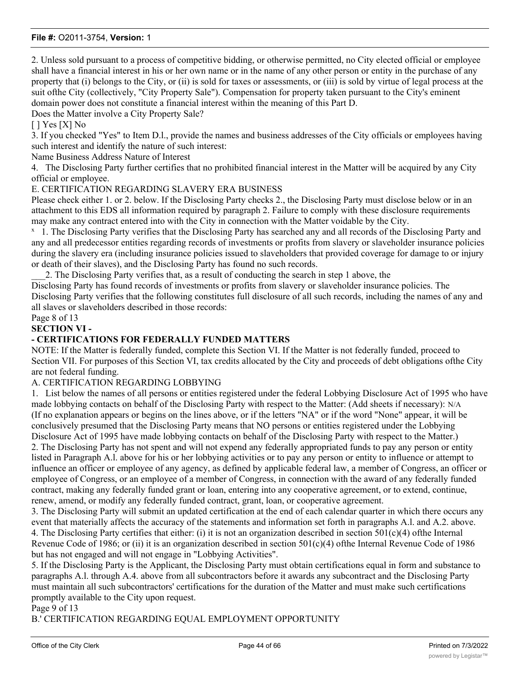2. Unless sold pursuant to a process of competitive bidding, or otherwise permitted, no City elected official or employee shall have a financial interest in his or her own name or in the name of any other person or entity in the purchase of any property that (i) belongs to the City, or (ii) is sold for taxes or assessments, or (iii) is sold by virtue of legal process at the suit ofthe City (collectively, "City Property Sale"). Compensation for property taken pursuant to the City's eminent domain power does not constitute a financial interest within the meaning of this Part D.

Does the Matter involve a City Property Sale?

### $[$   $]$  Yes  $[X]$  No

3. If you checked "Yes" to Item D.l., provide the names and business addresses of the City officials or employees having such interest and identify the nature of such interest:

Name Business Address Nature of Interest

4. The Disclosing Party further certifies that no prohibited financial interest in the Matter will be acquired by any City official or employee.

E. CERTIFICATION REGARDING SLAVERY ERA BUSINESS

Please check either 1. or 2. below. If the Disclosing Party checks 2., the Disclosing Party must disclose below or in an attachment to this EDS all information required by paragraph 2. Failure to comply with these disclosure requirements may make any contract entered into with the City in connection with the Matter voidable by the City.

<sup>x</sup> 1. The Disclosing Party verifies that the Disclosing Party has searched any and all records of the Disclosing Party and any and all predecessor entities regarding records of investments or profits from slavery or slaveholder insurance policies during the slavery era (including insurance policies issued to slaveholders that provided coverage for damage to or injury or death of their slaves), and the Disclosing Party has found no such records.

\_\_\_2. The Disclosing Party verifies that, as a result of conducting the search in step 1 above, the

Disclosing Party has found records of investments or profits from slavery or slaveholder insurance policies. The Disclosing Party verifies that the following constitutes full disclosure of all such records, including the names of any and all slaves or slaveholders described in those records:

Page 8 of 13

### **SECTION VI -**

### **- CERTIFICATIONS FOR FEDERALLY FUNDED MATTERS**

NOTE: If the Matter is federally funded, complete this Section VI. If the Matter is not federally funded, proceed to Section VII. For purposes of this Section VI, tax credits allocated by the City and proceeds of debt obligations ofthe City are not federal funding.

#### A. CERTIFICATION REGARDING LOBBYING

1. List below the names of all persons or entities registered under the federal Lobbying Disclosure Act of 1995 who have made lobbying contacts on behalf of the Disclosing Party with respect to the Matter: (Add sheets if necessary): N/A (If no explanation appears or begins on the lines above, or if the letters "NA" or if the word "None" appear, it will be conclusively presumed that the Disclosing Party means that NO persons or entities registered under the Lobbying Disclosure Act of 1995 have made lobbying contacts on behalf of the Disclosing Party with respect to the Matter.) 2. The Disclosing Party has not spent and will not expend any federally appropriated funds to pay any person or entity listed in Paragraph A.l. above for his or her lobbying activities or to pay any person or entity to influence or attempt to influence an officer or employee of any agency, as defined by applicable federal law, a member of Congress, an officer or employee of Congress, or an employee of a member of Congress, in connection with the award of any federally funded contract, making any federally funded grant or loan, entering into any cooperative agreement, or to extend, continue, renew, amend, or modify any federally funded contract, grant, loan, or cooperative agreement.

3. The Disclosing Party will submit an updated certification at the end of each calendar quarter in which there occurs any event that materially affects the accuracy of the statements and information set forth in paragraphs A.l. and A.2. above. 4. The Disclosing Party certifies that either: (i) it is not an organization described in section 501(c)(4) ofthe Internal Revenue Code of 1986; or (ii) it is an organization described in section  $501(c)(4)$  of the Internal Revenue Code of 1986 but has not engaged and will not engage in "Lobbying Activities".

5. If the Disclosing Party is the Applicant, the Disclosing Party must obtain certifications equal in form and substance to paragraphs A.l. through A.4. above from all subcontractors before it awards any subcontract and the Disclosing Party must maintain all such subcontractors' certifications for the duration of the Matter and must make such certifications promptly available to the City upon request.

Page 9 of 13

B.' CERTIFICATION REGARDING EQUAL EMPLOYMENT OPPORTUNITY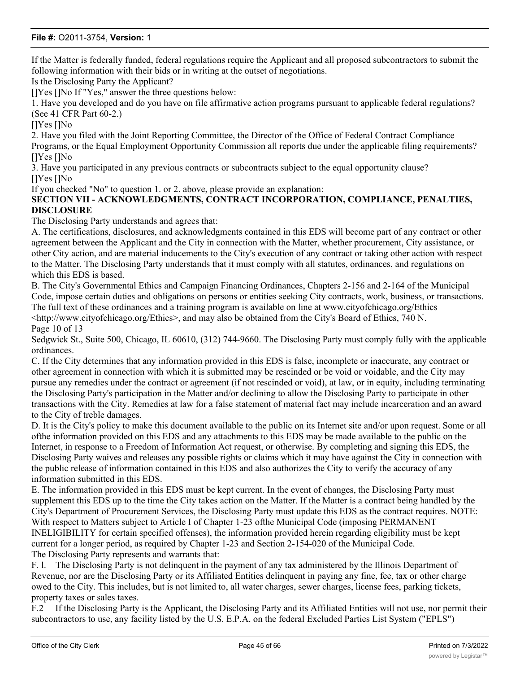If the Matter is federally funded, federal regulations require the Applicant and all proposed subcontractors to submit the following information with their bids or in writing at the outset of negotiations.

Is the Disclosing Party the Applicant?

[]Yes []No If "Yes," answer the three questions below:

1. Have you developed and do you have on file affirmative action programs pursuant to applicable federal regulations? (See 41 CFR Part 60-2.)

[]Yes []No

2. Have you filed with the Joint Reporting Committee, the Director of the Office of Federal Contract Compliance Programs, or the Equal Employment Opportunity Commission all reports due under the applicable filing requirements? []Yes []No

3. Have you participated in any previous contracts or subcontracts subject to the equal opportunity clause? []Yes []No

If you checked "No" to question 1. or 2. above, please provide an explanation:

### **SECTION VII - ACKNOWLEDGMENTS, CONTRACT INCORPORATION, COMPLIANCE, PENALTIES, DISCLOSURE**

The Disclosing Party understands and agrees that:

A. The certifications, disclosures, and acknowledgments contained in this EDS will become part of any contract or other agreement between the Applicant and the City in connection with the Matter, whether procurement, City assistance, or other City action, and are material inducements to the City's execution of any contract or taking other action with respect to the Matter. The Disclosing Party understands that it must comply with all statutes, ordinances, and regulations on which this EDS is based.

B. The City's Governmental Ethics and Campaign Financing Ordinances, Chapters 2-156 and 2-164 of the Municipal Code, impose certain duties and obligations on persons or entities seeking City contracts, work, business, or transactions. The full text of these ordinances and a training program is available on line at www.cityofchicago.org/Ethics <http://www.cityofchicago.org/Ethics>, and may also be obtained from the City's Board of Ethics, 740 N. Page 10 of 13

Sedgwick St., Suite 500, Chicago, IL 60610, (312) 744-9660. The Disclosing Party must comply fully with the applicable ordinances.

C. If the City determines that any information provided in this EDS is false, incomplete or inaccurate, any contract or other agreement in connection with which it is submitted may be rescinded or be void or voidable, and the City may pursue any remedies under the contract or agreement (if not rescinded or void), at law, or in equity, including terminating the Disclosing Party's participation in the Matter and/or declining to allow the Disclosing Party to participate in other transactions with the City. Remedies at law for a false statement of material fact may include incarceration and an award to the City of treble damages.

D. It is the City's policy to make this document available to the public on its Internet site and/or upon request. Some or all ofthe information provided on this EDS and any attachments to this EDS may be made available to the public on the Internet, in response to a Freedom of Information Act request, or otherwise. By completing and signing this EDS, the Disclosing Party waives and releases any possible rights or claims which it may have against the City in connection with the public release of information contained in this EDS and also authorizes the City to verify the accuracy of any information submitted in this EDS.

E. The information provided in this EDS must be kept current. In the event of changes, the Disclosing Party must supplement this EDS up to the time the City takes action on the Matter. If the Matter is a contract being handled by the City's Department of Procurement Services, the Disclosing Party must update this EDS as the contract requires. NOTE: With respect to Matters subject to Article I of Chapter 1-23 ofthe Municipal Code (imposing PERMANENT INELIGIBILITY for certain specified offenses), the information provided herein regarding eligibility must be kept current for a longer period, as required by Chapter 1-23 and Section 2-154-020 of the Municipal Code. The Disclosing Party represents and warrants that:

F. l. The Disclosing Party is not delinquent in the payment of any tax administered by the Illinois Department of Revenue, nor are the Disclosing Party or its Affiliated Entities delinquent in paying any fine, fee, tax or other charge owed to the City. This includes, but is not limited to, all water charges, sewer charges, license fees, parking tickets, property taxes or sales taxes.

F.2 If the Disclosing Party is the Applicant, the Disclosing Party and its Affiliated Entities will not use, nor permit their subcontractors to use, any facility listed by the U.S. E.P.A. on the federal Excluded Parties List System ("EPLS")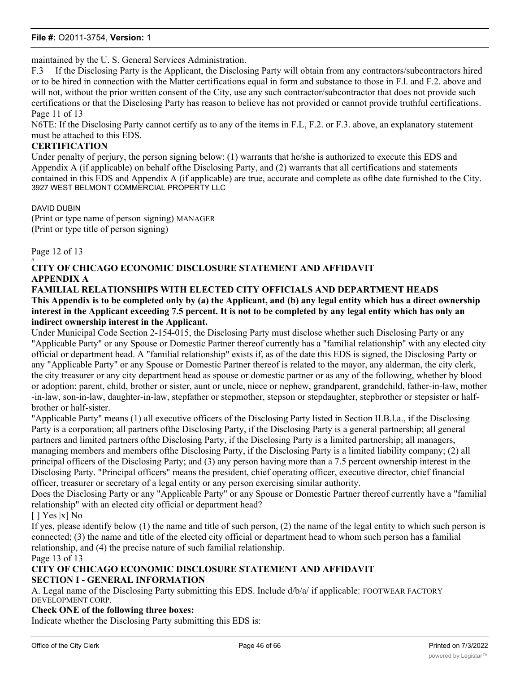maintained by the U. S. General Services Administration.

F.3 If the Disclosing Party is the Applicant, the Disclosing Party will obtain from any contractors/subcontractors hired or to be hired in connection with the Matter certifications equal in form and substance to those in F.l. and F.2. above and will not, without the prior written consent of the City, use any such contractor/subcontractor that does not provide such certifications or that the Disclosing Party has reason to believe has not provided or cannot provide truthful certifications. Page 11 of 13

N6TE: If the Disclosing Party cannot certify as to any of the items in F.L, F.2. or F.3. above, an explanatory statement must be attached to this EDS.

#### **CERTIFICATION**

Under penalty of perjury, the person signing below: (1) warrants that he/she is authorized to execute this EDS and Appendix A (if applicable) on behalf ofthe Disclosing Party, and (2) warrants that all certifications and statements contained in this EDS and Appendix A (if applicable) are true, accurate and complete as ofthe date furnished to the City. 3927 WEST BELMONT COMMERCIAL PROPERTY LLC

DAVID DUBIN

(Print or type name of person signing) MANAGER (Print or type title of person signing)

Page 12 of 13

#### *it* **CITY OF CHICAGO ECONOMIC DISCLOSURE STATEMENT AND AFFIDAVIT APPENDIX A**

**FAMILIAL RELATIONSHIPS WITH ELECTED CITY OFFICIALS AND DEPARTMENT HEADS This Appendix is to be completed only by (a) the Applicant, and (b) any legal entity which has a direct ownership interest in the Applicant exceeding 7.5 percent. It is not to be completed by any legal entity which has only an indirect ownership interest in the Applicant.**

Under Municipal Code Section 2-154-015, the Disclosing Party must disclose whether such Disclosing Party or any "Applicable Party" or any Spouse or Domestic Partner thereof currently has a "familial relationship" with any elected city official or department head. A "familial relationship" exists if, as of the date this EDS is signed, the Disclosing Party or any "Applicable Party" or any Spouse or Domestic Partner thereof is related to the mayor, any alderman, the city clerk, the city treasurer or any city department head as spouse or domestic partner or as any of the following, whether by blood or adoption: parent, child, brother or sister, aunt or uncle, niece or nephew, grandparent, grandchild, father-in-law, mother -in-law, son-in-law, daughter-in-law, stepfather or stepmother, stepson or stepdaughter, stepbrother or stepsister or halfbrother or half-sister.

"Applicable Party" means (1) all executive officers of the Disclosing Party listed in Section II.B.l.a., if the Disclosing Party is a corporation; all partners ofthe Disclosing Party, if the Disclosing Party is a general partnership; all general partners and limited partners ofthe Disclosing Party, if the Disclosing Party is a limited partnership; all managers, managing members and members ofthe Disclosing Party, if the Disclosing Party is a limited liability company; (2) all principal officers of the Disclosing Party; and (3) any person having more than a 7.5 percent ownership interest in the Disclosing Party. "Principal officers" means the president, chief operating officer, executive director, chief financial officer, treasurer or secretary of a legal entity or any person exercising similar authority.

Does the Disclosing Party or any "Applicable Party" or any Spouse or Domestic Partner thereof currently have a "familial relationship" with an elected city official or department head?

### [ ] Yes |x] No

If yes, please identify below (1) the name and title of such person, (2) the name of the legal entity to which such person is connected; (3) the name and title of the elected city official or department head to whom such person has a familial relationship, and (4) the precise nature of such familial relationship.

Page 13 of 13

### **CITY OF CHICAGO ECONOMIC DISCLOSURE STATEMENT AND AFFIDAVIT SECTION I - GENERAL INFORMATION**

A. Legal name of the Disclosing Party submitting this EDS. Include d/b/a/ if applicable: FOOTWEAR FACTORY DEVELOPMENT CORP.

### **Check ONE of the following three boxes:**

Indicate whether the Disclosing Party submitting this EDS is: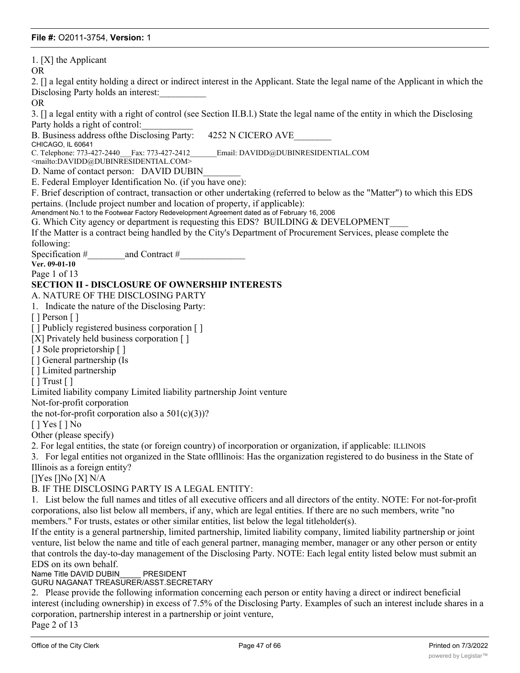1. [X] the Applicant OR 2. [] a legal entity holding a direct or indirect interest in the Applicant. State the legal name of the Applicant in which the Disclosing Party holds an interest: OR 3. [] a legal entity with a right of control (see Section II.B.l.) State the legal name of the entity in which the Disclosing Party holds a right of control: B. Business address of the Disclosing Party: 4252 N CICERO AVE CHICAGO, IL 60641<br>C. Telephone: 773-427-2440 Fax: 773-427-2412 Email: DAVIDD@DUBINRESIDENTIAL.COM <mailto:DAVIDD@DUBINRESIDENTIAL.COM> D. Name of contact person: DAVID DUBIN E. Federal Employer Identification No. (if you have one): F. Brief description of contract, transaction or other undertaking (referred to below as the "Matter") to which this EDS pertains. (Include project number and location of property, if applicable): Amendment No.1 to the Footwear Factory Redevelopment Agreement dated as of February 16, 2006 G. Which City agency or department is requesting this EDS? BUILDING & DEVELOPMENT If the Matter is a contract being handled by the City's Department of Procurement Services, please complete the following: Specification #  $\qquad \qquad$  and Contract # **Ver. 09-01-10** Page 1 of 13 **SECTION II - DISCLOSURE OF OWNERSHIP INTERESTS** A. NATURE OF THE DISCLOSING PARTY 1. Indicate the nature of the Disclosing Party: [ ] Person [ ] [] Publicly registered business corporation [] [X] Privately held business corporation [] [ J Sole proprietorship [ ] [ ] General partnership (Is [ ] Limited partnership [ ] Trust [ ] Limited liability company Limited liability partnership Joint venture Not-for-profit corporation the not-for-profit corporation also a  $501(c)(3)$ ? [ ] Yes [ ] No Other (please specify) 2. For legal entities, the state (or foreign country) of incorporation or organization, if applicable: ILLINOIS 3. For legal entities not organized in the State oflllinois: Has the organization registered to do business in the State of Illinois as a foreign entity? []Yes []No [X] N/A B. IF THE DISCLOSING PARTY IS A LEGAL ENTITY: 1. List below the full names and titles of all executive officers and all directors of the entity. NOTE: For not-for-profit corporations, also list below all members, if any, which are legal entities. If there are no such members, write "no members." For trusts, estates or other similar entities, list below the legal titleholder(s). If the entity is a general partnership, limited partnership, limited liability company, limited liability partnership or joint venture, list below the name and title of each general partner, managing member, manager or any other person or entity that controls the day-to-day management of the Disclosing Party. NOTE: Each legal entity listed below must submit an EDS on its own behalf. Name Title DAVID DUBIN PRESIDENT

### GURU NAGANAT TREASURER/ASST.SECRETARY

2. Please provide the following information concerning each person or entity having a direct or indirect beneficial interest (including ownership) in excess of 7.5% of the Disclosing Party. Examples of such an interest include shares in a corporation, partnership interest in a partnership or joint venture,

Page 2 of 13

interest or manager in a limited liability company, or interest or interest of a beneficiary of a trust, , est<br>Interest or other or interest or other a trust, , estate-or other a trust, , estate-or other a trust, , estate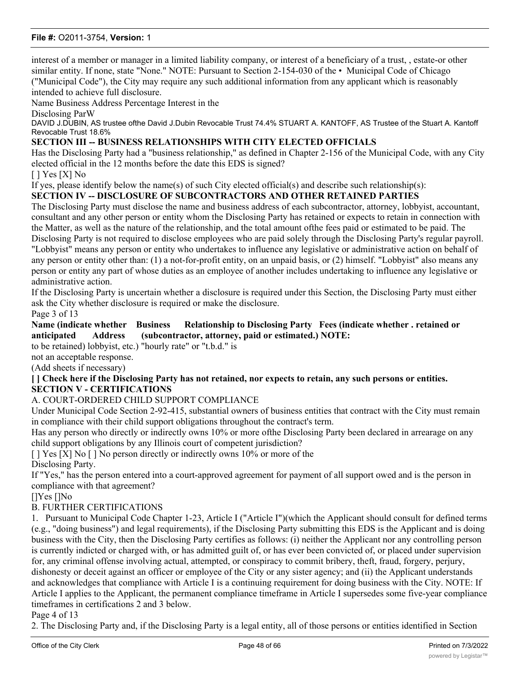interest of a member or manager in a limited liability company, or interest of a beneficiary of a trust, , estate-or other similar entity. If none, state "None." NOTE: Pursuant to Section 2-154-030 of the • Municipal Code of Chicago ("Municipal Code"), the City may require any such additional information from any applicant which is reasonably intended to achieve full disclosure.

Name Business Address Percentage Interest in the

Disclosing ParW

DAVID J.DUBIN, AS trustee ofthe David J.Dubin Revocable Trust 74.4% STUART A. KANTOFF, AS Trustee of the Stuart A. Kantoff Revocable Trust 18.6%

### **SECTION III -- BUSINESS RELATIONSHIPS WITH CITY ELECTED OFFICIALS**

Has the Disclosing Party had a "business relationship," as defined in Chapter 2-156 of the Municipal Code, with any City elected official in the 12 months before the date this EDS is signed?

[ ] Yes [X] No

If yes, please identify below the name(s) of such City elected official(s) and describe such relationship(s):

### **SECTION IV -- DISCLOSURE OF SUBCONTRACTORS AND OTHER RETAINED PARTIES**

The Disclosing Party must disclose the name and business address of each subcontractor, attorney, lobbyist, accountant, consultant and any other person or entity whom the Disclosing Party has retained or expects to retain in connection with the Matter, as well as the nature of the relationship, and the total amount ofthe fees paid or estimated to be paid. The Disclosing Party is not required to disclose employees who are paid solely through the Disclosing Party's regular payroll. "Lobbyist" means any person or entity who undertakes to influence any legislative or administrative action on behalf of any person or entity other than: (1) a not-for-profit entity, on an unpaid basis, or (2) himself. "Lobbyist" also means any person or entity any part of whose duties as an employee of another includes undertaking to influence any legislative or administrative action.

If the Disclosing Party is uncertain whether a disclosure is required under this Section, the Disclosing Party must either ask the City whether disclosure is required or make the disclosure.

Page 3 of 13

**Name (indicate whether Business Relationship to Disclosing Party Fees (indicate whether . retained or anticipated Address (subcontractor, attorney, paid or estimated.) NOTE:**

to be retained) lobbyist, etc.) "hourly rate" or "t.b.d." is

not an acceptable response.

(Add sheets if necessary)

**[ ] Check here if the Disclosing Party has not retained, nor expects to retain, any such persons or entities. SECTION V - CERTIFICATIONS**

#### A. COURT-ORDERED CHILD SUPPORT COMPLIANCE

Under Municipal Code Section 2-92-415, substantial owners of business entities that contract with the City must remain in compliance with their child support obligations throughout the contract's term.

Has any person who directly or indirectly owns 10% or more ofthe Disclosing Party been declared in arrearage on any child support obligations by any Illinois court of competent jurisdiction?

[ ] Yes [X] No [ ] No person directly or indirectly owns 10% or more of the Disclosing Party.

If "Yes," has the person entered into a court-approved agreement for payment of all support owed and is the person in compliance with that agreement?

[]Yes []No

### B. FURTHER CERTIFICATIONS

1. Pursuant to Municipal Code Chapter 1-23, Article I ("Article I")(which the Applicant should consult for defined terms (e.g., "doing business") and legal requirements), if the Disclosing Party submitting this EDS is the Applicant and is doing business with the City, then the Disclosing Party certifies as follows: (i) neither the Applicant nor any controlling person is currently indicted or charged with, or has admitted guilt of, or has ever been convicted of, or placed under supervision for, any criminal offense involving actual, attempted, or conspiracy to commit bribery, theft, fraud, forgery, perjury, dishonesty or deceit against an officer or employee of the City or any sister agency; and (ii) the Applicant understands and acknowledges that compliance with Article I is a continuing requirement for doing business with the City. NOTE: If Article I applies to the Applicant, the permanent compliance timeframe in Article I supersedes some five-year compliance timeframes in certifications 2 and 3 below.

Page 4 of 13

2. The Disclosing Party and, if the Disclosing Party is a legal entity, all of those persons or entities identified in Section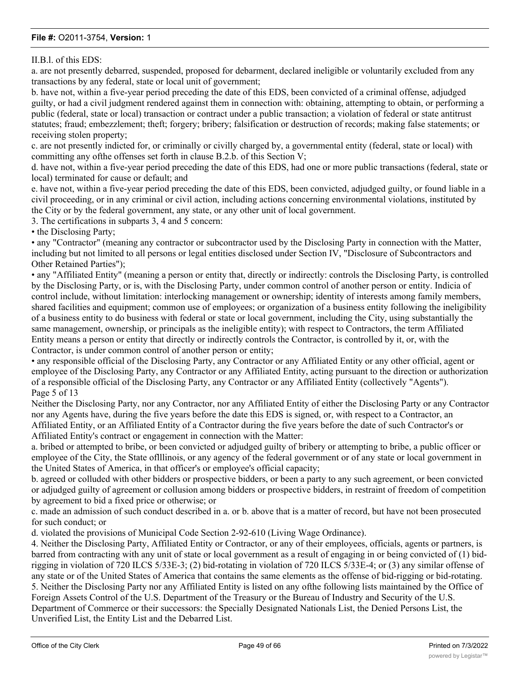II.B.l. of this EDS:

a. are not presently debarred, suspended, proposed for debarment, declared ineligible or voluntarily excluded from any transactions by any federal, state or local unit of government;

b. have not, within a five-year period preceding the date of this EDS, been convicted of a criminal offense, adjudged guilty, or had a civil judgment rendered against them in connection with: obtaining, attempting to obtain, or performing a public (federal, state or local) transaction or contract under a public transaction; a violation of federal or state antitrust statutes; fraud; embezzlement; theft; forgery; bribery; falsification or destruction of records; making false statements; or receiving stolen property;

c. are not presently indicted for, or criminally or civilly charged by, a governmental entity (federal, state or local) with committing any ofthe offenses set forth in clause B.2.b. of this Section V;

d. have not, within a five-year period preceding the date of this EDS, had one or more public transactions (federal, state or local) terminated for cause or default; and

e. have not, within a five-year period preceding the date of this EDS, been convicted, adjudged guilty, or found liable in a civil proceeding, or in any criminal or civil action, including actions concerning environmental violations, instituted by the City or by the federal government, any state, or any other unit of local government.

3. The certifications in subparts 3, 4 and 5 concern:

• the Disclosing Party;

• any "Contractor" (meaning any contractor or subcontractor used by the Disclosing Party in connection with the Matter, including but not limited to all persons or legal entities disclosed under Section IV, "Disclosure of Subcontractors and Other Retained Parties");

• any "Affiliated Entity" (meaning a person or entity that, directly or indirectly: controls the Disclosing Party, is controlled by the Disclosing Party, or is, with the Disclosing Party, under common control of another person or entity. Indicia of control include, without limitation: interlocking management or ownership; identity of interests among family members, shared facilities and equipment; common use of employees; or organization of a business entity following the ineligibility of a business entity to do business with federal or state or local government, including the City, using substantially the same management, ownership, or principals as the ineligible entity); with respect to Contractors, the term Affiliated Entity means a person or entity that directly or indirectly controls the Contractor, is controlled by it, or, with the Contractor, is under common control of another person or entity;

• any responsible official of the Disclosing Party, any Contractor or any Affiliated Entity or any other official, agent or employee of the Disclosing Party, any Contractor or any Affiliated Entity, acting pursuant to the direction or authorization of a responsible official of the Disclosing Party, any Contractor or any Affiliated Entity (collectively "Agents"). Page 5 of 13

Neither the Disclosing Party, nor any Contractor, nor any Affiliated Entity of either the Disclosing Party or any Contractor nor any Agents have, during the five years before the date this EDS is signed, or, with respect to a Contractor, an Affiliated Entity, or an Affiliated Entity of a Contractor during the five years before the date of such Contractor's or Affiliated Entity's contract or engagement in connection with the Matter:

a. bribed or attempted to bribe, or been convicted or adjudged guilty of bribery or attempting to bribe, a public officer or employee of the City, the State oflllinois, or any agency of the federal government or of any state or local government in the United States of America, in that officer's or employee's official capacity;

b. agreed or colluded with other bidders or prospective bidders, or been a party to any such agreement, or been convicted or adjudged guilty of agreement or collusion among bidders or prospective bidders, in restraint of freedom of competition by agreement to bid a fixed price or otherwise; or

c. made an admission of such conduct described in a. or b. above that is a matter of record, but have not been prosecuted for such conduct; or

d. violated the provisions of Municipal Code Section 2-92-610 (Living Wage Ordinance).

4. Neither the Disclosing Party, Affiliated Entity or Contractor, or any of their employees, officials, agents or partners, is barred from contracting with any unit of state or local government as a result of engaging in or being convicted of (1) bidrigging in violation of 720 ILCS 5/33E-3; (2) bid-rotating in violation of 720 ILCS 5/33E-4; or (3) any similar offense of any state or of the United States of America that contains the same elements as the offense of bid-rigging or bid-rotating. 5. Neither the Disclosing Party nor any Affiliated Entity is listed on any ofthe following lists maintained by the Office of Foreign Assets Control of the U.S. Department of the Treasury or the Bureau of Industry and Security of the U.S. Department of Commerce or their successors: the Specially Designated Nationals List, the Denied Persons List, the Unverified List, the Entity List and the Debarred List.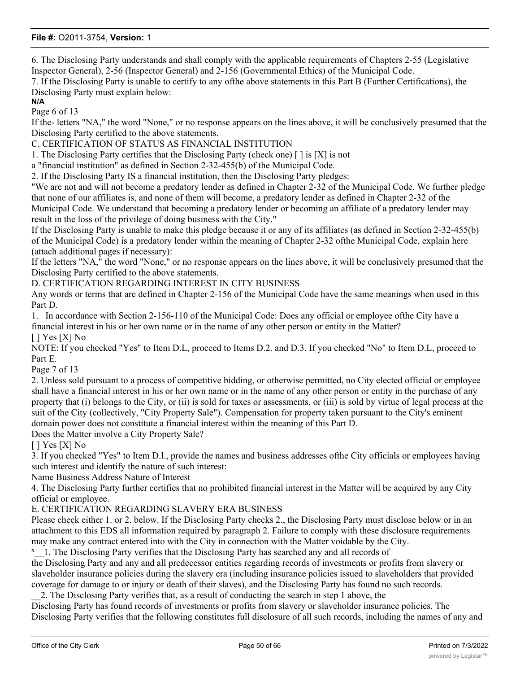6. The Disclosing Party understands and shall comply with the applicable requirements of Chapters 2-55 (Legislative Inspector General), 2-56 (Inspector General) and 2-156 (Governmental Ethics) of the Municipal Code.

7. If the Disclosing Party is unable to certify to any ofthe above statements in this Part B (Further Certifications), the Disclosing Party must explain below:

### **N/A**

Page 6 of 13

If the- letters "NA," the word "None," or no response appears on the lines above, it will be conclusively presumed that the Disclosing Party certified to the above statements.

C. CERTIFICATION OF STATUS AS FINANCIAL INSTITUTION

1. The Disclosing Party certifies that the Disclosing Party (check one)  $\lceil \cdot \rceil$  is  $[X]$  is not

a "financial institution" as defined in Section 2-32-455(b) of the Municipal Code.

2. If the Disclosing Party IS a financial institution, then the Disclosing Party pledges:

"We are not and will not become a predatory lender as defined in Chapter 2-32 of the Municipal Code. We further pledge that none of our affiliates is, and none of them will become, a predatory lender as defined in Chapter 2-32 of the Municipal Code. We understand that becoming a predatory lender or becoming an affiliate of a predatory lender may result in the loss of the privilege of doing business with the City."

If the Disclosing Party is unable to make this pledge because it or any of its affiliates (as defined in Section 2-32-455(b) of the Municipal Code) is a predatory lender within the meaning of Chapter 2-32 ofthe Municipal Code, explain here (attach additional pages if necessary):

If the letters "NA," the word "None," or no response appears on the lines above, it will be conclusively presumed that the Disclosing Party certified to the above statements.

D. CERTIFICATION REGARDING INTEREST IN CITY BUSINESS

Any words or terms that are defined in Chapter 2-156 of the Municipal Code have the same meanings when used in this Part D.

1. In accordance with Section 2-156-110 of the Municipal Code: Does any official or employee ofthe City have a financial interest in his or her own name or in the name of any other person or entity in the Matter? [ ] Yes [X] No

NOTE: If you checked "Yes" to Item D.L, proceed to Items D.2. and D.3. If you checked "No" to Item D.L, proceed to Part E.

Page 7 of 13

2. Unless sold pursuant to a process of competitive bidding, or otherwise permitted, no City elected official or employee shall have a financial interest in his or her own name or in the name of any other person or entity in the purchase of any property that (i) belongs to the City, or (ii) is sold for taxes or assessments, or (iii) is sold by virtue of legal process at the suit of the City (collectively, "City Property Sale"). Compensation for property taken pursuant to the City's eminent domain power does not constitute a financial interest within the meaning of this Part D.

Does the Matter involve a City Property Sale?

[ ] Yes [X] No

3. If you checked "Yes" to Item D.l., provide the names and business addresses ofthe City officials or employees having such interest and identify the nature of such interest:

Name Business Address Nature of Interest

4. The Disclosing Party further certifies that no prohibited financial interest in the Matter will be acquired by any City official or employee.

### E. CERTIFICATION REGARDING SLAVERY ERA BUSINESS

Please check either 1. or 2. below. If the Disclosing Party checks 2., the Disclosing Party must disclose below or in an attachment to this EDS all information required by paragraph 2. Failure to comply with these disclosure requirements may make any contract entered into with the City in connection with the Matter voidable by the City.

<sup>x</sup> 1. The Disclosing Party verifies that the Disclosing Party has searched any and all records of

the Disclosing Party and any and all predecessor entities regarding records of investments or profits from slavery or slaveholder insurance policies during the slavery era (including insurance policies issued to slaveholders that provided coverage for damage to or injury or death of their slaves), and the Disclosing Party has found no such records.

\_\_2. The Disclosing Party verifies that, as a result of conducting the search in step 1 above, the

Disclosing Party has found records of investments or profits from slavery or slaveholder insurance policies. The Disclosing Party verifies that the following constitutes full disclosure of all such records, including the names of any and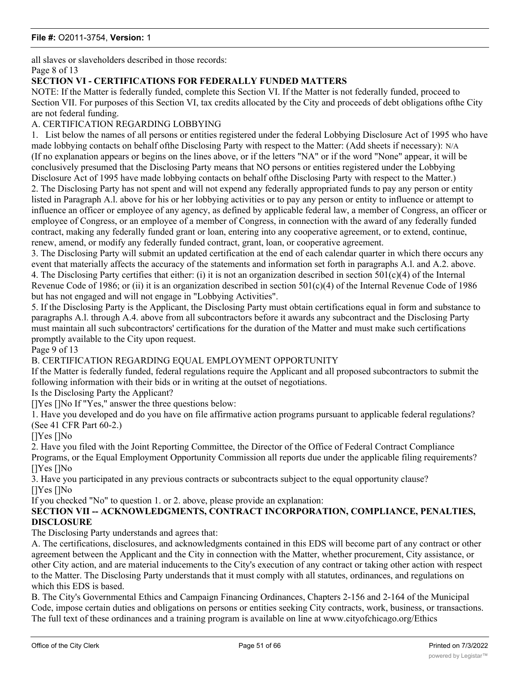all slaves or slaveholders described in those records: Page 8 of 13

### **SECTION VI - CERTIFICATIONS FOR FEDERALLY FUNDED MATTERS**

NOTE: If the Matter is federally funded, complete this Section VI. If the Matter is not federally funded, proceed to Section VII. For purposes of this Section VI, tax credits allocated by the City and proceeds of debt obligations ofthe City are not federal funding.

### A. CERTIFICATION REGARDING LOBBYING

1. List below the names of all persons or entities registered under the federal Lobbying Disclosure Act of 1995 who have made lobbying contacts on behalf ofthe Disclosing Party with respect to the Matter: (Add sheets if necessary): N/A (If no explanation appears or begins on the lines above, or if the letters "NA" or if the word "None" appear, it will be conclusively presumed that the Disclosing Party means that NO persons or entities registered under the Lobbying Disclosure Act of 1995 have made lobbying contacts on behalf ofthe Disclosing Party with respect to the Matter.) 2. The Disclosing Party has not spent and will not expend any federally appropriated funds to pay any person or entity listed in Paragraph A.l. above for his or her lobbying activities or to pay any person or entity to influence or attempt to influence an officer or employee of any agency, as defined by applicable federal law, a member of Congress, an officer or employee of Congress, or an employee of a member of Congress, in connection with the award of any federally funded contract, making any federally funded grant or loan, entering into any cooperative agreement, or to extend, continue, renew, amend, or modify any federally funded contract, grant, loan, or cooperative agreement.

3. The Disclosing Party will submit an updated certification at the end of each calendar quarter in which there occurs any event that materially affects the accuracy of the statements and information set forth in paragraphs A.l. and A.2. above. 4. The Disclosing Party certifies that either: (i) it is not an organization described in section  $501(c)(4)$  of the Internal Revenue Code of 1986; or (ii) it is an organization described in section  $501(c)(4)$  of the Internal Revenue Code of 1986 but has not engaged and will not engage in "Lobbying Activities".

5. If the Disclosing Party is the Applicant, the Disclosing Party must obtain certifications equal in form and substance to paragraphs A.l. through A.4. above from all subcontractors before it awards any subcontract and the Disclosing Party must maintain all such subcontractors' certifications for the duration of the Matter and must make such certifications promptly available to the City upon request.

Page 9 of 13

### B. CERTIFICATION REGARDING EQUAL EMPLOYMENT OPPORTUNITY

If the Matter is federally funded, federal regulations require the Applicant and all proposed subcontractors to submit the following information with their bids or in writing at the outset of negotiations.

Is the Disclosing Party the Applicant?

[IYes [INo If "Yes," answer the three questions below:

1. Have you developed and do you have on file affirmative action programs pursuant to applicable federal regulations? (See 41 CFR Part 60-2.)

[]Yes []No

2. Have you filed with the Joint Reporting Committee, the Director of the Office of Federal Contract Compliance Programs, or the Equal Employment Opportunity Commission all reports due under the applicable filing requirements? []Yes []No

3. Have you participated in any previous contracts or subcontracts subject to the equal opportunity clause? []Yes []No

If you checked "No" to question 1. or 2. above, please provide an explanation:

### **SECTION VII -- ACKNOWLEDGMENTS, CONTRACT INCORPORATION, COMPLIANCE, PENALTIES, DISCLOSURE**

The Disclosing Party understands and agrees that:

A. The certifications, disclosures, and acknowledgments contained in this EDS will become part of any contract or other agreement between the Applicant and the City in connection with the Matter, whether procurement, City assistance, or other City action, and are material inducements to the City's execution of any contract or taking other action with respect to the Matter. The Disclosing Party understands that it must comply with all statutes, ordinances, and regulations on which this EDS is based.

B. The City's Governmental Ethics and Campaign Financing Ordinances, Chapters 2-156 and 2-164 of the Municipal Code, impose certain duties and obligations on persons or entities seeking City contracts, work, business, or transactions. The full text of these ordinances and a training program is available on line at www.cityofchicago.org/Ethics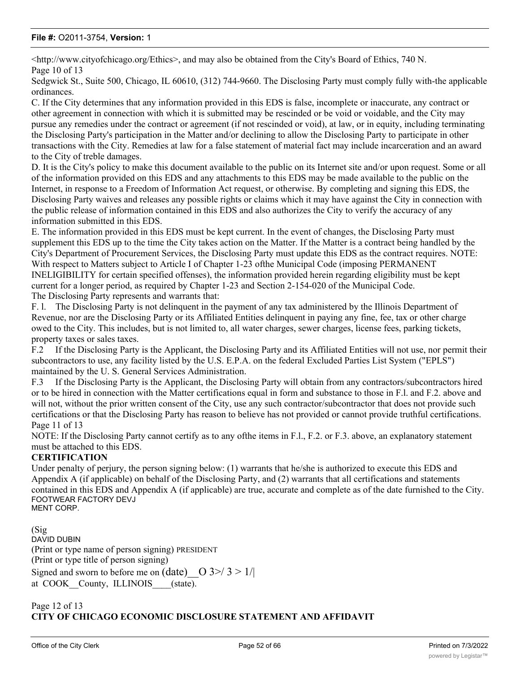<http://www.cityofchicago.org/Ethics>, and may also be obtained from the City's Board of Ethics, 740 N. Page 10 of 13

Sedgwick St., Suite 500, Chicago, IL 60610, (312) 744-9660. The Disclosing Party must comply fully with-the applicable ordinances.

C. If the City determines that any information provided in this EDS is false, incomplete or inaccurate, any contract or other agreement in connection with which it is submitted may be rescinded or be void or voidable, and the City may pursue any remedies under the contract or agreement (if not rescinded or void), at law, or in equity, including terminating the Disclosing Party's participation in the Matter and/or declining to allow the Disclosing Party to participate in other transactions with the City. Remedies at law for a false statement of material fact may include incarceration and an award to the City of treble damages.

D. It is the City's policy to make this document available to the public on its Internet site and/or upon request. Some or all of the information provided on this EDS and any attachments to this EDS may be made available to the public on the Internet, in response to a Freedom of Information Act request, or otherwise. By completing and signing this EDS, the Disclosing Party waives and releases any possible rights or claims which it may have against the City in connection with the public release of information contained in this EDS and also authorizes the City to verify the accuracy of any information submitted in this EDS.

E. The information provided in this EDS must be kept current. In the event of changes, the Disclosing Party must supplement this EDS up to the time the City takes action on the Matter. If the Matter is a contract being handled by the City's Department of Procurement Services, the Disclosing Party must update this EDS as the contract requires. NOTE: With respect to Matters subject to Article I of Chapter 1-23 ofthe Municipal Code (imposing PERMANENT INELIGIBILITY for certain specified offenses), the information provided herein regarding eligibility must be kept current for a longer period, as required by Chapter 1-23 and Section 2-154-020 of the Municipal Code. The Disclosing Party represents and warrants that:

F. l. The Disclosing Party is not delinquent in the payment of any tax administered by the Illinois Department of Revenue, nor are the Disclosing Party or its Affiliated Entities delinquent in paying any fine, fee, tax or other charge owed to the City. This includes, but is not limited to, all water charges, sewer charges, license fees, parking tickets, property taxes or sales taxes.

F.2 If the Disclosing Party is the Applicant, the Disclosing Party and its Affiliated Entities will not use, nor permit their subcontractors to use, any facility listed by the U.S. E.P.A. on the federal Excluded Parties List System ("EPLS") maintained by the U. S. General Services Administration.

F.3 If the Disclosing Party is the Applicant, the Disclosing Party will obtain from any contractors/subcontractors hired or to be hired in connection with the Matter certifications equal in form and substance to those in F.l. and F.2. above and will not, without the prior written consent of the City, use any such contractor/subcontractor that does not provide such certifications or that the Disclosing Party has reason to believe has not provided or cannot provide truthful certifications. Page 11 of 13

NOTE: If the Disclosing Party cannot certify as to any of the items in F.l., F.2. or F.3. above, an explanatory statement must be attached to this EDS.

### **CERTIFICATION**

Under penalty of perjury, the person signing below: (1) warrants that he/she is authorized to execute this EDS and Appendix A (if applicable) on behalf of the Disclosing Party, and (2) warrants that all certifications and statements contained in this EDS and Appendix A (if applicable) are true, accurate and complete as of the date furnished to the City. FOOTWEAR FACTORY DEVJ

MENT CORP.

(Sig DAVID DUBIN (Print or type name of person signing) PRESIDENT (Print or type title of person signing) Signed and sworn to before me on (date)  $\vert$  O 3>/ 3 > 1/| at COOK County, ILLINOIS (state).

### Page 12 of 13 **CITY OF CHICAGO ECONOMIC DISCLOSURE STATEMENT AND AFFIDAVIT**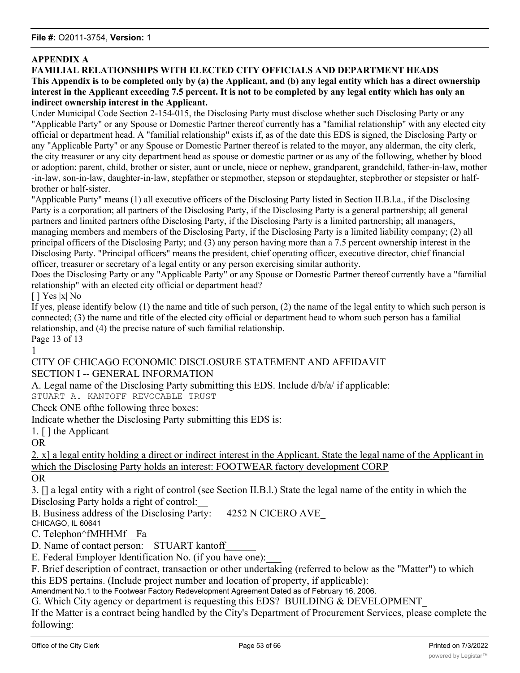### **APPENDIX A**

### **FAMILIAL RELATIONSHIPS WITH ELECTED CITY OFFICIALS AND DEPARTMENT HEADS This Appendix is to be completed only by (a) the Applicant, and (b) any legal entity which has a direct ownership interest in the Applicant exceeding 7.5 percent. It is not to be completed by any legal entity which has only an indirect ownership interest in the Applicant.**

Under Municipal Code Section 2-154-015, the Disclosing Party must disclose whether such Disclosing Party or any "Applicable Party" or any Spouse or Domestic Partner thereof currently has a "familial relationship" with any elected city official or department head. A "familial relationship" exists if, as of the date this EDS is signed, the Disclosing Party or any "Applicable Party" or any Spouse or Domestic Partner thereof is related to the mayor, any alderman, the city clerk, the city treasurer or any city department head as spouse or domestic partner or as any of the following, whether by blood or adoption: parent, child, brother or sister, aunt or uncle, niece or nephew, grandparent, grandchild, father-in-law, mother -in-law, son-in-law, daughter-in-law, stepfather or stepmother, stepson or stepdaughter, stepbrother or stepsister or halfbrother or half-sister.

"Applicable Party" means (1) all executive officers of the Disclosing Party listed in Section II.B.l.a., if the Disclosing Party is a corporation; all partners of the Disclosing Party, if the Disclosing Party is a general partnership; all general partners and limited partners ofthe Disclosing Party, if the Disclosing Party is a limited partnership; all managers, managing members and members of the Disclosing Party, if the Disclosing Party is a limited liability company; (2) all principal officers of the Disclosing Party; and (3) any person having more than a 7.5 percent ownership interest in the Disclosing Party. "Principal officers" means the president, chief operating officer, executive director, chief financial officer, treasurer or secretary of a legal entity or any person exercising similar authority.

Does the Disclosing Party or any "Applicable Party" or any Spouse or Domestic Partner thereof currently have a "familial relationship" with an elected city official or department head?

[ ] Yes |x| No

If yes, please identify below (1) the name and title of such person, (2) the name of the legal entity to which such person is connected; (3) the name and title of the elected city official or department head to whom such person has a familial relationship, and (4) the precise nature of such familial relationship. Page 13 of 13

1

CITY OF CHICAGO ECONOMIC DISCLOSURE STATEMENT AND AFFIDAVIT SECTION I -- GENERAL INFORMATION

A. Legal name of the Disclosing Party submitting this EDS. Include d/b/a/ if applicable: STUART A. KANTOFF REVOCABLE TRUST

Check ONE ofthe following three boxes:

Indicate whether the Disclosing Party submitting this EDS is:

1. [ ] the Applicant

OR

2. x] a legal entity holding a direct or indirect interest in the Applicant. State the legal name of the Applicant in which the Disclosing Party holds an interest: FOOTWEAR factory development CORP

OR

3. [] a legal entity with a right of control (see Section II.B.l.) State the legal name of the entity in which the Disclosing Party holds a right of control:

B. Business address of the Disclosing Party: 4252 N CICERO AVE

CHICAGO, IL 60641

C. Telephon^fMHHMf Fa

D. Name of contact person: STUART kantoff

E. Federal Employer Identification No. (if you have one):

F. Brief description of contract, transaction or other undertaking (referred to below as the "Matter") to which this EDS pertains. (Include project number and location of property, if applicable):

Amendment No.1 to the Footwear Factory Redevelopment Agreement Dated as of February 16, 2006.

G. Which City agency or department is requesting this EDS? BUILDING & DEVELOPMENT\_

If the Matter is a contract being handled by the City's Department of Procurement Services, please complete the following: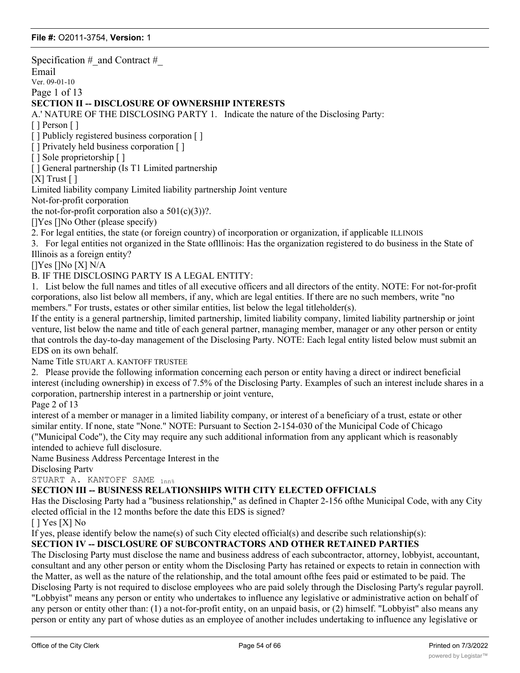Specification  $\#$  and Contract  $\#$ Email Ver. 09-01-10 Page 1 of 13 **SECTION II -- DISCLOSURE OF OWNERSHIP INTERESTS** A.' NATURE OF THE DISCLOSING PARTY 1. Indicate the nature of the Disclosing Party: [ ] Person [ ] [] Publicly registered business corporation [] [] Privately held business corporation [] [] Sole proprietorship [] [ ] General partnership (Is T1 Limited partnership  $[X]$  Trust  $[ ]$ Limited liability company Limited liability partnership Joint venture Not-for-profit corporation the not-for-profit corporation also a  $501(c)(3)$ ?. []Yes []No Other (please specify) 2. For legal entities, the state (or foreign country) of incorporation or organization, if applicable ILLINOIS 3. For legal entities not organized in the State oflllinois: Has the organization registered to do business in the State of Illinois as a foreign entity? []Yes []No [X] N/A B. IF THE DISCLOSING PARTY IS A LEGAL ENTITY: 1. List below the full names and titles of all executive officers and all directors of the entity. NOTE: For not-for-profit corporations, also list below all members, if any, which are legal entities. If there are no such members, write "no members." For trusts, estates or other similar entities, list below the legal titleholder(s). If the entity is a general partnership, limited partnership, limited liability company, limited liability partnership or joint venture, list below the name and title of each general partner, managing member, manager or any other person or entity that controls the day-to-day management of the Disclosing Party. NOTE: Each legal entity listed below must submit an EDS on its own behalf. Name Title STUART A. KANTOFF TRUSTEE 2. Please provide the following information concerning each person or entity having a direct or indirect beneficial interest (including ownership) in excess of 7.5% of the Disclosing Party. Examples of such an interest include shares in a corporation, partnership interest in a partnership or joint venture, Page 2 of 13 interest of a member or manager in a limited liability company, or interest of a beneficiary of a trust, estate or other similar entity. If none, state "None." NOTE: Pursuant to Section 2-154-030 of the Municipal Code of Chicago ("Municipal Code"), the City may require any such additional information from any applicant which is reasonably intended to achieve full disclosure. Name Business Address Percentage Interest in the Disclosing Partv STUART A. KANTOFF SAME  $_{1nn*}$ **SECTION III -- BUSINESS RELATIONSHIPS WITH CITY ELECTED OFFICIALS** Has the Disclosing Party had a "business relationship," as defined in Chapter 2-156 ofthe Municipal Code, with any City elected official in the 12 months before the date this EDS is signed? [ ] Yes [X] No If yes, please identify below the name(s) of such City elected official(s) and describe such relationship(s): **SECTION IV -- DISCLOSURE OF SUBCONTRACTORS AND OTHER RETAINED PARTIES** The Disclosing Party must disclose the name and business address of each subcontractor, attorney, lobbyist, accountant, consultant and any other person or entity whom the Disclosing Party has retained or expects to retain in connection with the Matter, as well as the nature of the relationship, and the total amount ofthe fees paid or estimated to be paid. The

Disclosing Party is not required to disclose employees who are paid solely through the Disclosing Party's regular payroll. "Lobbyist" means any person or entity who undertakes to influence any legislative or administrative action on behalf of any person or entity other than: (1) a not-for-profit entity, on an unpaid basis, or (2) himself. "Lobbyist" also means any person or entity any part of whose duties as an employee of another includes undertaking to influence any legislative or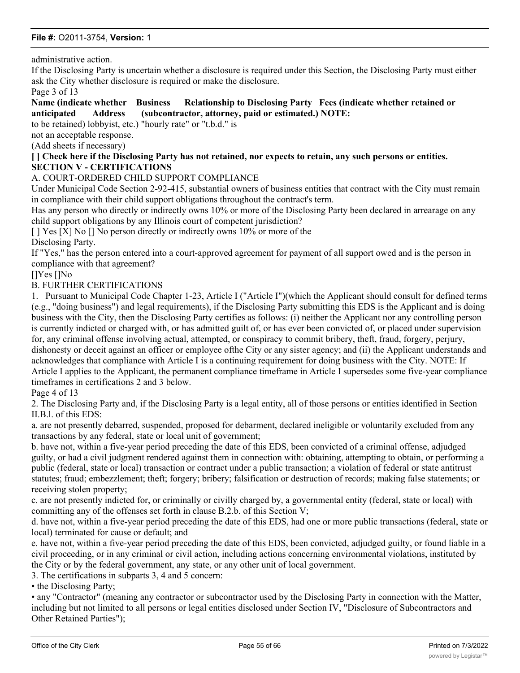administrative action.

If the Disclosing Party is uncertain whether a disclosure is required under this Section, the Disclosing Party must either ask the City whether disclosure is required or make the disclosure.

Page 3 of 13

**Name (indicate whether Business Relationship to Disclosing Party Fees (indicate whether retained or anticipated Address (subcontractor, attorney, paid or estimated.) NOTE:**

to be retained) lobbyist, etc.) "hourly rate" or "t.b.d." is

not an acceptable response.

(Add sheets if necessary)

#### **[ ] Check here if the Disclosing Party has not retained, nor expects to retain, any such persons or entities. SECTION V - CERTIFICATIONS**

#### A. COURT-ORDERED CHILD SUPPORT COMPLIANCE

Under Municipal Code Section 2-92-415, substantial owners of business entities that contract with the City must remain in compliance with their child support obligations throughout the contract's term.

Has any person who directly or indirectly owns 10% or more of the Disclosing Party been declared in arrearage on any child support obligations by any Illinois court of competent jurisdiction?

[ ] Yes [X] No [] No person directly or indirectly owns 10% or more of the Disclosing Party.

If "Yes," has the person entered into a court-approved agreement for payment of all support owed and is the person in compliance with that agreement?

[]Yes []No

#### B. FURTHER CERTIFICATIONS

1. Pursuant to Municipal Code Chapter 1-23, Article I ("Article I")(which the Applicant should consult for defined terms (e.g., "doing business") and legal requirements), if the Disclosing Party submitting this EDS is the Applicant and is doing business with the City, then the Disclosing Party certifies as follows: (i) neither the Applicant nor any controlling person is currently indicted or charged with, or has admitted guilt of, or has ever been convicted of, or placed under supervision for, any criminal offense involving actual, attempted, or conspiracy to commit bribery, theft, fraud, forgery, perjury, dishonesty or deceit against an officer or employee ofthe City or any sister agency; and (ii) the Applicant understands and acknowledges that compliance with Article I is a continuing requirement for doing business with the City. NOTE: If Article I applies to the Applicant, the permanent compliance timeframe in Article I supersedes some five-year compliance timeframes in certifications 2 and 3 below.

Page 4 of 13

2. The Disclosing Party and, if the Disclosing Party is a legal entity, all of those persons or entities identified in Section II.B.l. of this EDS:

a. are not presently debarred, suspended, proposed for debarment, declared ineligible or voluntarily excluded from any transactions by any federal, state or local unit of government;

b. have not, within a five-year period preceding the date of this EDS, been convicted of a criminal offense, adjudged guilty, or had a civil judgment rendered against them in connection with: obtaining, attempting to obtain, or performing a public (federal, state or local) transaction or contract under a public transaction; a violation of federal or state antitrust statutes; fraud; embezzlement; theft; forgery; bribery; falsification or destruction of records; making false statements; or receiving stolen property;

c. are not presently indicted for, or criminally or civilly charged by, a governmental entity (federal, state or local) with committing any of the offenses set forth in clause B.2.b. of this Section V;

d. have not, within a five-year period preceding the date of this EDS, had one or more public transactions (federal, state or local) terminated for cause or default; and

e. have not, within a five-year period preceding the date of this EDS, been convicted, adjudged guilty, or found liable in a civil proceeding, or in any criminal or civil action, including actions concerning environmental violations, instituted by the City or by the federal government, any state, or any other unit of local government.

3. The certifications in subparts 3, 4 and 5 concern:

• the Disclosing Party;

• any "Contractor" (meaning any contractor or subcontractor used by the Disclosing Party in connection with the Matter, including but not limited to all persons or legal entities disclosed under Section IV, "Disclosure of Subcontractors and Other Retained Parties");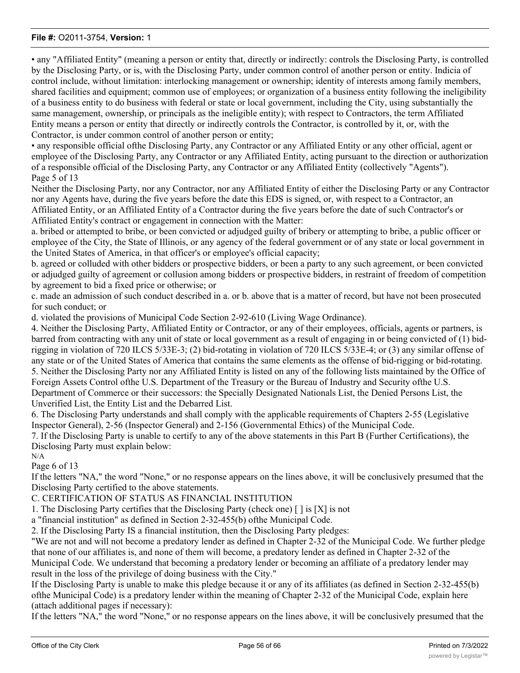• any "Affiliated Entity" (meaning a person or entity that, directly or indirectly: controls the Disclosing Party, is controlled by the Disclosing Party, or is, with the Disclosing Party, under common control of another person or entity. Indicia of control include, without limitation: interlocking management or ownership; identity of interests among family members, shared facilities and equipment; common use of employees; or organization of a business entity following the ineligibility of a business entity to do business with federal or state or local government, including the City, using substantially the same management, ownership, or principals as the ineligible entity); with respect to Contractors, the term Affiliated Entity means a person or entity that directly or indirectly controls the Contractor, is controlled by it, or, with the Contractor, is under common control of another person or entity;

• any responsible official ofthe Disclosing Party, any Contractor or any Affiliated Entity or any other official, agent or employee of the Disclosing Party, any Contractor or any Affiliated Entity, acting pursuant to the direction or authorization of a responsible official of the Disclosing Party, any Contractor or any Affiliated Entity (collectively "Agents"). Page 5 of 13

Neither the Disclosing Party, nor any Contractor, nor any Affiliated Entity of either the Disclosing Party or any Contractor nor any Agents have, during the five years before the date this EDS is signed, or, with respect to a Contractor, an Affiliated Entity, or an Affiliated Entity of a Contractor during the five years before the date of such Contractor's or Affiliated Entity's contract or engagement in connection with the Matter:

a. bribed or attempted to bribe, or been convicted or adjudged guilty of bribery or attempting to bribe, a public officer or employee of the City, the State of Illinois, or any agency of the federal government or of any state or local government in the United States of America, in that officer's or employee's official capacity;

b. agreed or colluded with other bidders or prospective bidders, or been a party to any such agreement, or been convicted or adjudged guilty of agreement or collusion among bidders or prospective bidders, in restraint of freedom of competition by agreement to bid a fixed price or otherwise; or

c. made an admission of such conduct described in a. or b. above that is a matter of record, but have not been prosecuted for such conduct; or

d. violated the provisions of Municipal Code Section 2-92-610 (Living Wage Ordinance).

4. Neither the Disclosing Party, Affiliated Entity or Contractor, or any of their employees, officials, agents or partners, is barred from contracting with any unit of state or local government as a result of engaging in or being convicted of (1) bidrigging in violation of 720 ILCS 5/33E-3; (2) bid-rotating in violation of 720 ILCS 5/33E-4; or (3) any similar offense of any state or of the United States of America that contains the same elements as the offense of bid-rigging or bid-rotating. 5. Neither the Disclosing Party nor any Affiliated Entity is listed on any of the following lists maintained by the Office of Foreign Assets Control ofthe U.S. Department of the Treasury or the Bureau of Industry and Security ofthe U.S.

Department of Commerce or their successors: the Specially Designated Nationals List, the Denied Persons List, the Unverified List, the Entity List and the Debarred List.

6. The Disclosing Party understands and shall comply with the applicable requirements of Chapters 2-55 (Legislative Inspector General), 2-56 (Inspector General) and 2-156 (Governmental Ethics) of the Municipal Code.

7. If the Disclosing Party is unable to certify to any of the above statements in this Part B (Further Certifications), the Disclosing Party must explain below:

N/A

Page 6 of 13

If the letters "NA," the word "None," or no response appears on the lines above, it will be conclusively presumed that the Disclosing Party certified to the above statements.

C. CERTIFICATION OF STATUS AS FINANCIAL INSTITUTION

1. The Disclosing Party certifies that the Disclosing Party (check one) [ ] is [X] is not

a "financial institution" as defined in Section 2-32-455(b) ofthe Municipal Code.

2. If the Disclosing Party IS a financial institution, then the Disclosing Party pledges:

"We are not and will not become a predatory lender as defined in Chapter 2-32 of the Municipal Code. We further pledge that none of our affiliates is, and none of them will become, a predatory lender as defined in Chapter 2-32 of the Municipal Code. We understand that becoming a predatory lender or becoming an affiliate of a predatory lender may result in the loss of the privilege of doing business with the City."

If the Disclosing Party is unable to make this pledge because it or any of its affiliates (as defined in Section 2-32-455(b) ofthe Municipal Code) is a predatory lender within the meaning of Chapter 2-32 of the Municipal Code, explain here (attach additional pages if necessary):

If the letters "NA," the word "None," or no response appears on the lines above, it will be conclusively presumed that the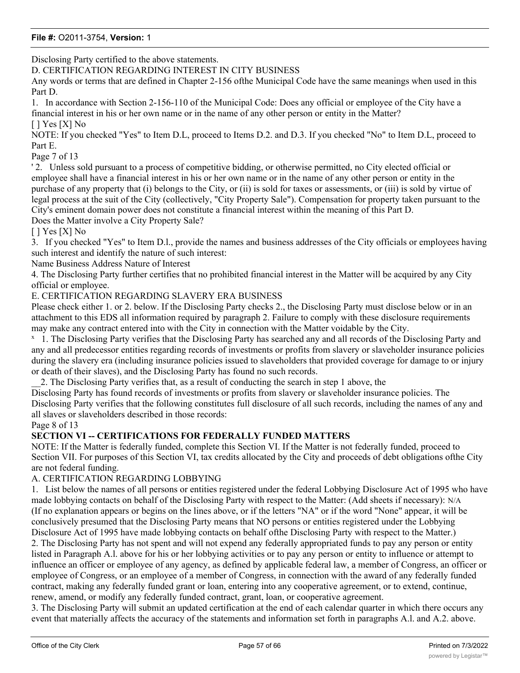Disclosing Party certified to the above statements.

D. CERTIFICATION REGARDING INTEREST IN CITY BUSINESS

Any words or terms that are defined in Chapter 2-156 ofthe Municipal Code have the same meanings when used in this Part D.

1. In accordance with Section 2-156-110 of the Municipal Code: Does any official or employee of the City have a financial interest in his or her own name or in the name of any other person or entity in the Matter?  $[$  ] Yes  $[X]$  No

NOTE: If you checked "Yes" to Item D.L, proceed to Items D.2. and D.3. If you checked "No" to Item D.L, proceed to Part E.

#### Page 7 of 13

' 2. Unless sold pursuant to a process of competitive bidding, or otherwise permitted, no City elected official or employee shall have a financial interest in his or her own name or in the name of any other person or entity in the purchase of any property that (i) belongs to the City, or (ii) is sold for taxes or assessments, or (iii) is sold by virtue of legal process at the suit of the City (collectively, "City Property Sale"). Compensation for property taken pursuant to the City's eminent domain power does not constitute a financial interest within the meaning of this Part D.

Does the Matter involve a City Property Sale?

 $[$   $]$  Yes  $[X]$  No

3. If you checked "Yes" to Item D.l., provide the names and business addresses of the City officials or employees having such interest and identify the nature of such interest:

Name Business Address Nature of Interest

4. The Disclosing Party further certifies that no prohibited financial interest in the Matter will be acquired by any City official or employee.

### E. CERTIFICATION REGARDING SLAVERY ERA BUSINESS

Please check either 1. or 2. below. If the Disclosing Party checks 2., the Disclosing Party must disclose below or in an attachment to this EDS all information required by paragraph 2. Failure to comply with these disclosure requirements may make any contract entered into with the City in connection with the Matter voidable by the City.

<sup>x</sup> 1. The Disclosing Party verifies that the Disclosing Party has searched any and all records of the Disclosing Party and any and all predecessor entities regarding records of investments or profits from slavery or slaveholder insurance policies during the slavery era (including insurance policies issued to slaveholders that provided coverage for damage to or injury or death of their slaves), and the Disclosing Party has found no such records.

\_\_2. The Disclosing Party verifies that, as a result of conducting the search in step 1 above, the

Disclosing Party has found records of investments or profits from slavery or slaveholder insurance policies. The Disclosing Party verifies that the following constitutes full disclosure of all such records, including the names of any and all slaves or slaveholders described in those records:

Page 8 of 13

## **SECTION VI -- CERTIFICATIONS FOR FEDERALLY FUNDED MATTERS**

NOTE: If the Matter is federally funded, complete this Section VI. If the Matter is not federally funded, proceed to Section VII. For purposes of this Section VI, tax credits allocated by the City and proceeds of debt obligations ofthe City are not federal funding.

### A. CERTIFICATION REGARDING LOBBYING

1. List below the names of all persons or entities registered under the federal Lobbying Disclosure Act of 1995 who have made lobbying contacts on behalf of the Disclosing Party with respect to the Matter: (Add sheets if necessary): N/A (If no explanation appears or begins on the lines above, or if the letters "NA" or if the word "None" appear, it will be conclusively presumed that the Disclosing Party means that NO persons or entities registered under the Lobbying Disclosure Act of 1995 have made lobbying contacts on behalf ofthe Disclosing Party with respect to the Matter.) 2. The Disclosing Party has not spent and will not expend any federally appropriated funds to pay any person or entity listed in Paragraph A.l. above for his or her lobbying activities or to pay any person or entity to influence or attempt to influence an officer or employee of any agency, as defined by applicable federal law, a member of Congress, an officer or employee of Congress, or an employee of a member of Congress, in connection with the award of any federally funded contract, making any federally funded grant or loan, entering into any cooperative agreement, or to extend, continue, renew, amend, or modify any federally funded contract, grant, loan, or cooperative agreement.

3. The Disclosing Party will submit an updated certification at the end of each calendar quarter in which there occurs any event that materially affects the accuracy of the statements and information set forth in paragraphs A.l. and A.2. above.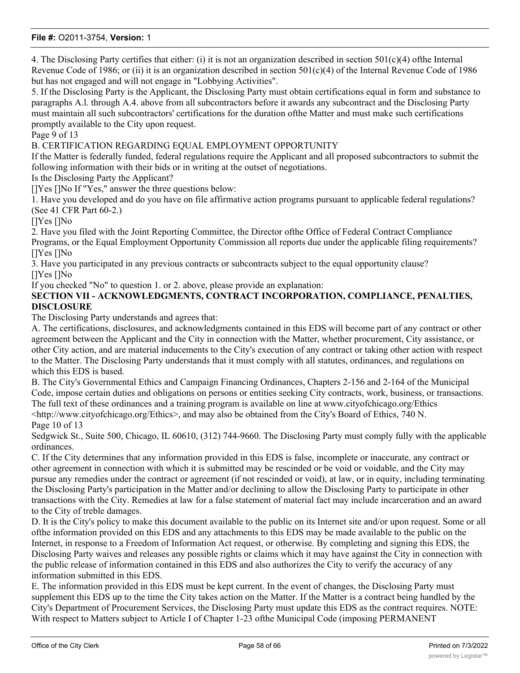4. The Disclosing Party certifies that either: (i) it is not an organization described in section  $501(c)(4)$  ofthe Internal Revenue Code of 1986; or (ii) it is an organization described in section 501(c)(4) of the Internal Revenue Code of 1986 but has not engaged and will not engage in "Lobbying Activities".

5. If the Disclosing Party is the Applicant, the Disclosing Party must obtain certifications equal in form and substance to paragraphs A.l. through A.4. above from all subcontractors before it awards any subcontract and the Disclosing Party must maintain all such subcontractors' certifications for the duration ofthe Matter and must make such certifications promptly available to the City upon request.

Page 9 of 13

B. CERTIFICATION REGARDING EQUAL EMPLOYMENT OPPORTUNITY

If the Matter is federally funded, federal regulations require the Applicant and all proposed subcontractors to submit the following information with their bids or in writing at the outset of negotiations.

Is the Disclosing Party the Applicant?

[]Yes []No If "Yes," answer the three questions below:

1. Have you developed and do you have on file affirmative action programs pursuant to applicable federal regulations? (See 41 CFR Part 60-2.)

[]Yes []No

2. Have you filed with the Joint Reporting Committee, the Director ofthe Office of Federal Contract Compliance Programs, or the Equal Employment Opportunity Commission all reports due under the applicable filing requirements? []Yes []No

3. Have you participated in any previous contracts or subcontracts subject to the equal opportunity clause? []Yes []No

If you checked "No" to question 1. or 2. above, please provide an explanation:

**SECTION VII - ACKNOWLEDGMENTS, CONTRACT INCORPORATION, COMPLIANCE, PENALTIES, DISCLOSURE**

The Disclosing Party understands and agrees that:

A. The certifications, disclosures, and acknowledgments contained in this EDS will become part of any contract or other agreement between the Applicant and the City in connection with the Matter, whether procurement, City assistance, or other City action, and are material inducements to the City's execution of any contract or taking other action with respect to the Matter. The Disclosing Party understands that it must comply with all statutes, ordinances, and regulations on which this EDS is based.

B. The City's Governmental Ethics and Campaign Financing Ordinances, Chapters 2-156 and 2-164 of the Municipal Code, impose certain duties and obligations on persons or entities seeking City contracts, work, business, or transactions. The full text of these ordinances and a training program is available on line at www.cityofchicago.org/Ethics <http://www.cityofchicago.org/Ethics>, and may also be obtained from the City's Board of Ethics, 740 N. Page 10 of 13

Sedgwick St., Suite 500, Chicago, IL 60610, (312) 744-9660. The Disclosing Party must comply fully with the applicable ordinances.

C. If the City determines that any information provided in this EDS is false, incomplete or inaccurate, any contract or other agreement in connection with which it is submitted may be rescinded or be void or voidable, and the City may pursue any remedies under the contract or agreement (if not rescinded or void), at law, or in equity, including terminating the Disclosing Party's participation in the Matter and/or declining to allow the Disclosing Party to participate in other transactions with the City. Remedies at law for a false statement of material fact may include incarceration and an award to the City of treble damages.

D. It is the City's policy to make this document available to the public on its Internet site and/or upon request. Some or all ofthe information provided on this EDS and any attachments to this EDS may be made available to the public on the Internet, in response to a Freedom of Information Act request, or otherwise. By completing and signing this EDS, the Disclosing Party waives and releases any possible rights or claims which it may have against the City in connection with the public release of information contained in this EDS and also authorizes the City to verify the accuracy of any information submitted in this EDS.

E. The information provided in this EDS must be kept current. In the event of changes, the Disclosing Party must supplement this EDS up to the time the City takes action on the Matter. If the Matter is a contract being handled by the City's Department of Procurement Services, the Disclosing Party must update this EDS as the contract requires. NOTE: With respect to Matters subject to Article I of Chapter 1-23 ofthe Municipal Code (imposing PERMANENT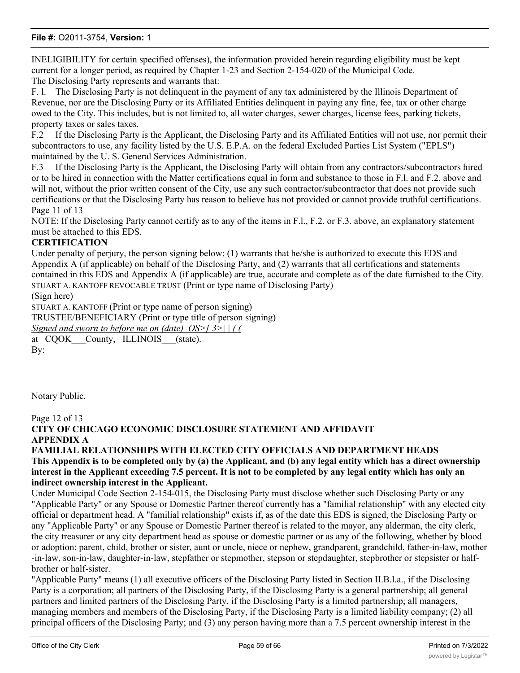INELIGIBILITY for certain specified offenses), the information provided herein regarding eligibility must be kept current for a longer period, as required by Chapter 1-23 and Section 2-154-020 of the Municipal Code. The Disclosing Party represents and warrants that:

F. l. The Disclosing Party is not delinquent in the payment of any tax administered by the Illinois Department of Revenue, nor are the Disclosing Party or its Affiliated Entities delinquent in paying any fine, fee, tax or other charge owed to the City. This includes, but is not limited to, all water charges, sewer charges, license fees, parking tickets, property taxes or sales taxes.

F.2 If the Disclosing Party is the Applicant, the Disclosing Party and its Affiliated Entities will not use, nor permit their subcontractors to use, any facility listed by the U.S. E.P.A. on the federal Excluded Parties List System ("EPLS") maintained by the U. S. General Services Administration.

F.3 If the Disclosing Party is the Applicant, the Disclosing Party will obtain from any contractors/subcontractors hired or to be hired in connection with the Matter certifications equal in form and substance to those in F.l. and F.2. above and will not, without the prior written consent of the City, use any such contractor/subcontractor that does not provide such certifications or that the Disclosing Party has reason to believe has not provided or cannot provide truthful certifications. Page 11 of 13

NOTE: If the Disclosing Party cannot certify as to any of the items in F.l., F.2. or F.3. above, an explanatory statement must be attached to this EDS.

### **CERTIFICATION**

Under penalty of perjury, the person signing below: (1) warrants that he/she is authorized to execute this EDS and Appendix A (if applicable) on behalf of the Disclosing Party, and (2) warrants that all certifications and statements contained in this EDS and Appendix A (if applicable) are true, accurate and complete as of the date furnished to the City. STUART A. KANTOFF REVOCABLE TRUST (Print or type name of Disclosing Party)

(Sign here)

STUART A. KANTOFF (Print or type name of person signing)

TRUSTEE/BENEFICIARY (Print or type title of person signing)

*Signed and sworn to before me on (date)\_OS>[ 3>| | ( (*

at CQOK County, ILLINOIS (state). By:

Notary Public.

### Page 12 of 13 **CITY OF CHICAGO ECONOMIC DISCLOSURE STATEMENT AND AFFIDAVIT APPENDIX A**

#### **FAMILIAL RELATIONSHIPS WITH ELECTED CITY OFFICIALS AND DEPARTMENT HEADS This Appendix is to be completed only by (a) the Applicant, and (b) any legal entity which has a direct ownership interest in the Applicant exceeding 7.5 percent. It is not to be completed by any legal entity which has only an indirect ownership interest in the Applicant.**

Under Municipal Code Section 2-154-015, the Disclosing Party must disclose whether such Disclosing Party or any "Applicable Party" or any Spouse or Domestic Partner thereof currently has a "familial relationship" with any elected city official or department head. A "familial relationship" exists if, as of the date this EDS is signed, the Disclosing Party or any "Applicable Party" or any Spouse or Domestic Partner thereof is related to the mayor, any alderman, the city clerk, the city treasurer or any city department head as spouse or domestic partner or as any of the following, whether by blood or adoption: parent, child, brother or sister, aunt or uncle, niece or nephew, grandparent, grandchild, father-in-law, mother -in-law, son-in-law, daughter-in-law, stepfather or stepmother, stepson or stepdaughter, stepbrother or stepsister or halfbrother or half-sister.

"Applicable Party" means (1) all executive officers of the Disclosing Party listed in Section II.B.l.a., if the Disclosing Party is a corporation; all partners of the Disclosing Party, if the Disclosing Party is a general partnership; all general partners and limited partners of the Disclosing Party, if the Disclosing Party is a limited partnership; all managers, managing members and members of the Disclosing Party, if the Disclosing Party is a limited liability company; (2) all principal officers of the Disclosing Party; and (3) any person having more than a 7.5 percent ownership interest in the

Disclosing Party. "Principal officers" means the president, chief operating officer, executive director, chief financial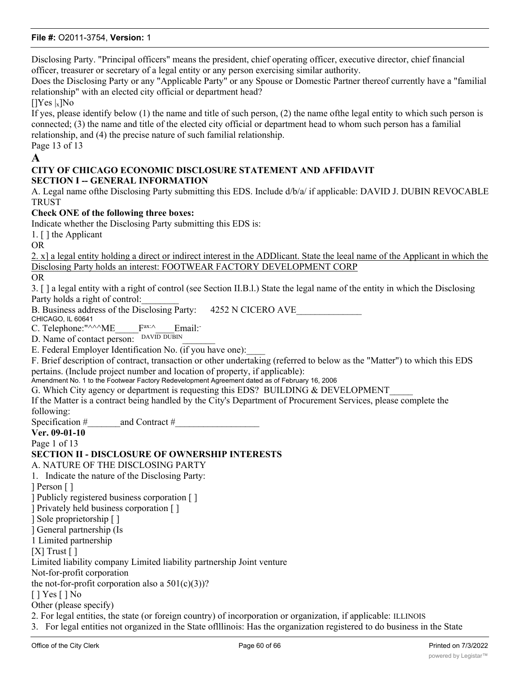Disclosing Party. "Principal officers" means the president, chief operating officer, executive director, chief financial officer, treasurer or secretary of a legal entity or any person exercising similar authority.

Does the Disclosing Party or any "Applicable Party" or any Spouse or Domestic Partner thereof currently have a "familial relationship" with an elected city official or department head?

 $[$ |Yes |x]No

If yes, please identify below (1) the name and title of such person, (2) the name ofthe legal entity to which such person is connected; (3) the name and title of the elected city official or department head to whom such person has a familial relationship, and (4) the precise nature of such familial relationship. Page 13 of 13

### **A**

### **CITY OF CHICAGO ECONOMIC DISCLOSURE STATEMENT AND AFFIDAVIT SECTION I -- GENERAL INFORMATION**

A. Legal name ofthe Disclosing Party submitting this EDS. Include d/b/a/ if applicable: DAVID J. DUBIN REVOCABLE **TRUST** 

**Check ONE of the following three boxes:**

Indicate whether the Disclosing Party submitting this EDS is:

1. [ ] the Applicant

OR

2. x] a legal entity holding a direct or indirect interest in the ADDlicant. State the leeal name of the Applicant in which the Disclosing Party holds an interest: FOOTWEAR FACTORY DEVELOPMENT CORP

OR

3. [ ] a legal entity with a right of control (see Section II.B.l.) State the legal name of the entity in which the Disclosing Party holds a right of control:

B. Business address of the Disclosing Party: 4252 N CICERO AVE

CHICAGO, IL 60641

C. Telephone:" $\wedge^{\wedge}\wedge^{\wedge}$ ME  $\qquad$   $F^{ax;\wedge}$  Email:

D. Name of contact person: DAVID DUBIN

E. Federal Employer Identification No. (if you have one):

F. Brief description of contract, transaction or other undertaking (referred to below as the "Matter") to which this EDS pertains. (Include project number and location of property, if applicable):

Amendment No. 1 to the Footwear Factory Redevelopment Agreement dated as of February 16, 2006

G. Which City agency or department is requesting this EDS? BUILDING & DEVELOPMENT

If the Matter is a contract being handled by the City's Department of Procurement Services, please complete the following:

Specification  $\#$  and Contract  $\#$ 

**Ver. 09-01-10**

Page 1 of 13

### **SECTION II - DISCLOSURE OF OWNERSHIP INTERESTS**

A. NATURE OF THE DISCLOSING PARTY

1. Indicate the nature of the Disclosing Party:

] Person [ ]

] Publicly registered business corporation [ ]

] Privately held business corporation [ ]

] Sole proprietorship [ ]

] General partnership (Is

1 Limited partnership

 $[X]$  Trust  $[$   $]$ 

Limited liability company Limited liability partnership Joint venture

Not-for-profit corporation

the not-for-profit corporation also a  $501(c)(3)$ ?

[ ] Yes [ ] No

Other (please specify)

of linear as a foreign entity  $\mathcal{O}(n)$  as a foreign entity  $\mathcal{O}(n)$ 

2. For legal entities, the state (or foreign country) of incorporation or organization, if applicable: ILLINOIS

3. For legal entities not organized in the State oflllinois: Has the organization registered to do business in the State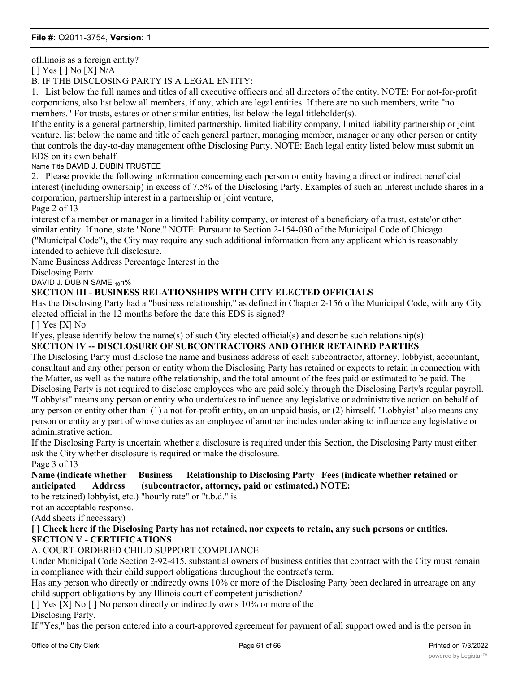oflllinois as a foreign entity?

[ ] Yes [ ] No [X] N/A

B. IF THE DISCLOSING PARTY IS A LEGAL ENTITY:

1. List below the full names and titles of all executive officers and all directors of the entity. NOTE: For not-for-profit corporations, also list below all members, if any, which are legal entities. If there are no such members, write "no members." For trusts, estates or other similar entities, list below the legal titleholder(s).

If the entity is a general partnership, limited partnership, limited liability company, limited liability partnership or joint venture, list below the name and title of each general partner, managing member, manager or any other person or entity that controls the day-to-day management ofthe Disclosing Party. NOTE: Each legal entity listed below must submit an EDS on its own behalf.

Name Title DAVID J. DUBIN TRUSTEE

2. Please provide the following information concerning each person or entity having a direct or indirect beneficial interest (including ownership) in excess of 7.5% of the Disclosing Party. Examples of such an interest include shares in a corporation, partnership interest in a partnership or joint venture,

Page 2 of 13

interest of a member or manager in a limited liability company, or interest of a beneficiary of a trust, estate'or other similar entity. If none, state "None." NOTE: Pursuant to Section 2-154-030 of the Municipal Code of Chicago ("Municipal Code"), the City may require any such additional information from any applicant which is reasonably intended to achieve full disclosure.

Name Business Address Percentage Interest in the

Disclosing Partv

DAVID J. DUBIN SAME 100%

### **SECTION III - BUSINESS RELATIONSHIPS WITH CITY ELECTED OFFICIALS**

Has the Disclosing Party had a "business relationship," as defined in Chapter 2-156 ofthe Municipal Code, with any City elected official in the 12 months before the date this EDS is signed?

[ ] Yes [X] No

If yes, please identify below the name(s) of such City elected official(s) and describe such relationship(s):

### **SECTION IV -- DISCLOSURE OF SUBCONTRACTORS AND OTHER RETAINED PARTIES**

The Disclosing Party must disclose the name and business address of each subcontractor, attorney, lobbyist, accountant, consultant and any other person or entity whom the Disclosing Party has retained or expects to retain in connection with the Matter, as well as the nature ofthe relationship, and the total amount of the fees paid or estimated to be paid. The Disclosing Party is not required to disclose employees who are paid solely through the Disclosing Party's regular payroll. "Lobbyist" means any person or entity who undertakes to influence any legislative or administrative action on behalf of any person or entity other than: (1) a not-for-profit entity, on an unpaid basis, or (2) himself. "Lobbyist" also means any person or entity any part of whose duties as an employee of another includes undertaking to influence any legislative or administrative action.

If the Disclosing Party is uncertain whether a disclosure is required under this Section, the Disclosing Party must either ask the City whether disclosure is required or make the disclosure. Page 3 of 13

### **Name (indicate whether Business Relationship to Disclosing Party Fees (indicate whether retained or anticipated Address (subcontractor, attorney, paid or estimated.) NOTE:**

to be retained) lobbyist, etc.) "hourly rate" or "t.b.d." is

not an acceptable response.

(Add sheets if necessary)

### **[ ] Check here if the Disclosing Party has not retained, nor expects to retain, any such persons or entities. SECTION V - CERTIFICATIONS**

### A. COURT-ORDERED CHILD SUPPORT COMPLIANCE

Under Municipal Code Section 2-92-415, substantial owners of business entities that contract with the City must remain in compliance with their child support obligations throughout the contract's term.

Has any person who directly or indirectly owns 10% or more of the Disclosing Party been declared in arrearage on any child support obligations by any Illinois court of competent jurisdiction?

[ ] Yes [X] No [ ] No person directly or indirectly owns 10% or more of the

Disclosing Party.

If "Yes," has the person entered into a court-approved agreement for payment of all support owed and is the person in

compliance with that agreement?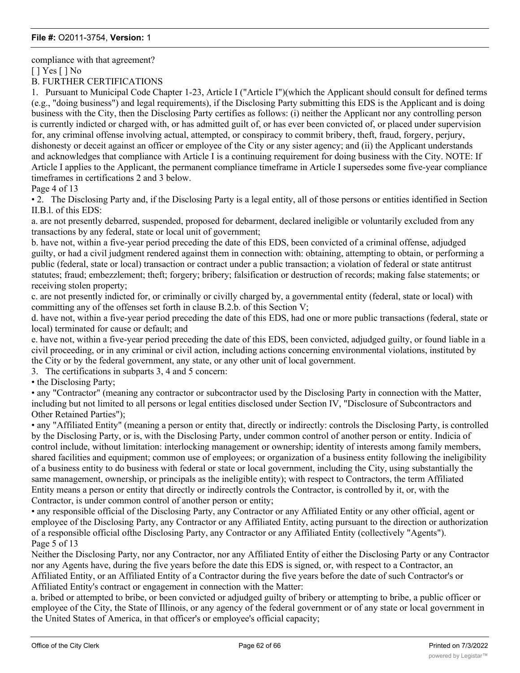compliance with that agreement?

[ ] Yes [ ] No

B. FURTHER CERTIFICATIONS

1. Pursuant to Municipal Code Chapter 1-23, Article I ("Article I")(which the Applicant should consult for defined terms (e.g., "doing business") and legal requirements), if the Disclosing Party submitting this EDS is the Applicant and is doing business with the City, then the Disclosing Party certifies as follows: (i) neither the Applicant nor any controlling person is currently indicted or charged with, or has admitted guilt of, or has ever been convicted of, or placed under supervision for, any criminal offense involving actual, attempted, or conspiracy to commit bribery, theft, fraud, forgery, perjury, dishonesty or deceit against an officer or employee of the City or any sister agency; and (ii) the Applicant understands and acknowledges that compliance with Article I is a continuing requirement for doing business with the City. NOTE: If Article I applies to the Applicant, the permanent compliance timeframe in Article I supersedes some five-year compliance timeframes in certifications 2 and 3 below.

Page 4 of 13

• 2. The Disclosing Party and, if the Disclosing Party is a legal entity, all of those persons or entities identified in Section II.B.l. of this EDS:

a. are not presently debarred, suspended, proposed for debarment, declared ineligible or voluntarily excluded from any transactions by any federal, state or local unit of government;

b. have not, within a five-year period preceding the date of this EDS, been convicted of a criminal offense, adjudged guilty, or had a civil judgment rendered against them in connection with: obtaining, attempting to obtain, or performing a public (federal, state or local) transaction or contract under a public transaction; a violation of federal or state antitrust statutes; fraud; embezzlement; theft; forgery; bribery; falsification or destruction of records; making false statements; or receiving stolen property;

c. are not presently indicted for, or criminally or civilly charged by, a governmental entity (federal, state or local) with committing any of the offenses set forth in clause B.2.b. of this Section V;

d. have not, within a five-year period preceding the date of this EDS, had one or more public transactions (federal, state or local) terminated for cause or default; and

e. have not, within a five-year period preceding the date of this EDS, been convicted, adjudged guilty, or found liable in a civil proceeding, or in any criminal or civil action, including actions concerning environmental violations, instituted by the City or by the federal government, any state, or any other unit of local government.

3. The certifications in subparts 3, 4 and 5 concern:

• the Disclosing Party;

• any "Contractor" (meaning any contractor or subcontractor used by the Disclosing Party in connection with the Matter, including but not limited to all persons or legal entities disclosed under Section IV, "Disclosure of Subcontractors and Other Retained Parties");

• any "Affiliated Entity" (meaning a person or entity that, directly or indirectly: controls the Disclosing Party, is controlled by the Disclosing Party, or is, with the Disclosing Party, under common control of another person or entity. Indicia of control include, without limitation: interlocking management or ownership; identity of interests among family members, shared facilities and equipment; common use of employees; or organization of a business entity following the ineligibility of a business entity to do business with federal or state or local government, including the City, using substantially the same management, ownership, or principals as the ineligible entity); with respect to Contractors, the term Affiliated Entity means a person or entity that directly or indirectly controls the Contractor, is controlled by it, or, with the Contractor, is under common control of another person or entity;

• any responsible official of the Disclosing Party, any Contractor or any Affiliated Entity or any other official, agent or employee of the Disclosing Party, any Contractor or any Affiliated Entity, acting pursuant to the direction or authorization of a responsible official ofthe Disclosing Party, any Contractor or any Affiliated Entity (collectively "Agents"). Page 5 of 13

Neither the Disclosing Party, nor any Contractor, nor any Affiliated Entity of either the Disclosing Party or any Contractor nor any Agents have, during the five years before the date this EDS is signed, or, with respect to a Contractor, an Affiliated Entity, or an Affiliated Entity of a Contractor during the five years before the date of such Contractor's or Affiliated Entity's contract or engagement in connection with the Matter:

a. bribed or attempted to bribe, or been convicted or adjudged guilty of bribery or attempting to bribe, a public officer or employee of the City, the State of Illinois, or any agency of the federal government or of any state or local government in the United States of America, in that officer's or employee's official capacity;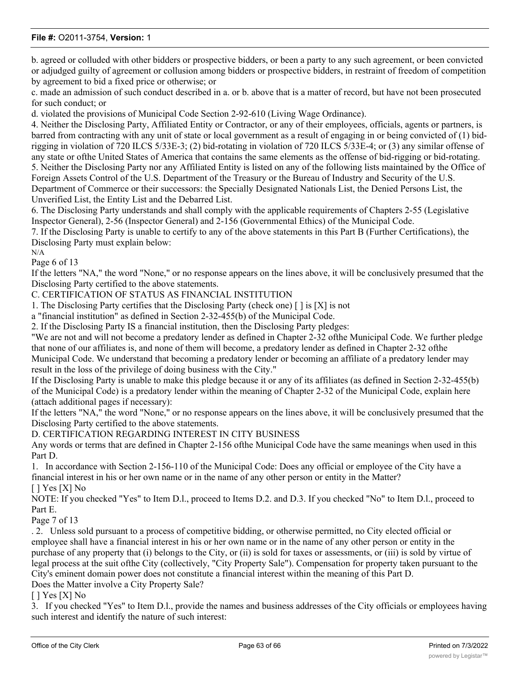b. agreed or colluded with other bidders or prospective bidders, or been a party to any such agreement, or been convicted or adjudged guilty of agreement or collusion among bidders or prospective bidders, in restraint of freedom of competition by agreement to bid a fixed price or otherwise; or

c. made an admission of such conduct described in a. or b. above that is a matter of record, but have not been prosecuted for such conduct; or

d. violated the provisions of Municipal Code Section 2-92-610 (Living Wage Ordinance).

4. Neither the Disclosing Party, Affiliated Entity or Contractor, or any of their employees, officials, agents or partners, is barred from contracting with any unit of state or local government as a result of engaging in or being convicted of (1) bidrigging in violation of 720 ILCS 5/33E-3; (2) bid-rotating in violation of 720 ILCS 5/33E-4; or (3) any similar offense of any state or ofthe United States of America that contains the same elements as the offense of bid-rigging or bid-rotating. 5. Neither the Disclosing Party nor any Affiliated Entity is listed on any of the following lists maintained by the Office of Foreign Assets Control of the U.S. Department of the Treasury or the Bureau of Industry and Security of the U.S. Department of Commerce or their successors: the Specially Designated Nationals List, the Denied Persons List, the Unverified List, the Entity List and the Debarred List.

6. The Disclosing Party understands and shall comply with the applicable requirements of Chapters 2-55 (Legislative Inspector General), 2-56 (Inspector General) and 2-156 (Governmental Ethics) of the Municipal Code.

7. If the Disclosing Party is unable to certify to any of the above statements in this Part B (Further Certifications), the Disclosing Party must explain below: N/A

Page 6 of 13

If the letters "NA," the word "None," or no response appears on the lines above, it will be conclusively presumed that the Disclosing Party certified to the above statements.

C. CERTIFICATION OF STATUS AS FINANCIAL INSTITUTION

1. The Disclosing Party certifies that the Disclosing Party (check one) [ ] is [X] is not

a "financial institution" as defined in Section 2-32-455(b) of the Municipal Code.

2. If the Disclosing Party IS a financial institution, then the Disclosing Party pledges:

"We are not and will not become a predatory lender as defined in Chapter 2-32 ofthe Municipal Code. We further pledge that none of our affiliates is, and none of them will become, a predatory lender as defined in Chapter 2-32 ofthe Municipal Code. We understand that becoming a predatory lender or becoming an affiliate of a predatory lender may result in the loss of the privilege of doing business with the City."

If the Disclosing Party is unable to make this pledge because it or any of its affiliates (as defined in Section 2-32-455(b) of the Municipal Code) is a predatory lender within the meaning of Chapter 2-32 of the Municipal Code, explain here (attach additional pages if necessary):

If the letters "NA," the word "None," or no response appears on the lines above, it will be conclusively presumed that the Disclosing Party certified to the above statements.

D. CERTIFICATION REGARDING INTEREST IN CITY BUSINESS

Any words or terms that are defined in Chapter 2-156 ofthe Municipal Code have the same meanings when used in this Part D.

1. In accordance with Section 2-156-110 of the Municipal Code: Does any official or employee of the City have a financial interest in his or her own name or in the name of any other person or entity in the Matter?  $[$   $]$  Yes  $[X]$  No

NOTE: If you checked "Yes" to Item D.l., proceed to Items D.2. and D.3. If you checked "No" to Item D.l., proceed to Part E.

Page 7 of 13

. 2. Unless sold pursuant to a process of competitive bidding, or otherwise permitted, no City elected official or employee shall have a financial interest in his or her own name or in the name of any other person or entity in the purchase of any property that (i) belongs to the City, or (ii) is sold for taxes or assessments, or (iii) is sold by virtue of legal process at the suit ofthe City (collectively, "City Property Sale"). Compensation for property taken pursuant to the City's eminent domain power does not constitute a financial interest within the meaning of this Part D.

Does the Matter involve a City Property Sale?

[ ] Yes [X] No

3. If you checked "Yes" to Item D.l., provide the names and business addresses of the City officials or employees having such interest and identify the nature of such interest: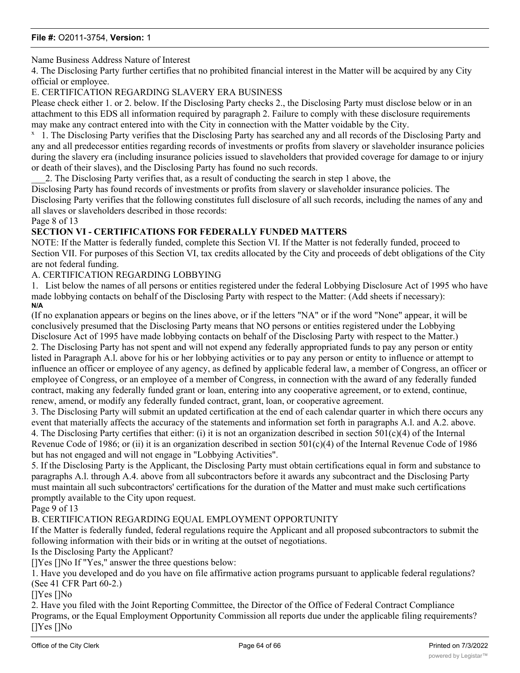### Name Business Address Nature of Interest

4. The Disclosing Party further certifies that no prohibited financial interest in the Matter will be acquired by any City official or employee.

E. CERTIFICATION REGARDING SLAVERY ERA BUSINESS

Please check either 1. or 2. below. If the Disclosing Party checks 2., the Disclosing Party must disclose below or in an attachment to this EDS all information required by paragraph 2. Failure to comply with these disclosure requirements may make any contract entered into with the City in connection with the Matter voidable by the City.

<sup>x</sup> 1. The Disclosing Party verifies that the Disclosing Party has searched any and all records of the Disclosing Party and any and all predecessor entities regarding records of investments or profits from slavery or slaveholder insurance policies during the slavery era (including insurance policies issued to slaveholders that provided coverage for damage to or injury or death of their slaves), and the Disclosing Party has found no such records.

\_\_\_2. The Disclosing Party verifies that, as a result of conducting the search in step 1 above, the

Disclosing Party has found records of investments or profits from slavery or slaveholder insurance policies. The Disclosing Party verifies that the following constitutes full disclosure of all such records, including the names of any and all slaves or slaveholders described in those records:

#### Page 8 of 13

### **SECTION VI - CERTIFICATIONS FOR FEDERALLY FUNDED MATTERS**

NOTE: If the Matter is federally funded, complete this Section VI. If the Matter is not federally funded, proceed to Section VII. For purposes of this Section VI, tax credits allocated by the City and proceeds of debt obligations of the City are not federal funding.

### A. CERTIFICATION REGARDING LOBBYING

1. List below the names of all persons or entities registered under the federal Lobbying Disclosure Act of 1995 who have made lobbying contacts on behalf of the Disclosing Party with respect to the Matter: (Add sheets if necessary): **N/A**

(If no explanation appears or begins on the lines above, or if the letters "NA" or if the word "None" appear, it will be conclusively presumed that the Disclosing Party means that NO persons or entities registered under the Lobbying Disclosure Act of 1995 have made lobbying contacts on behalf of the Disclosing Party with respect to the Matter.) 2. The Disclosing Party has not spent and will not expend any federally appropriated funds to pay any person or entity listed in Paragraph A.l. above for his or her lobbying activities or to pay any person or entity to influence or attempt to influence an officer or employee of any agency, as defined by applicable federal law, a member of Congress, an officer or employee of Congress, or an employee of a member of Congress, in connection with the award of any federally funded contract, making any federally funded grant or loan, entering into any cooperative agreement, or to extend, continue, renew, amend, or modify any federally funded contract, grant, loan, or cooperative agreement.

3. The Disclosing Party will submit an updated certification at the end of each calendar quarter in which there occurs any event that materially affects the accuracy of the statements and information set forth in paragraphs A.l. and A.2. above. 4. The Disclosing Party certifies that either: (i) it is not an organization described in section  $501(c)(4)$  of the Internal Revenue Code of 1986; or (ii) it is an organization described in section  $501(c)(4)$  of the Internal Revenue Code of 1986 but has not engaged and will not engage in "Lobbying Activities".

5. If the Disclosing Party is the Applicant, the Disclosing Party must obtain certifications equal in form and substance to paragraphs A.l. through A.4. above from all subcontractors before it awards any subcontract and the Disclosing Party must maintain all such subcontractors' certifications for the duration of the Matter and must make such certifications promptly available to the City upon request.

#### Page 9 of 13

### B. CERTIFICATION REGARDING EQUAL EMPLOYMENT OPPORTUNITY

If the Matter is federally funded, federal regulations require the Applicant and all proposed subcontractors to submit the following information with their bids or in writing at the outset of negotiations.

Is the Disclosing Party the Applicant?

[]Yes []No If "Yes," answer the three questions below:

1. Have you developed and do you have on file affirmative action programs pursuant to applicable federal regulations? (See 41 CFR Part 60-2.)

#### []Yes []No

2. Have you filed with the Joint Reporting Committee, the Director of the Office of Federal Contract Compliance Programs, or the Equal Employment Opportunity Commission all reports due under the applicable filing requirements? []Yes []No  $\overline{1}$  . Have you participated in any previous contracts or subject to the equal opportunity contracts subject to the equal opportunity contracts subject to the equal opportunity clause?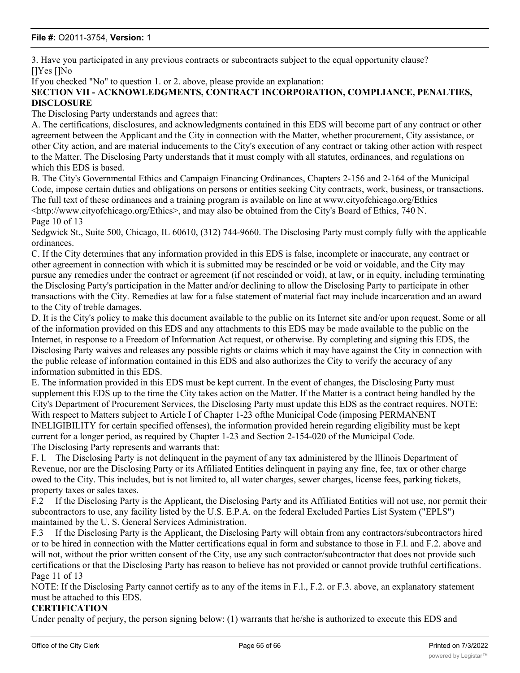3. Have you participated in any previous contracts or subcontracts subject to the equal opportunity clause? []Yes []No

If you checked "No" to question 1. or 2. above, please provide an explanation:

### **SECTION VII - ACKNOWLEDGMENTS, CONTRACT INCORPORATION, COMPLIANCE, PENALTIES, DISCLOSURE**

The Disclosing Party understands and agrees that:

A. The certifications, disclosures, and acknowledgments contained in this EDS will become part of any contract or other agreement between the Applicant and the City in connection with the Matter, whether procurement, City assistance, or other City action, and are material inducements to the City's execution of any contract or taking other action with respect to the Matter. The Disclosing Party understands that it must comply with all statutes, ordinances, and regulations on which this EDS is based.

B. The City's Governmental Ethics and Campaign Financing Ordinances, Chapters 2-156 and 2-164 of the Municipal Code, impose certain duties and obligations on persons or entities seeking City contracts, work, business, or transactions. The full text of these ordinances and a training program is available on line at www.cityofchicago.org/Ethics  $\lt$ http://www.cityofchicago.org/Ethics>, and may also be obtained from the City's Board of Ethics, 740 N.

Page 10 of 13

Sedgwick St., Suite 500, Chicago, IL 60610, (312) 744-9660. The Disclosing Party must comply fully with the applicable ordinances.

C. If the City determines that any information provided in this EDS is false, incomplete or inaccurate, any contract or other agreement in connection with which it is submitted may be rescinded or be void or voidable, and the City may pursue any remedies under the contract or agreement (if not rescinded or void), at law, or in equity, including terminating the Disclosing Party's participation in the Matter and/or declining to allow the Disclosing Party to participate in other transactions with the City. Remedies at law for a false statement of material fact may include incarceration and an award to the City of treble damages.

D. It is the City's policy to make this document available to the public on its Internet site and/or upon request. Some or all of the information provided on this EDS and any attachments to this EDS may be made available to the public on the Internet, in response to a Freedom of Information Act request, or otherwise. By completing and signing this EDS, the Disclosing Party waives and releases any possible rights or claims which it may have against the City in connection with the public release of information contained in this EDS and also authorizes the City to verify the accuracy of any information submitted in this EDS.

E. The information provided in this EDS must be kept current. In the event of changes, the Disclosing Party must supplement this EDS up to the time the City takes action on the Matter. If the Matter is a contract being handled by the City's Department of Procurement Services, the Disclosing Party must update this EDS as the contract requires. NOTE: With respect to Matters subject to Article I of Chapter 1-23 ofthe Municipal Code (imposing PERMANENT INELIGIBILITY for certain specified offenses), the information provided herein regarding eligibility must be kept current for a longer period, as required by Chapter 1-23 and Section 2-154-020 of the Municipal Code. The Disclosing Party represents and warrants that:

F. l. The Disclosing Party is not delinquent in the payment of any tax administered by the Illinois Department of Revenue, nor are the Disclosing Party or its Affiliated Entities delinquent in paying any fine, fee, tax or other charge owed to the City. This includes, but is not limited to, all water charges, sewer charges, license fees, parking tickets, property taxes or sales taxes.

F.2 If the Disclosing Party is the Applicant, the Disclosing Party and its Affiliated Entities will not use, nor permit their subcontractors to use, any facility listed by the U.S. E.P.A. on the federal Excluded Parties List System ("EPLS") maintained by the U. S. General Services Administration.

F.3 If the Disclosing Party is the Applicant, the Disclosing Party will obtain from any contractors/subcontractors hired or to be hired in connection with the Matter certifications equal in form and substance to those in F.l. and F.2. above and will not, without the prior written consent of the City, use any such contractor/subcontractor that does not provide such certifications or that the Disclosing Party has reason to believe has not provided or cannot provide truthful certifications. Page 11 of 13

NOTE: If the Disclosing Party cannot certify as to any of the items in F.l., F.2. or F.3. above, an explanatory statement must be attached to this EDS.

#### **CERTIFICATION**

Under penalty of perjury, the person signing below: (1) warrants that he/she is authorized to execute this EDS and